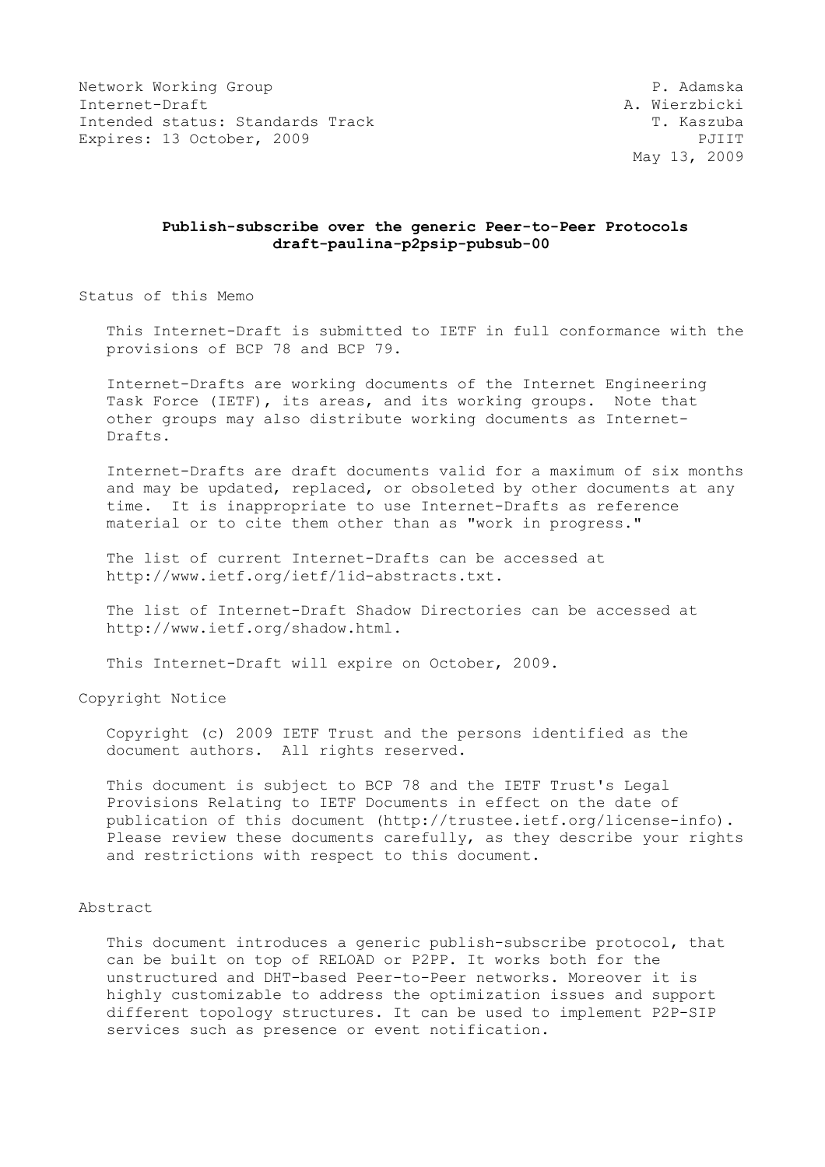Network Working Group **P. Adamska** Internet-Draft A. Wierzbicki Intended status: Standards Track T. Kaszuba Expires: 13 October, 2009 PJIIT

May 13, 2009

## **Publish-subscribe over the generic Peer-to-Peer Protocols draft-paulina-p2psip-pubsub-00**

Status of this Memo

 This Internet-Draft is submitted to IETF in full conformance with the provisions of BCP 78 and BCP 79.

 Internet-Drafts are working documents of the Internet Engineering Task Force (IETF), its areas, and its working groups. Note that other groups may also distribute working documents as Internet- Drafts.

 Internet-Drafts are draft documents valid for a maximum of six months and may be updated, replaced, or obsoleted by other documents at any time. It is inappropriate to use Internet-Drafts as reference material or to cite them other than as "work in progress."

 The list of current Internet-Drafts can be accessed at http://www.ietf.org/ietf/1id-abstracts.txt.

 The list of Internet-Draft Shadow Directories can be accessed at http://www.ietf.org/shadow.html.

This Internet-Draft will expire on October, 2009.

Copyright Notice

 Copyright (c) 2009 IETF Trust and the persons identified as the document authors. All rights reserved.

 This document is subject to BCP 78 and the IETF Trust's Legal Provisions Relating to IETF Documents in effect on the date of publication of this document (http://trustee.ietf.org/license-info). Please review these documents carefully, as they describe your rights and restrictions with respect to this document.

#### Abstract

 This document introduces a generic publish-subscribe protocol, that can be built on top of RELOAD or P2PP. It works both for the unstructured and DHT-based Peer-to-Peer networks. Moreover it is highly customizable to address the optimization issues and support different topology structures. It can be used to implement P2P-SIP services such as presence or event notification.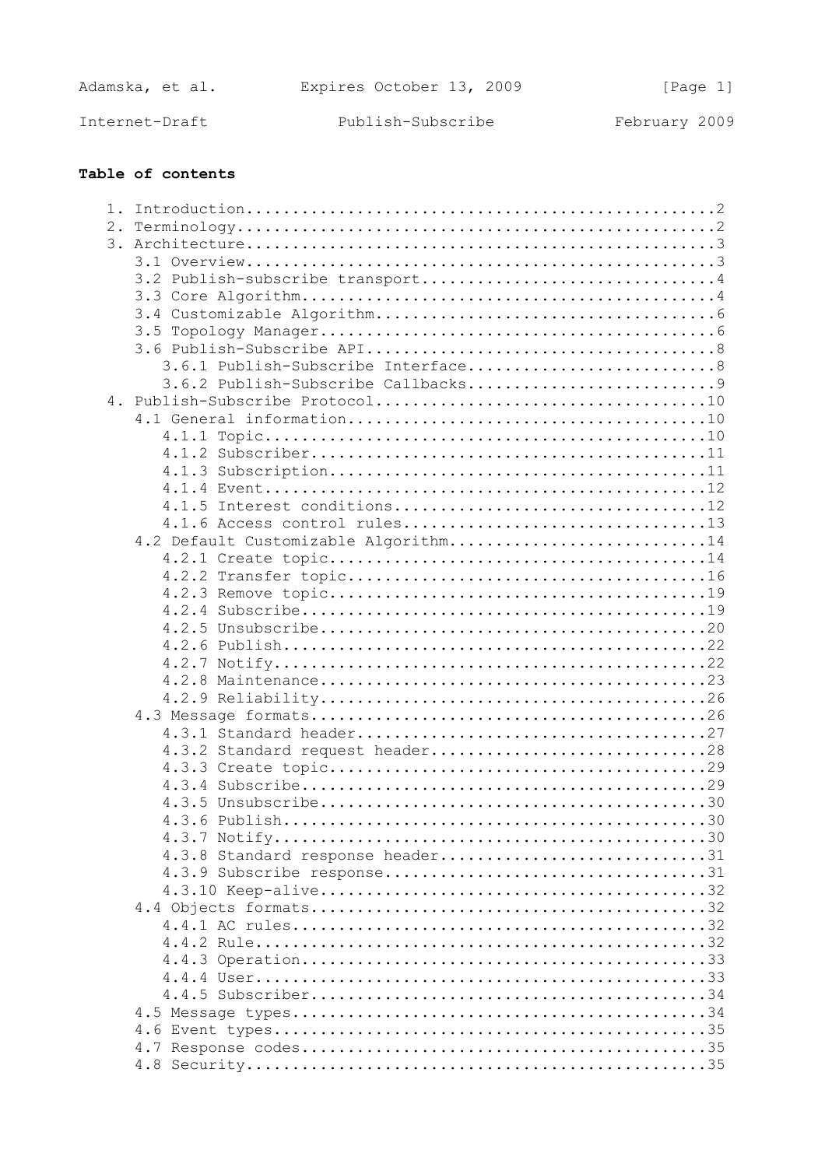| Adamska, et al. | Expires October 13, 2009 | [Page 1]      |
|-----------------|--------------------------|---------------|
| Internet-Draft  | Publish-Subscribe        | February 2009 |

| 1. |                                      |
|----|--------------------------------------|
| 2. |                                      |
|    |                                      |
|    |                                      |
|    |                                      |
|    |                                      |
|    |                                      |
|    |                                      |
|    |                                      |
|    |                                      |
|    |                                      |
|    |                                      |
|    |                                      |
|    |                                      |
|    |                                      |
|    |                                      |
|    |                                      |
|    | 4.1.5 Interest conditions12          |
|    |                                      |
|    | 4.2 Default Customizable Algorithm14 |
|    |                                      |
|    |                                      |
|    |                                      |
|    |                                      |
|    |                                      |
|    |                                      |
|    |                                      |
|    |                                      |
|    |                                      |
|    |                                      |
|    |                                      |
|    | 4.3.2 Standard request header28      |
|    |                                      |
|    |                                      |
|    |                                      |
|    |                                      |
|    |                                      |
|    | 4.3.8 Standard response header31     |
|    |                                      |
|    |                                      |
|    |                                      |
|    |                                      |
|    |                                      |
|    |                                      |
|    |                                      |
|    |                                      |
|    |                                      |
|    |                                      |
|    |                                      |
|    |                                      |
|    |                                      |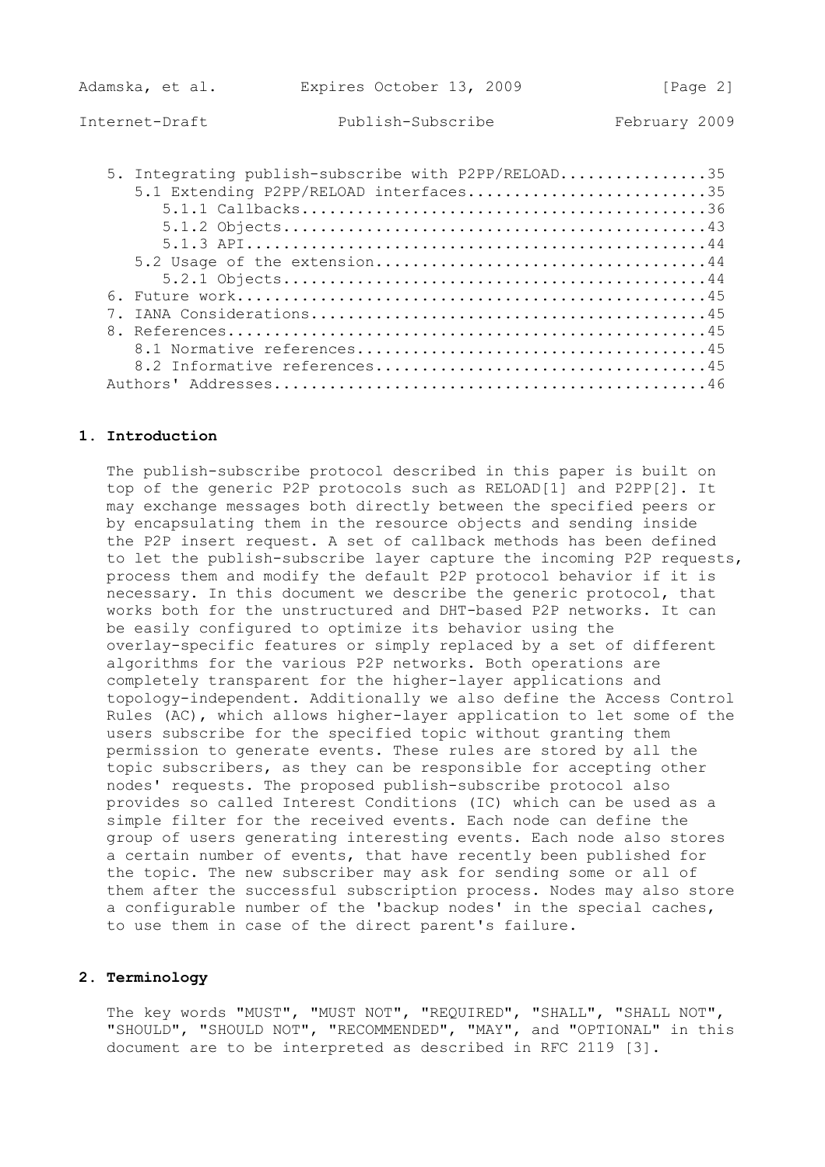Adamska, et al. Expires October 13, 2009 [Page 2]

| 5. Integrating publish-subscribe with P2PP/RELOAD35<br>5.1 Extending P2PP/RELOAD interfaces35 |
|-----------------------------------------------------------------------------------------------|
|                                                                                               |
|                                                                                               |
|                                                                                               |
|                                                                                               |
|                                                                                               |
|                                                                                               |
|                                                                                               |
|                                                                                               |
|                                                                                               |
|                                                                                               |
|                                                                                               |

## **1. Introduction**

 The publish-subscribe protocol described in this paper is built on top of the generic P2P protocols such as RELOAD[1] and P2PP[2]. It may exchange messages both directly between the specified peers or by encapsulating them in the resource objects and sending inside the P2P insert request. A set of callback methods has been defined to let the publish-subscribe layer capture the incoming P2P requests, process them and modify the default P2P protocol behavior if it is necessary. In this document we describe the generic protocol, that works both for the unstructured and DHT-based P2P networks. It can be easily configured to optimize its behavior using the overlay-specific features or simply replaced by a set of different algorithms for the various P2P networks. Both operations are completely transparent for the higher-layer applications and topology-independent. Additionally we also define the Access Control Rules (AC), which allows higher-layer application to let some of the users subscribe for the specified topic without granting them permission to generate events. These rules are stored by all the topic subscribers, as they can be responsible for accepting other nodes' requests. The proposed publish-subscribe protocol also provides so called Interest Conditions (IC) which can be used as a simple filter for the received events. Each node can define the group of users generating interesting events. Each node also stores a certain number of events, that have recently been published for the topic. The new subscriber may ask for sending some or all of them after the successful subscription process. Nodes may also store a configurable number of the 'backup nodes' in the special caches, to use them in case of the direct parent's failure.

# **2. Terminology**

 The key words "MUST", "MUST NOT", "REQUIRED", "SHALL", "SHALL NOT", "SHOULD", "SHOULD NOT", "RECOMMENDED", "MAY", and "OPTIONAL" in this document are to be interpreted as described in RFC 2119 [3].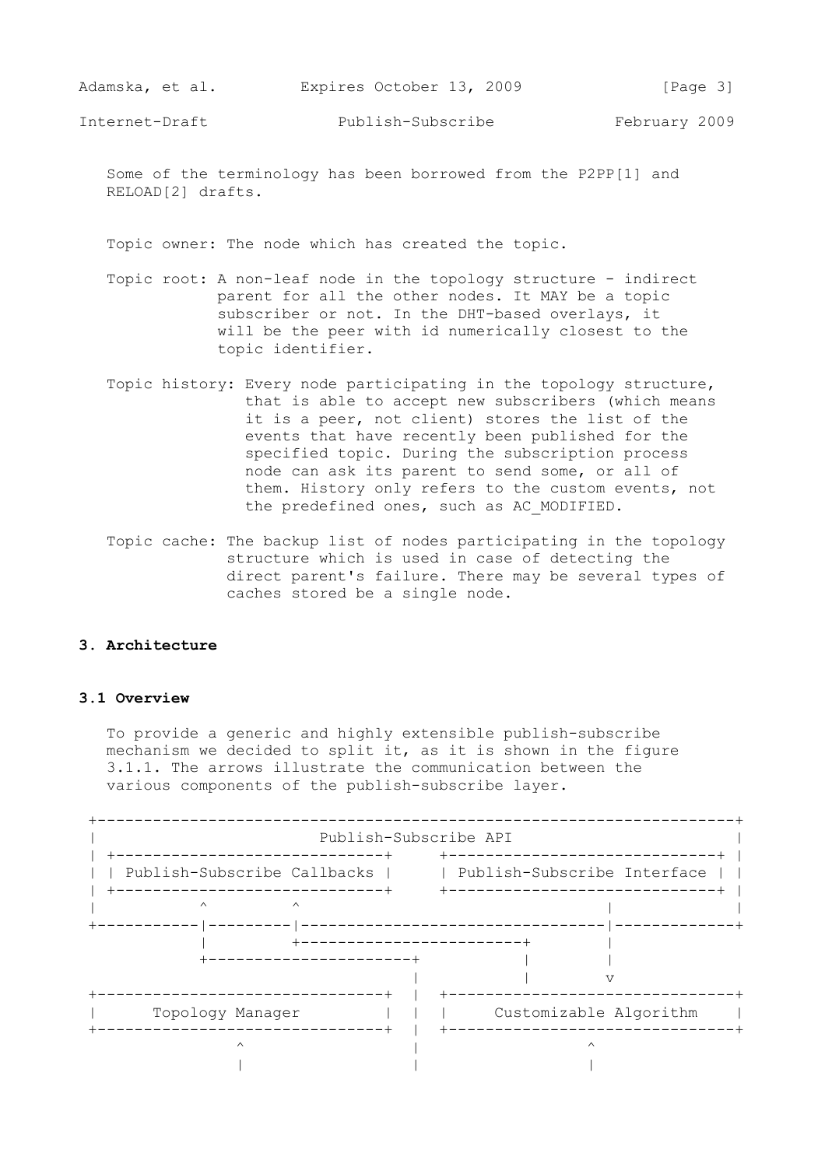Some of the terminology has been borrowed from the P2PP[1] and RELOAD[2] drafts.

Topic owner: The node which has created the topic.

- Topic root: A non-leaf node in the topology structure indirect parent for all the other nodes. It MAY be a topic subscriber or not. In the DHT-based overlays, it will be the peer with id numerically closest to the topic identifier.
- Topic history: Every node participating in the topology structure, that is able to accept new subscribers (which means it is a peer, not client) stores the list of the events that have recently been published for the specified topic. During the subscription process node can ask its parent to send some, or all of them. History only refers to the custom events, not the predefined ones, such as AC MODIFIED.
- Topic cache: The backup list of nodes participating in the topology structure which is used in case of detecting the direct parent's failure. There may be several types of caches stored be a single node.

### **3. Architecture**

#### **3.1 Overview**

 To provide a generic and highly extensible publish-subscribe mechanism we decided to split it, as it is shown in the figure 3.1.1. The arrows illustrate the communication between the various components of the publish-subscribe layer.

| -----------------------------                                                 |                                    | Publish-Subscribe API                                          |
|-------------------------------------------------------------------------------|------------------------------------|----------------------------------------------------------------|
| Publish-Subscribe Callbacks  <br>-------------------------------              |                                    | Publish-Subscribe Interface<br>+------------------------------ |
| $\wedge$                                                                      | $\wedge$<br>---------------------+ | -------------------------                                      |
| ------------------------<br>Topology Manager<br>----------------------------- |                                    | Customizable Algorithm<br>_______________________________      |
|                                                                               |                                    |                                                                |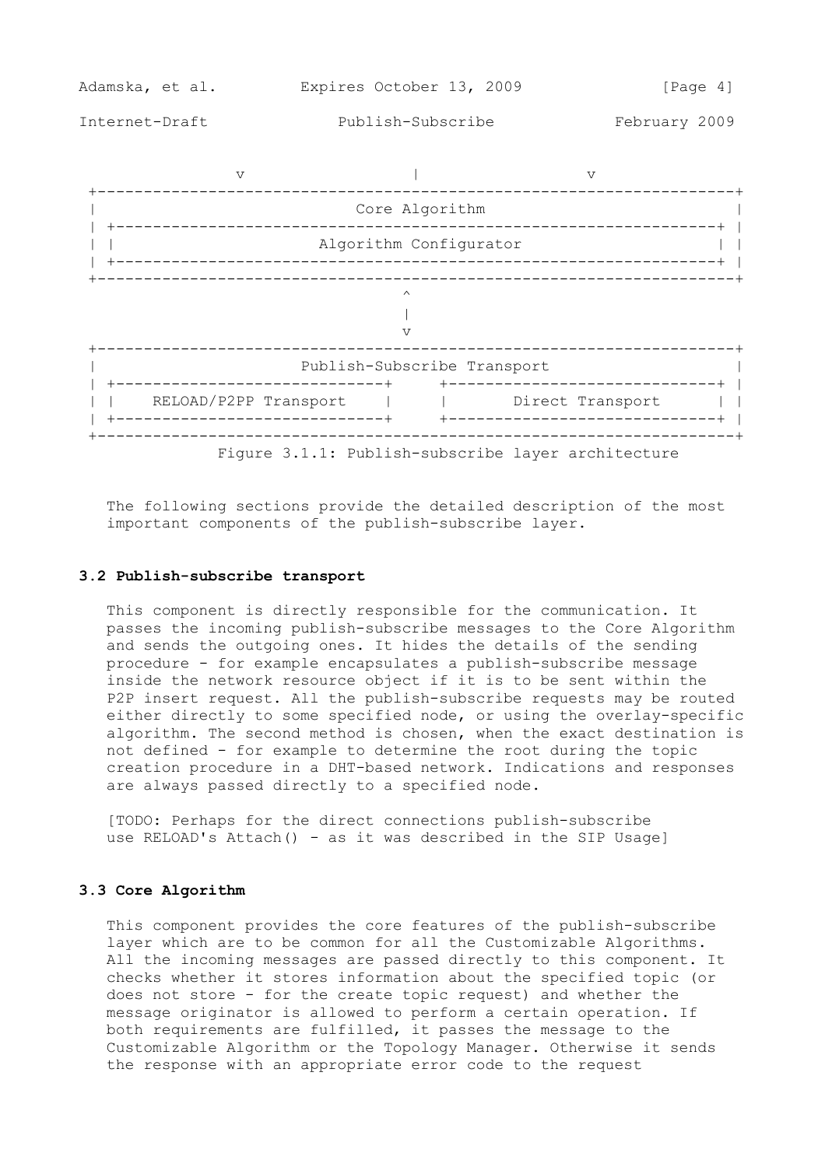

Figure 3.1.1: Publish-subscribe layer architecture

 The following sections provide the detailed description of the most important components of the publish-subscribe layer.

#### **3.2 Publish-subscribe transport**

 This component is directly responsible for the communication. It passes the incoming publish-subscribe messages to the Core Algorithm and sends the outgoing ones. It hides the details of the sending procedure - for example encapsulates a publish-subscribe message inside the network resource object if it is to be sent within the P2P insert request. All the publish-subscribe requests may be routed either directly to some specified node, or using the overlay-specific algorithm. The second method is chosen, when the exact destination is not defined - for example to determine the root during the topic creation procedure in a DHT-based network. Indications and responses are always passed directly to a specified node.

 [TODO: Perhaps for the direct connections publish-subscribe use RELOAD's Attach() - as it was described in the SIP Usage]

#### **3.3 Core Algorithm**

 This component provides the core features of the publish-subscribe layer which are to be common for all the Customizable Algorithms. All the incoming messages are passed directly to this component. It checks whether it stores information about the specified topic (or does not store - for the create topic request) and whether the message originator is allowed to perform a certain operation. If both requirements are fulfilled, it passes the message to the Customizable Algorithm or the Topology Manager. Otherwise it sends the response with an appropriate error code to the request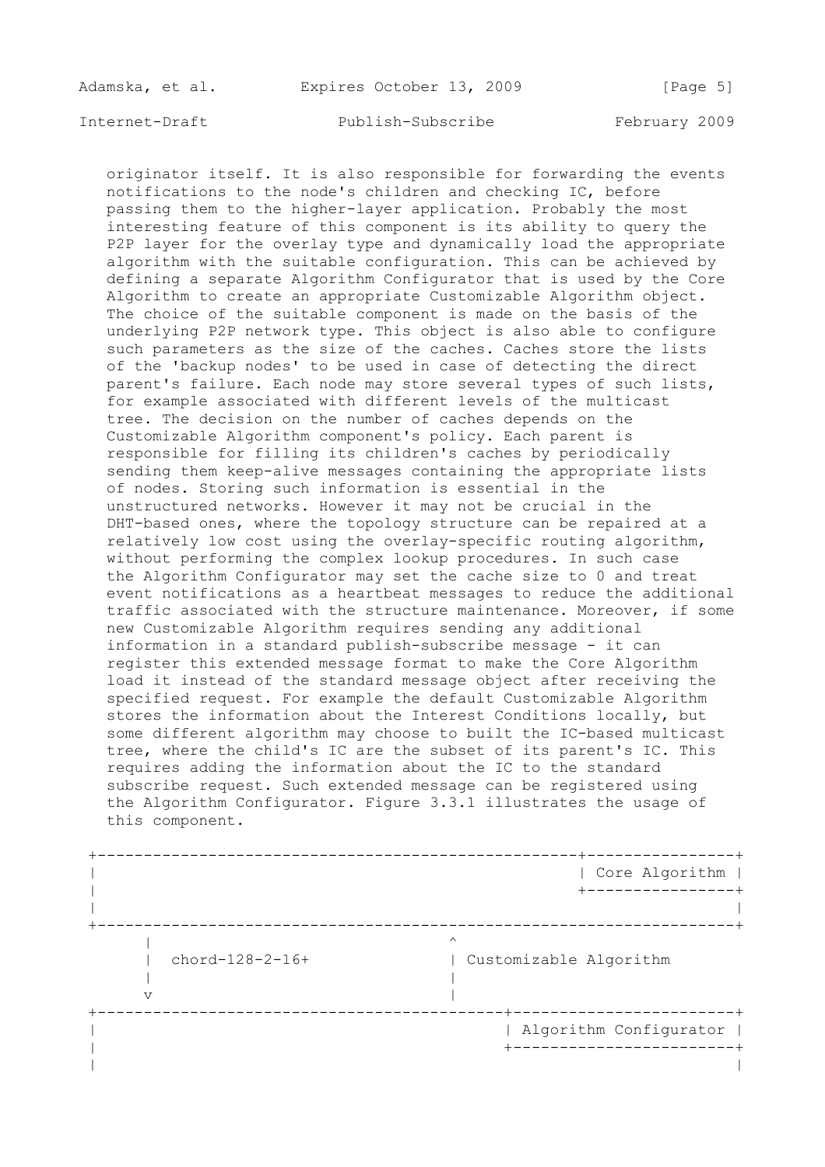Adamska, et al. Expires October 13, 2009 [Page 5]

Internet-Draft Publish-Subscribe February 2009

 originator itself. It is also responsible for forwarding the events notifications to the node's children and checking IC, before passing them to the higher-layer application. Probably the most interesting feature of this component is its ability to query the P2P layer for the overlay type and dynamically load the appropriate algorithm with the suitable configuration. This can be achieved by defining a separate Algorithm Configurator that is used by the Core Algorithm to create an appropriate Customizable Algorithm object. The choice of the suitable component is made on the basis of the underlying P2P network type. This object is also able to configure such parameters as the size of the caches. Caches store the lists of the 'backup nodes' to be used in case of detecting the direct parent's failure. Each node may store several types of such lists, for example associated with different levels of the multicast tree. The decision on the number of caches depends on the Customizable Algorithm component's policy. Each parent is responsible for filling its children's caches by periodically sending them keep-alive messages containing the appropriate lists of nodes. Storing such information is essential in the unstructured networks. However it may not be crucial in the DHT-based ones, where the topology structure can be repaired at a relatively low cost using the overlay-specific routing algorithm, without performing the complex lookup procedures. In such case the Algorithm Configurator may set the cache size to 0 and treat event notifications as a heartbeat messages to reduce the additional traffic associated with the structure maintenance. Moreover, if some new Customizable Algorithm requires sending any additional information in a standard publish-subscribe message - it can register this extended message format to make the Core Algorithm load it instead of the standard message object after receiving the specified request. For example the default Customizable Algorithm stores the information about the Interest Conditions locally, but some different algorithm may choose to built the IC-based multicast tree, where the child's IC are the subset of its parent's IC. This requires adding the information about the IC to the standard subscribe request. Such extended message can be registered using the Algorithm Configurator. Figure 3.3.1 illustrates the usage of this component.

 +----------------------------------------------------+----------------+ | | Core Algorithm | | +----------------+ | | +---------------------------------------------------------------------+ | **|**  $\sim$  |  $\sim$  |  $\sim$  |  $\sim$  |  $\sim$  |  $\sim$  |  $\sim$  |  $\sim$  |  $\sim$  |  $\sim$  |  $\sim$  |  $\sim$  |  $\sim$  |  $\sim$  |  $\sim$  |  $\sim$  |  $\sim$  |  $\sim$  |  $\sim$  |  $\sim$  |  $\sim$  |  $\sim$  |  $\sim$  |  $\sim$  |  $\sim$  |  $\sim$  |  $\sim$  |  $\sim$  |  $\sim$  |  $\sim$   $\sim$  | | chord-128-2-16+ | Customizable Algorithm | |  $\mathbf v$  +--------------------------------------------+------------------------+ | | Algorithm Configurator | | +------------------------+ | |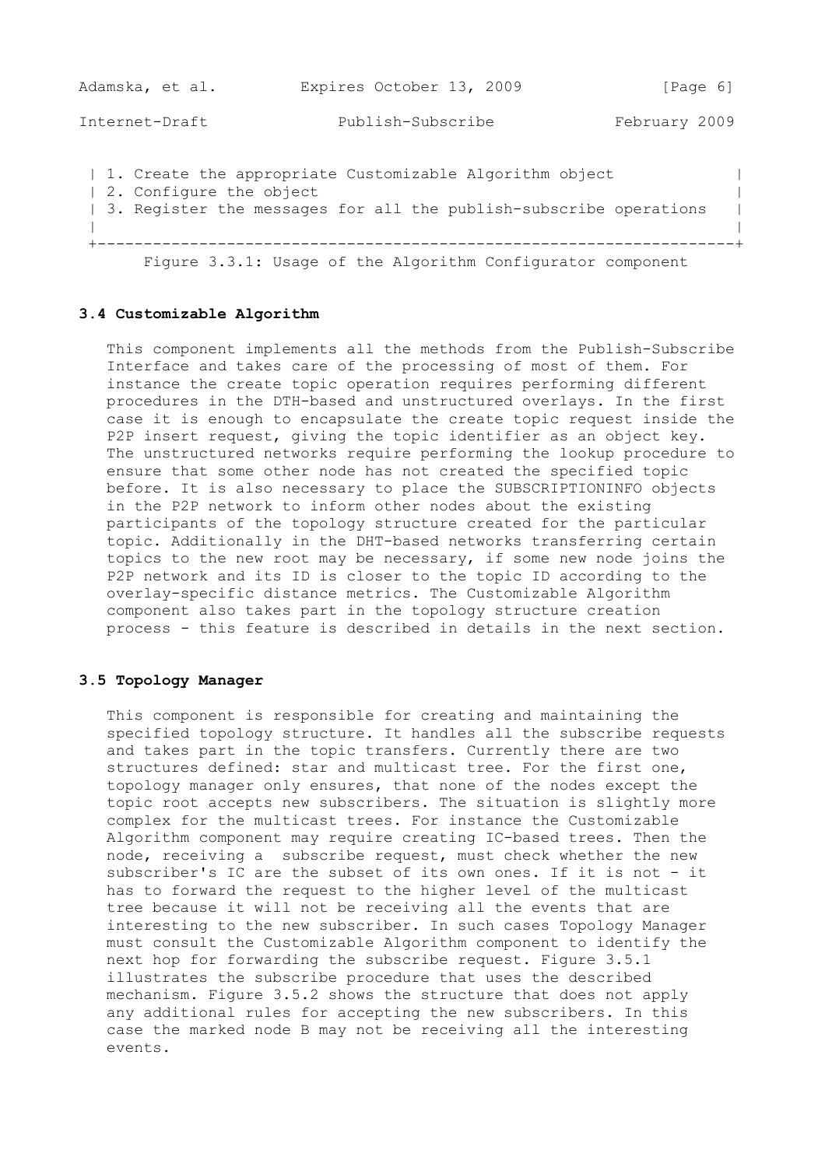| Adamska, et al.         | Expires October 13, 2009                                                                                                     | [Page 6]      |
|-------------------------|------------------------------------------------------------------------------------------------------------------------------|---------------|
| Internet-Draft          | Publish-Subscribe                                                                                                            | February 2009 |
| 2. Configure the object | 1. Create the appropriate Customizable Algorithm object<br>3. Register the messages for all the publish-subscribe operations |               |
|                         | Figure 3.3.1: Usage of the Algorithm Configurator component                                                                  |               |

## **3.4 Customizable Algorithm**

 This component implements all the methods from the Publish-Subscribe Interface and takes care of the processing of most of them. For instance the create topic operation requires performing different procedures in the DTH-based and unstructured overlays. In the first case it is enough to encapsulate the create topic request inside the P2P insert request, giving the topic identifier as an object key. The unstructured networks require performing the lookup procedure to ensure that some other node has not created the specified topic before. It is also necessary to place the SUBSCRIPTIONINFO objects in the P2P network to inform other nodes about the existing participants of the topology structure created for the particular topic. Additionally in the DHT-based networks transferring certain topics to the new root may be necessary, if some new node joins the P2P network and its ID is closer to the topic ID according to the overlay-specific distance metrics. The Customizable Algorithm component also takes part in the topology structure creation process - this feature is described in details in the next section.

## **3.5 Topology Manager**

 This component is responsible for creating and maintaining the specified topology structure. It handles all the subscribe requests and takes part in the topic transfers. Currently there are two structures defined: star and multicast tree. For the first one, topology manager only ensures, that none of the nodes except the topic root accepts new subscribers. The situation is slightly more complex for the multicast trees. For instance the Customizable Algorithm component may require creating IC-based trees. Then the node, receiving a subscribe request, must check whether the new subscriber's IC are the subset of its own ones. If it is not - it has to forward the request to the higher level of the multicast tree because it will not be receiving all the events that are interesting to the new subscriber. In such cases Topology Manager must consult the Customizable Algorithm component to identify the next hop for forwarding the subscribe request. Figure 3.5.1 illustrates the subscribe procedure that uses the described mechanism. Figure 3.5.2 shows the structure that does not apply any additional rules for accepting the new subscribers. In this case the marked node B may not be receiving all the interesting events.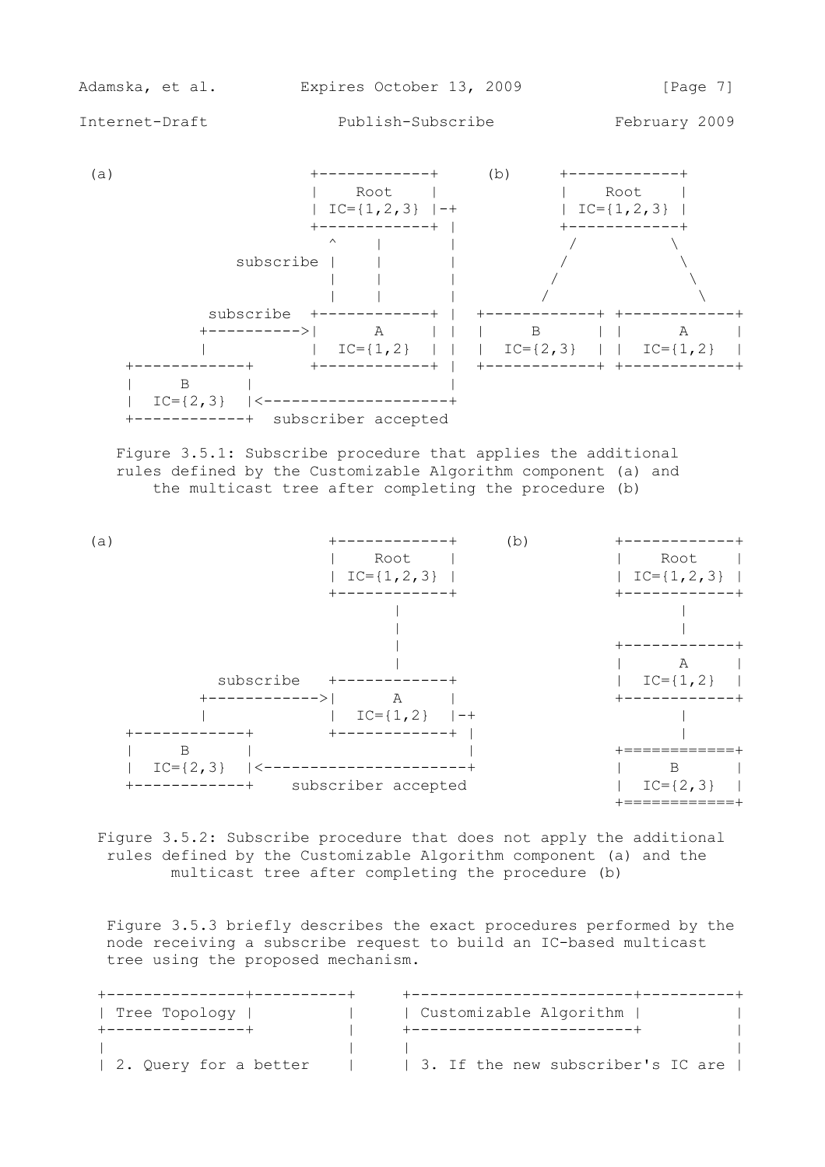

 Figure 3.5.1: Subscribe procedure that applies the additional rules defined by the Customizable Algorithm component (a) and the multicast tree after completing the procedure (b)



 Figure 3.5.2: Subscribe procedure that does not apply the additional rules defined by the Customizable Algorithm component (a) and the multicast tree after completing the procedure (b)

 Figure 3.5.3 briefly describes the exact procedures performed by the node receiving a subscribe request to build an IC-based multicast tree using the proposed mechanism.

| Tree Topology         | Customizable Algorithm            |
|-----------------------|-----------------------------------|
|                       |                                   |
|                       |                                   |
| 2. Query for a better | 3. If the new subscriber's IC are |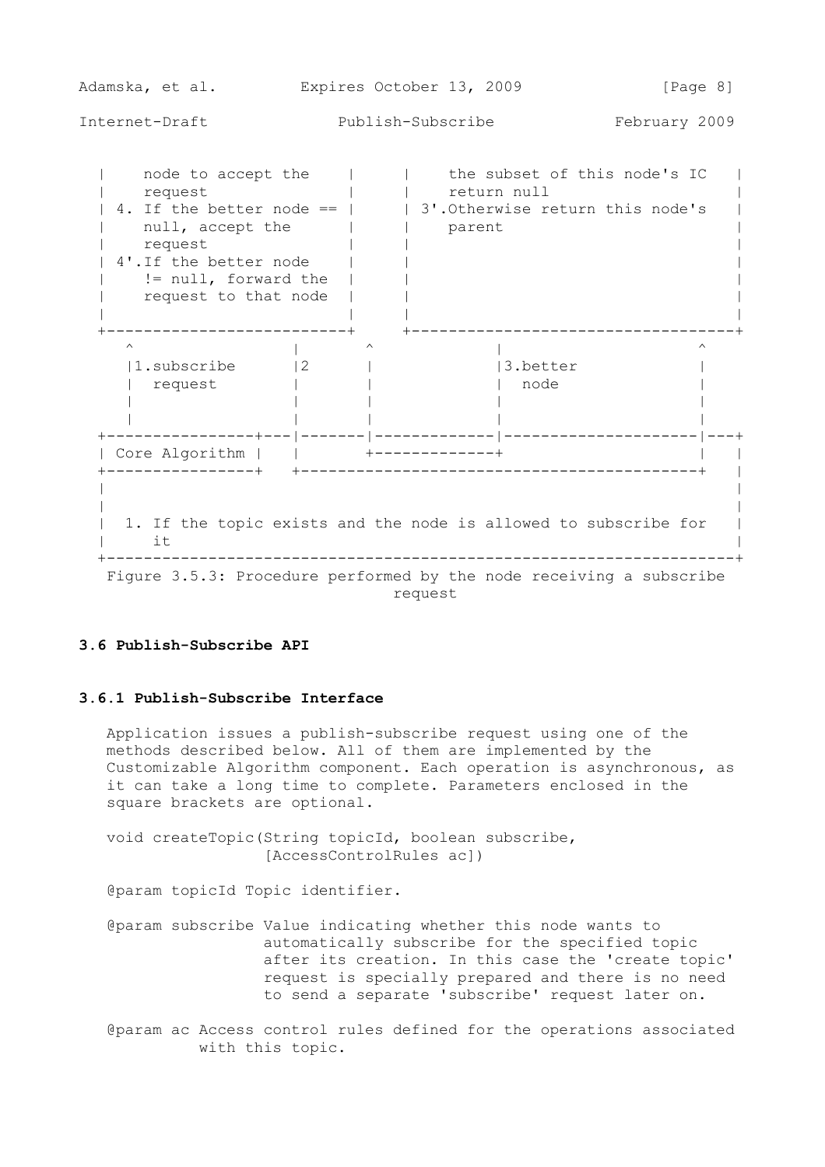Adamska, et al. Expires October 13, 2009 [Page 8] Internet-Draft Publish-Subscribe February 2009 | node to accept the | | | the subset of this node's IC | | request | | return null | | | 4. If the better node ==  $|$  | 3'.Otherwise return this node's | | null, accept the | | parent | | request | | | | 4'.If the better node | | | | != null, forward the | | | | request to that node | | | | | | | +--------------------------+ +-----------------------------------+  $\wedge$   $\qquad$   $\wedge$   $\qquad$   $\wedge$   $\qquad$   $\wedge$   $\qquad$   $\wedge$   $\wedge$   $\wedge$   $\wedge$   $\wedge$   $\wedge$   $\wedge$   $\wedge$   $\wedge$   $\wedge$   $\wedge$   $\wedge$   $\wedge$   $\wedge$   $\wedge$   $\wedge$   $\wedge$   $\wedge$   $\wedge$   $\wedge$   $\wedge$   $\wedge$   $\wedge$   $\wedge$   $\wedge$   $\wedge$   $\wedge$   $\wedge$   $\wedge$  $|1.\text{subscript}$   $|2$   $|$   $|3.\text{better}$   $|$  | request | | | node | | | | | | | | | | | +----------------+---|-------|-------------|---------------------|---+ | Core Algorithm | | | +-------------+ +----------------+ +-------------------------------------------+ | | | | | | 1. If the topic exists and the node is allowed to subscribe for |<br>| it  $\|$  it  $\|$  +--------------------------------------------------------------------+ Figure 3.5.3: Procedure performed by the node receiving a subscribe request

### **3.6 Publish-Subscribe API**

### **3.6.1 Publish-Subscribe Interface**

 Application issues a publish-subscribe request using one of the methods described below. All of them are implemented by the Customizable Algorithm component. Each operation is asynchronous, as it can take a long time to complete. Parameters enclosed in the square brackets are optional.

 void createTopic(String topicId, boolean subscribe, [AccessControlRules ac])

@param topicId Topic identifier.

- @param subscribe Value indicating whether this node wants to automatically subscribe for the specified topic after its creation. In this case the 'create topic' request is specially prepared and there is no need to send a separate 'subscribe' request later on.
- @param ac Access control rules defined for the operations associated with this topic.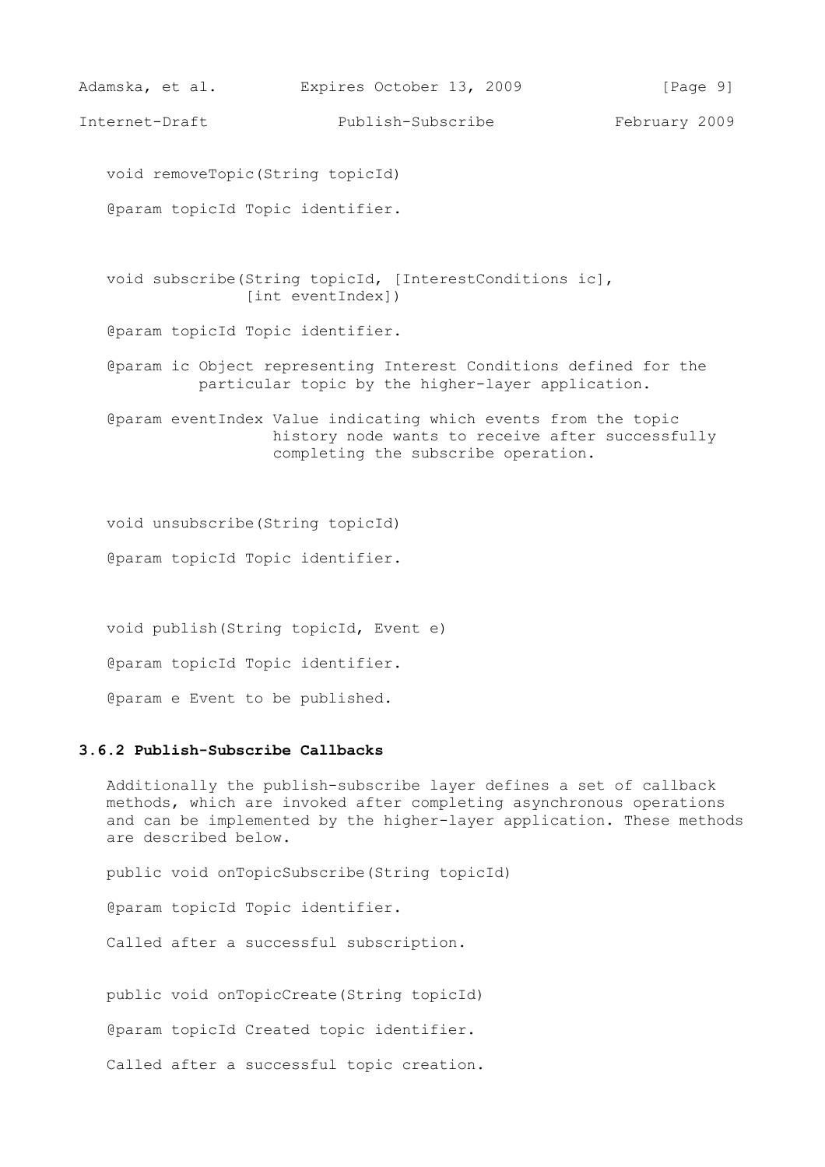```
Adamska, et al. Expires October 13, 2009 [Page 9]
Internet-Draft Publish-Subscribe February 2009
   void removeTopic(String topicId)
    @param topicId Topic identifier.
   void subscribe(String topicId, [InterestConditions ic], 
                 [int eventIndex])
    @param topicId Topic identifier.
    @param ic Object representing Interest Conditions defined for the 
             particular topic by the higher-layer application.
    @param eventIndex Value indicating which events from the topic 
                     history node wants to receive after successfully 
                     completing the subscribe operation.
   void unsubscribe(String topicId)
   @param topicId Topic identifier.
   void publish(String topicId, Event e)
    @param topicId Topic identifier.
    @param e Event to be published.
```
## **3.6.2 Publish-Subscribe Callbacks**

 Additionally the publish-subscribe layer defines a set of callback methods, which are invoked after completing asynchronous operations and can be implemented by the higher-layer application. These methods are described below.

public void onTopicSubscribe(String topicId)

@param topicId Topic identifier.

Called after a successful subscription.

public void onTopicCreate(String topicId)

@param topicId Created topic identifier.

Called after a successful topic creation.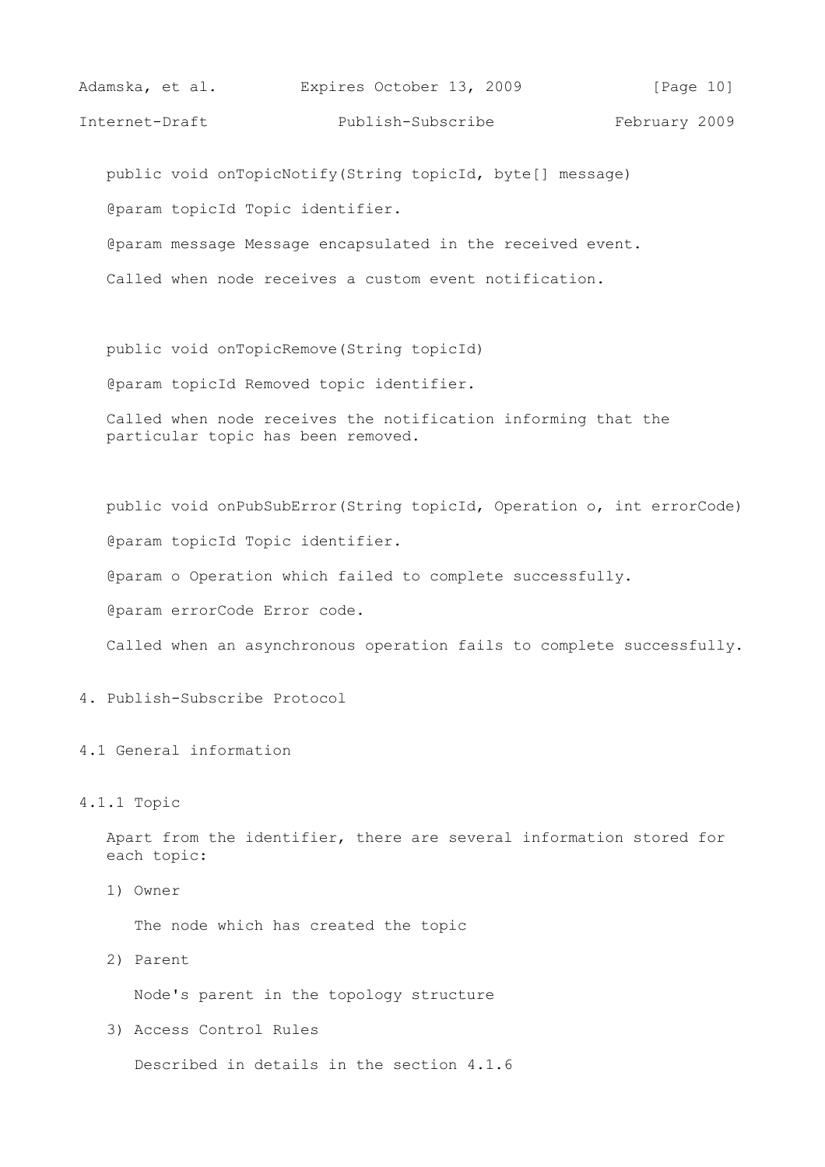| Adamska, et al. | Expires October 13, 2009 | [Page 10]     |
|-----------------|--------------------------|---------------|
| Internet-Draft  | Publish-Subscribe        | February 2009 |

public void onTopicNotify(String topicId, byte[] message)

@param topicId Topic identifier.

@param message Message encapsulated in the received event.

Called when node receives a custom event notification.

public void onTopicRemove(String topicId)

@param topicId Removed topic identifier.

 Called when node receives the notification informing that the particular topic has been removed.

public void onPubSubError(String topicId, Operation o, int errorCode)

@param topicId Topic identifier.

@param o Operation which failed to complete successfully.

@param errorCode Error code.

Called when an asynchronous operation fails to complete successfully.

4. Publish-Subscribe Protocol

4.1 General information

#### 4.1.1 Topic

 Apart from the identifier, there are several information stored for each topic:

1) Owner

The node which has created the topic

2) Parent

Node's parent in the topology structure

3) Access Control Rules

Described in details in the section 4.1.6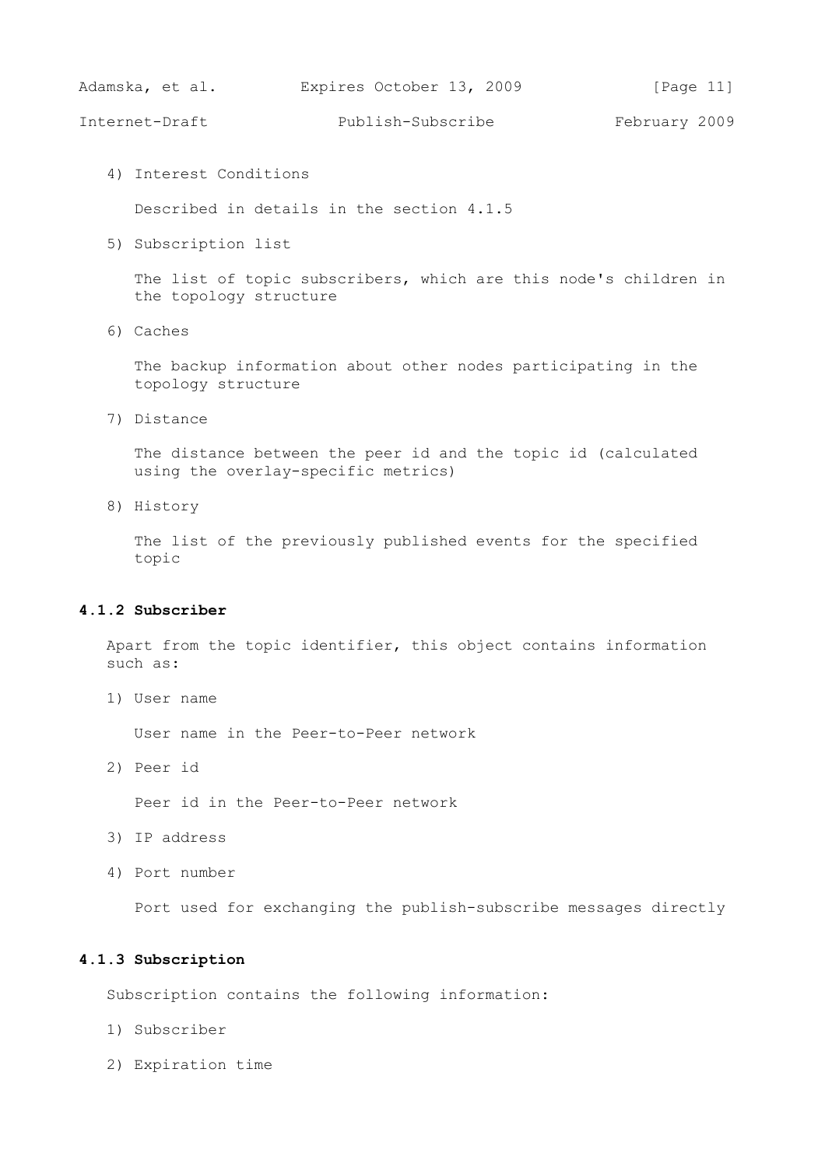Adamska, et al. Expires October 13, 2009 [Page 11]

Internet-Draft Publish-Subscribe February 2009

4) Interest Conditions

Described in details in the section 4.1.5

5) Subscription list

 The list of topic subscribers, which are this node's children in the topology structure

6) Caches

 The backup information about other nodes participating in the topology structure

7) Distance

 The distance between the peer id and the topic id (calculated using the overlay-specific metrics)

8) History

 The list of the previously published events for the specified topic

## **4.1.2 Subscriber**

 Apart from the topic identifier, this object contains information such as:

1) User name

User name in the Peer-to-Peer network

2) Peer id

Peer id in the Peer-to-Peer network

- 3) IP address
- 4) Port number

Port used for exchanging the publish-subscribe messages directly

#### **4.1.3 Subscription**

Subscription contains the following information:

- 1) Subscriber
- 2) Expiration time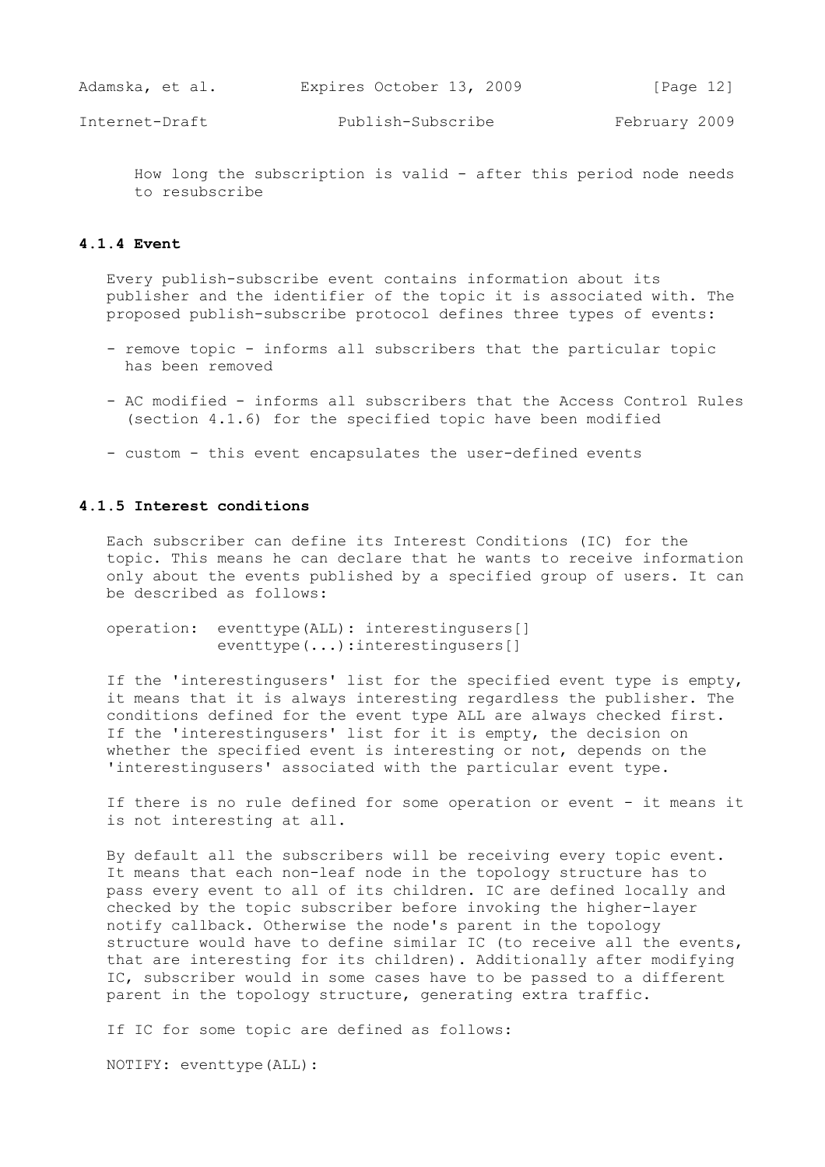| Adamska, et al. |  | Expires October 13, 2009 |  | [Page $12$ ] |  |
|-----------------|--|--------------------------|--|--------------|--|
|                 |  |                          |  |              |  |

 How long the subscription is valid - after this period node needs to resubscribe

## **4.1.4 Event**

 Every publish-subscribe event contains information about its publisher and the identifier of the topic it is associated with. The proposed publish-subscribe protocol defines three types of events:

- remove topic informs all subscribers that the particular topic has been removed
- AC modified informs all subscribers that the Access Control Rules (section 4.1.6) for the specified topic have been modified
- custom this event encapsulates the user-defined events

## **4.1.5 Interest conditions**

 Each subscriber can define its Interest Conditions (IC) for the topic. This means he can declare that he wants to receive information only about the events published by a specified group of users. It can be described as follows:

 operation: eventtype(ALL): interestingusers[] eventtype(...):interestingusers[]

 If the 'interestingusers' list for the specified event type is empty, it means that it is always interesting regardless the publisher. The conditions defined for the event type ALL are always checked first. If the 'interestingusers' list for it is empty, the decision on whether the specified event is interesting or not, depends on the 'interestingusers' associated with the particular event type.

 If there is no rule defined for some operation or event - it means it is not interesting at all.

 By default all the subscribers will be receiving every topic event. It means that each non-leaf node in the topology structure has to pass every event to all of its children. IC are defined locally and checked by the topic subscriber before invoking the higher-layer notify callback. Otherwise the node's parent in the topology structure would have to define similar IC (to receive all the events, that are interesting for its children). Additionally after modifying IC, subscriber would in some cases have to be passed to a different parent in the topology structure, generating extra traffic.

If IC for some topic are defined as follows:

NOTIFY: eventtype(ALL):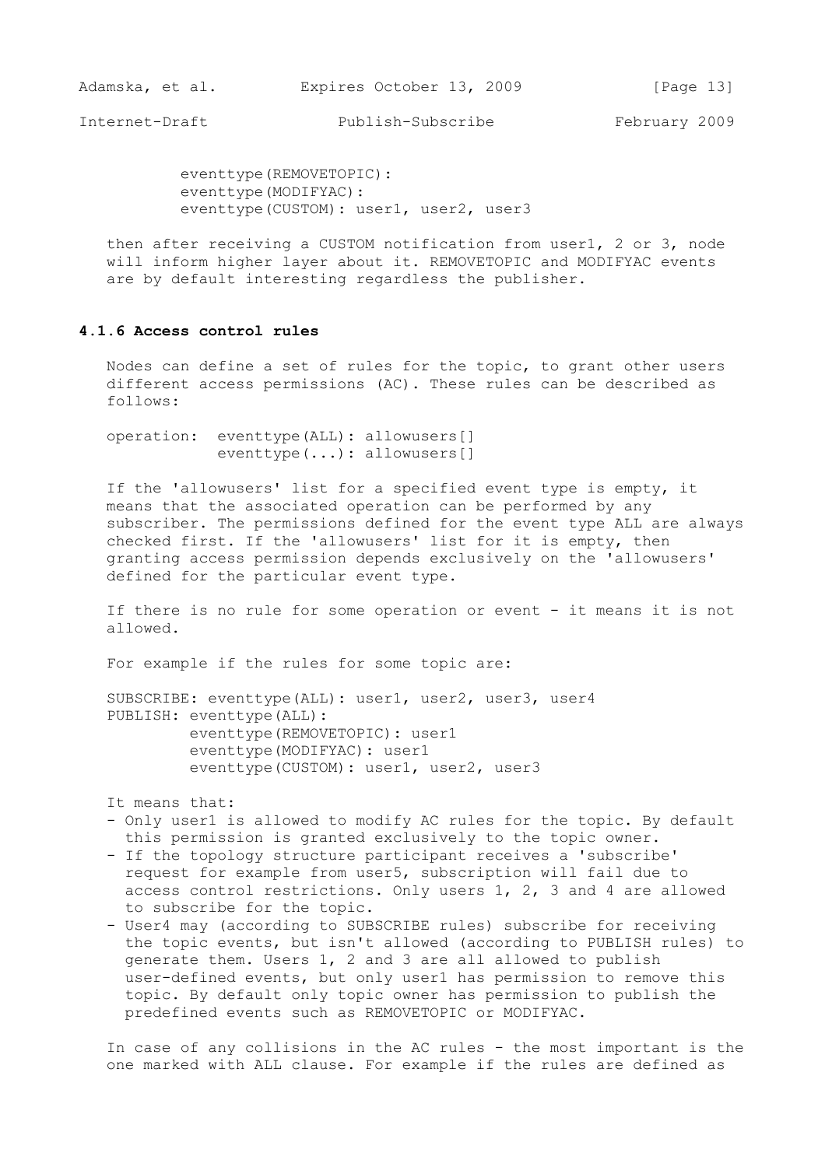eventtype(REMOVETOPIC): eventtype(MODIFYAC): eventtype(CUSTOM): user1, user2, user3

 then after receiving a CUSTOM notification from user1, 2 or 3, node will inform higher layer about it. REMOVETOPIC and MODIFYAC events are by default interesting regardless the publisher.

## **4.1.6 Access control rules**

 Nodes can define a set of rules for the topic, to grant other users different access permissions (AC). These rules can be described as follows:

 operation: eventtype(ALL): allowusers[] eventtype(...): allowusers[]

 If the 'allowusers' list for a specified event type is empty, it means that the associated operation can be performed by any subscriber. The permissions defined for the event type ALL are always checked first. If the 'allowusers' list for it is empty, then granting access permission depends exclusively on the 'allowusers' defined for the particular event type.

 If there is no rule for some operation or event - it means it is not allowed.

For example if the rules for some topic are:

 SUBSCRIBE: eventtype(ALL): user1, user2, user3, user4 PUBLISH: eventtype(ALL): eventtype(REMOVETOPIC): user1 eventtype(MODIFYAC): user1 eventtype(CUSTOM): user1, user2, user3

It means that:

- Only user1 is allowed to modify AC rules for the topic. By default this permission is granted exclusively to the topic owner.
- If the topology structure participant receives a 'subscribe' request for example from user5, subscription will fail due to access control restrictions. Only users 1, 2, 3 and 4 are allowed to subscribe for the topic.
- User4 may (according to SUBSCRIBE rules) subscribe for receiving the topic events, but isn't allowed (according to PUBLISH rules) to generate them. Users 1, 2 and 3 are all allowed to publish user-defined events, but only user1 has permission to remove this topic. By default only topic owner has permission to publish the predefined events such as REMOVETOPIC or MODIFYAC.

 In case of any collisions in the AC rules - the most important is the one marked with ALL clause. For example if the rules are defined as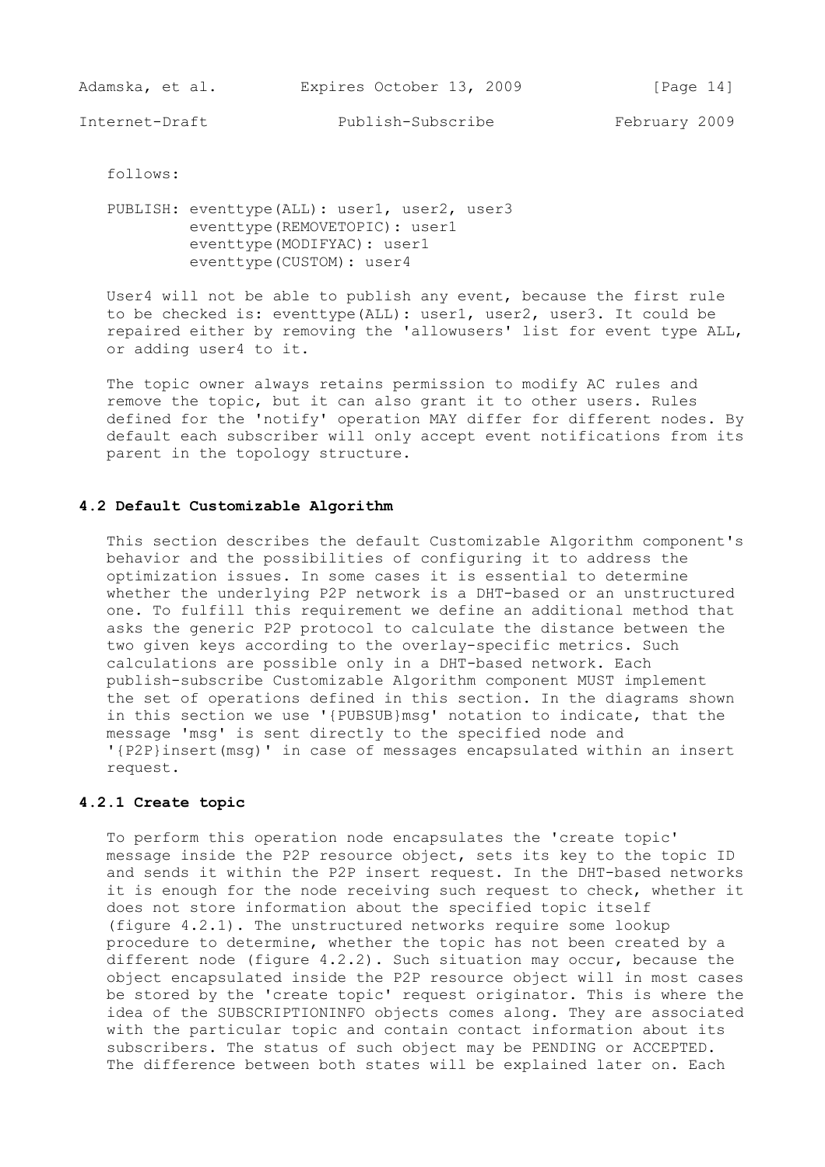Adamska, et al. Expires October 13, 2009 [Page 14]

Internet-Draft Publish-Subscribe February 2009

follows:

PUBLISH: eventtype(ALL): user1, user2, user3 eventtype(REMOVETOPIC): user1 eventtype(MODIFYAC): user1 eventtype(CUSTOM): user4

 User4 will not be able to publish any event, because the first rule to be checked is: eventtype(ALL): user1, user2, user3. It could be repaired either by removing the 'allowusers' list for event type ALL, or adding user4 to it.

 The topic owner always retains permission to modify AC rules and remove the topic, but it can also grant it to other users. Rules defined for the 'notify' operation MAY differ for different nodes. By default each subscriber will only accept event notifications from its parent in the topology structure.

### **4.2 Default Customizable Algorithm**

 This section describes the default Customizable Algorithm component's behavior and the possibilities of configuring it to address the optimization issues. In some cases it is essential to determine whether the underlying P2P network is a DHT-based or an unstructured one. To fulfill this requirement we define an additional method that asks the generic P2P protocol to calculate the distance between the two given keys according to the overlay-specific metrics. Such calculations are possible only in a DHT-based network. Each publish-subscribe Customizable Algorithm component MUST implement the set of operations defined in this section. In the diagrams shown in this section we use '{PUBSUB}msg' notation to indicate, that the message 'msg' is sent directly to the specified node and '{P2P}insert(msg)' in case of messages encapsulated within an insert request.

## **4.2.1 Create topic**

 To perform this operation node encapsulates the 'create topic' message inside the P2P resource object, sets its key to the topic ID and sends it within the P2P insert request. In the DHT-based networks it is enough for the node receiving such request to check, whether it does not store information about the specified topic itself (figure 4.2.1). The unstructured networks require some lookup procedure to determine, whether the topic has not been created by a different node (figure 4.2.2). Such situation may occur, because the object encapsulated inside the P2P resource object will in most cases be stored by the 'create topic' request originator. This is where the idea of the SUBSCRIPTIONINFO objects comes along. They are associated with the particular topic and contain contact information about its subscribers. The status of such object may be PENDING or ACCEPTED. The difference between both states will be explained later on. Each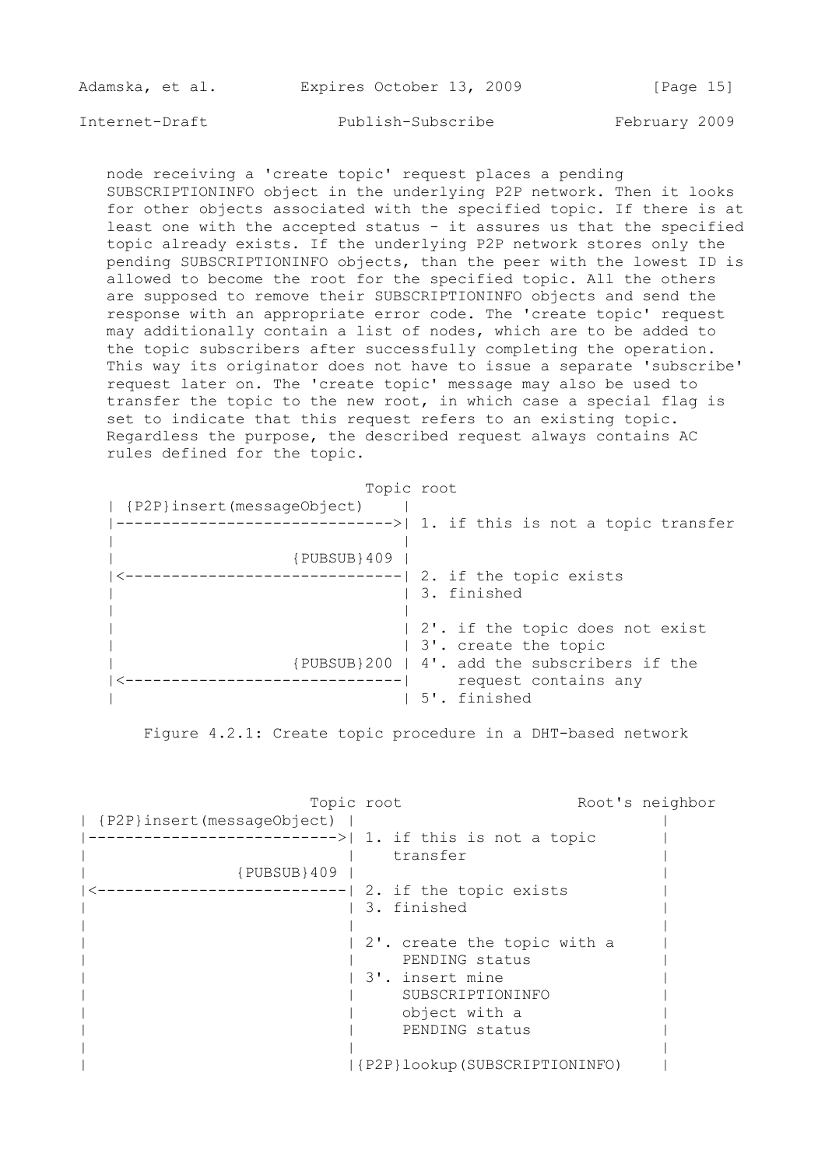| Adamska, et al. |  | Expires October 13, 2009 |  | [Page 15] |  |
|-----------------|--|--------------------------|--|-----------|--|
|                 |  |                          |  |           |  |

 node receiving a 'create topic' request places a pending SUBSCRIPTIONINFO object in the underlying P2P network. Then it looks for other objects associated with the specified topic. If there is at least one with the accepted status - it assures us that the specified topic already exists. If the underlying P2P network stores only the pending SUBSCRIPTIONINFO objects, than the peer with the lowest ID is allowed to become the root for the specified topic. All the others are supposed to remove their SUBSCRIPTIONINFO objects and send the response with an appropriate error code. The 'create topic' request may additionally contain a list of nodes, which are to be added to the topic subscribers after successfully completing the operation. This way its originator does not have to issue a separate 'subscribe' request later on. The 'create topic' message may also be used to transfer the topic to the new root, in which case a special flag is set to indicate that this request refers to an existing topic. Regardless the purpose, the described request always contains AC rules defined for the topic.

| {P2P}insert(messageObject)                   |  |
|----------------------------------------------|--|
|                                              |  |
|                                              |  |
| $\{PUBSUB\}$ 409                             |  |
| ------------  2. if the topic exists         |  |
| 3. finished                                  |  |
|                                              |  |
| 2'. if the topic does not exist              |  |
| 3'. create the topic                         |  |
| {PUBSUB}200   4', add the subscribers if the |  |
| request contains any                         |  |
| 5', finished                                 |  |

Figure 4.2.1: Create topic procedure in a DHT-based network

Topic root Root's neighbor | {P2P}insert(messageObject) | | |--------------------------->| 1. if this is not a topic | | | transfer | | {PUBSUB}409 | | |<---------------------------| 2. if the topic exists | | | 3. finished | 3. finished | 3. finished | 3. finished | 3. finished | 3. finished | 3. finished | 3. finished | 3. finished | 3. finished | 3. finished | 3. finished | 3. finished | 3. finished | 3. finished | 3. finis | | | | 2'. create the topic with a | PENDING status | | 3'. insert mine | | | SUBSCRIPTIONINFO | | | object with a | | | PENDING status | | | | | |{P2P}lookup(SUBSCRIPTIONINFO) |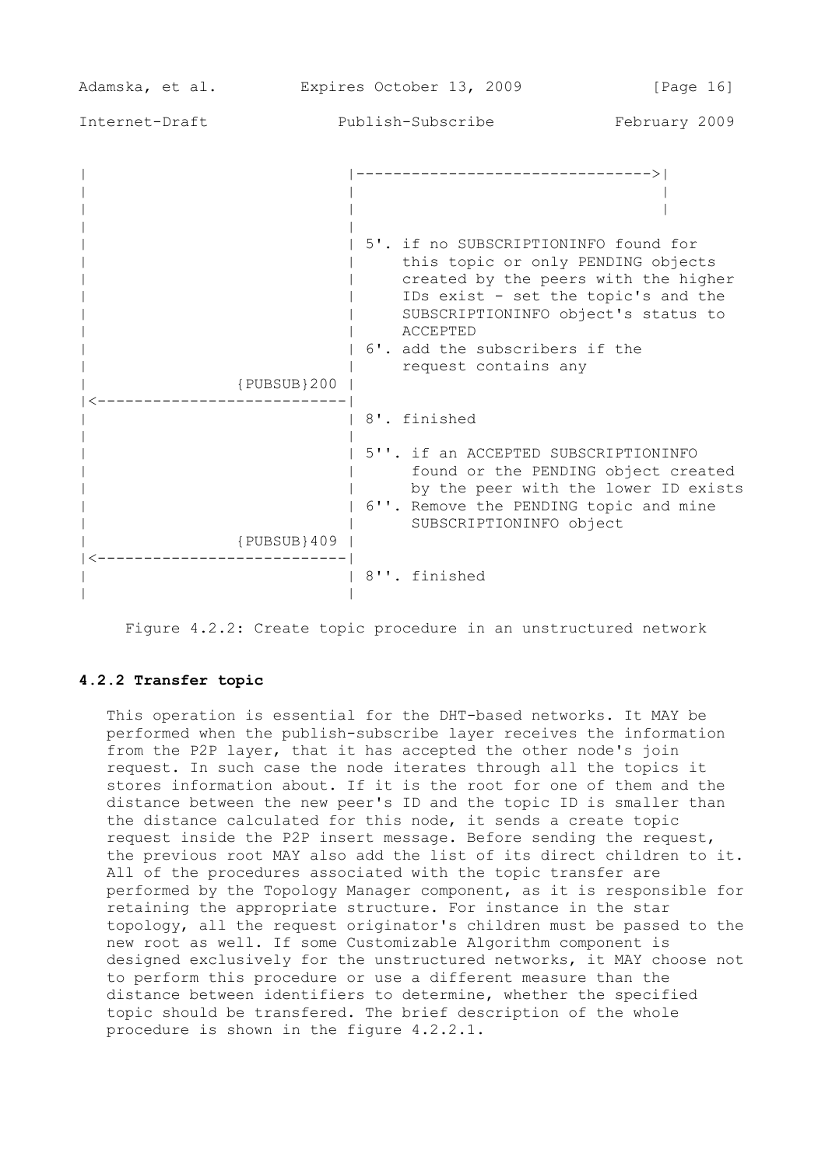| Adamska, et al. | Expires October 13, 2009 | [Page 16]                                                                                                                                                                                                                                                                                                          |               |
|-----------------|--------------------------|--------------------------------------------------------------------------------------------------------------------------------------------------------------------------------------------------------------------------------------------------------------------------------------------------------------------|---------------|
| Internet-Draft  |                          | Publish-Subscribe                                                                                                                                                                                                                                                                                                  | February 2009 |
|                 | ${PUBSUB}200$            | --------------------------------><br>5'. if no SUBSCRIPTIONINFO found for<br>this topic or only PENDING objects<br>created by the peers with the higher<br>IDs exist - set the topic's and the<br>SUBSCRIPTIONINFO object's status to<br><b>ACCEPTED</b><br>6'. add the subscribers if the<br>request contains any |               |
|                 |                          | 8'. finished                                                                                                                                                                                                                                                                                                       |               |
|                 | ${PUBSUB}$ 409           | 5''. if an ACCEPTED SUBSCRIPTIONINFO<br>found or the PENDING object created<br>by the peer with the lower ID exists<br>6''. Remove the PENDING topic and mine<br>SUBSCRIPTIONINFO object                                                                                                                           |               |
|                 |                          | 8''. finished                                                                                                                                                                                                                                                                                                      |               |

Figure 4.2.2: Create topic procedure in an unstructured network

## **4.2.2 Transfer topic**

 This operation is essential for the DHT-based networks. It MAY be performed when the publish-subscribe layer receives the information from the P2P layer, that it has accepted the other node's join request. In such case the node iterates through all the topics it stores information about. If it is the root for one of them and the distance between the new peer's ID and the topic ID is smaller than the distance calculated for this node, it sends a create topic request inside the P2P insert message. Before sending the request, the previous root MAY also add the list of its direct children to it. All of the procedures associated with the topic transfer are performed by the Topology Manager component, as it is responsible for retaining the appropriate structure. For instance in the star topology, all the request originator's children must be passed to the new root as well. If some Customizable Algorithm component is designed exclusively for the unstructured networks, it MAY choose not to perform this procedure or use a different measure than the distance between identifiers to determine, whether the specified topic should be transfered. The brief description of the whole procedure is shown in the figure 4.2.2.1.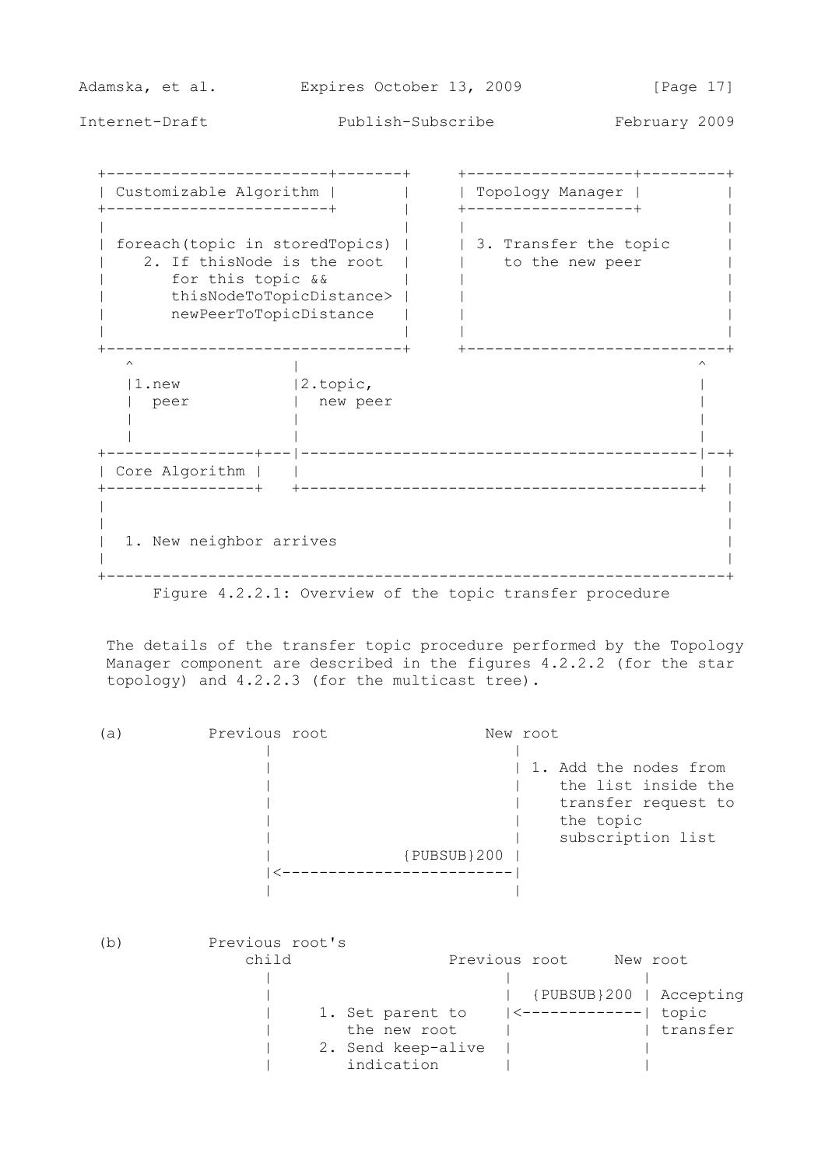Adamska, et al. Expires October 13, 2009 [Page 17] Internet-Draft Publish-Subscribe February 2009 +------------------------+-------+ +------------------+---------+ | Customizable Algorithm | | | Topology Manager | | +------------------------+ | +------------------+ | | | | | | foreach(topic in storedTopics) | | | 3. Transfer the topic | | 2. If thisNode is the root | | | to the new peer | | for this topic && | | | | thisNodeToTopicDistance> | | | | newPeerToTopicDistance | | | | | | | +--------------------------------+ +----------------------------+  $\wedge$   $\qquad \qquad$ |1.new |2.topic, | | peer | new peer | | | | | | | +----------------+---|-------------------------------------------|--+ | Core Algorithm | | | | +----------------+ +-------------------------------------------+ | | | | | | 1. New neighbor arrives | | | +-------------------------------------------------------------------+

Figure 4.2.2.1: Overview of the topic transfer procedure

 The details of the transfer topic procedure performed by the Topology Manager component are described in the figures 4.2.2.2 (for the star topology) and 4.2.2.3 (for the multicast tree).

 (a) Previous root New root | | | | 1. Add the nodes from | the list inside the | | transfer request to | | the topic | | subscription list | {PUBSUB}200 | |<-------------------------| | |

| b | Previous root's |                    |                    |                         |
|---|-----------------|--------------------|--------------------|-------------------------|
|   | child           |                    | Previous root      | New root                |
|   |                 |                    |                    |                         |
|   |                 |                    |                    | {PUBSUB}200   Accepting |
|   |                 | 1. Set parent to   | $ $ <------------- | topic                   |
|   |                 | the new root       |                    | transfer                |
|   |                 | 2. Send keep-alive |                    |                         |
|   |                 | indication         |                    |                         |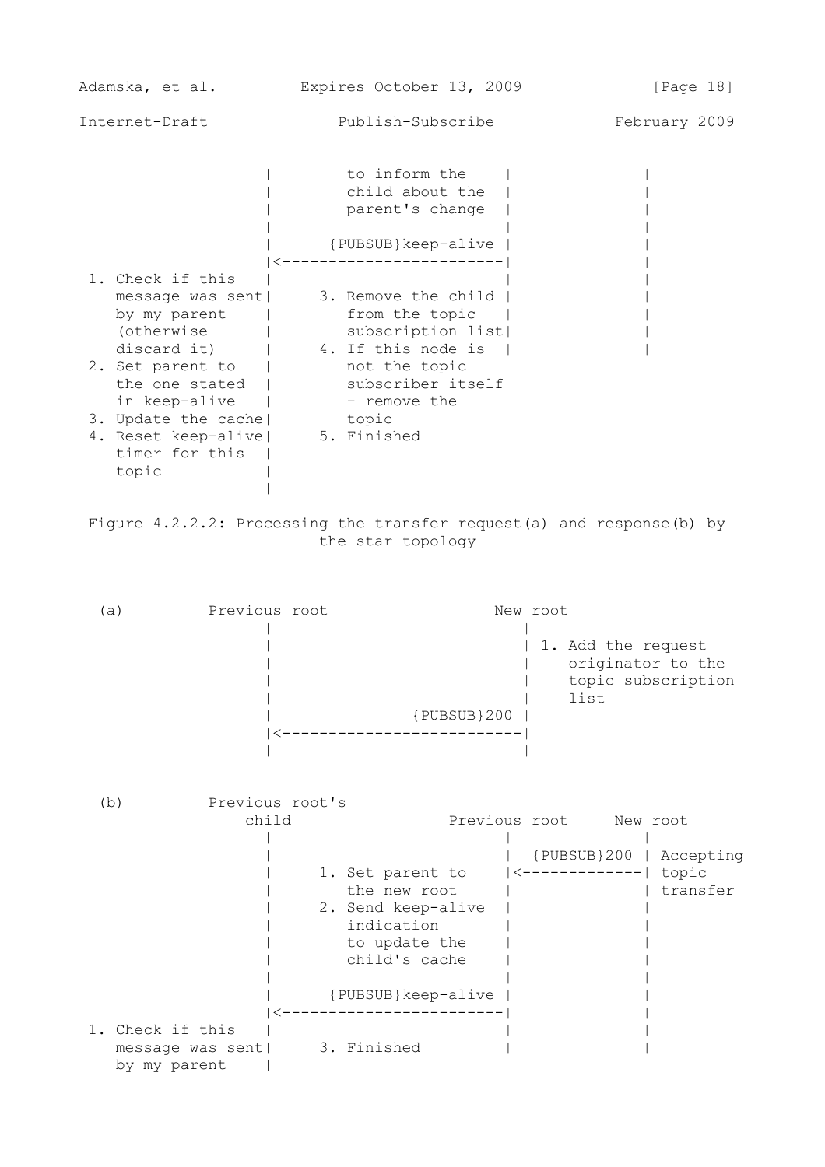| Adamska, et al.                                                                            | Expires October 13, 2009                                                                             | [Page 18]     |
|--------------------------------------------------------------------------------------------|------------------------------------------------------------------------------------------------------|---------------|
| Internet-Draft                                                                             | Publish-Subscribe                                                                                    | February 2009 |
|                                                                                            | to inform the<br>child about the<br>parent's change                                                  |               |
|                                                                                            | {PUBSUB}keep-alive                                                                                   |               |
| 1. Check if this<br>message was sent <br>by my parent<br>(otherwise                        | 3. Remove the child<br>from the topic<br>subscription list<br>discard it) $\vert$ 4. If this node is |               |
| 2. Set parent to<br>the one stated  <br>in keep-alive                                      | not the topic<br>subscriber itself<br>  - remove the                                                 |               |
| 3. Update the cache  topic<br>4. Reset keep-alive   5. Finished<br>timer for this<br>topic |                                                                                                      |               |

 Figure 4.2.2.2: Processing the transfer request(a) and response(b) by the star topology

|

 (a) Previous root New root | | | 1. Add the request | | originator to the | | topic subscription | list | {PUBSUB}200 | |<--------------------------| | | (b) Previous root's<br>child Previous root New root | | | | | {PUBSUB}200 | Accepting | 1. Set parent to |<-------------| topic | the new root | | transfer | 2. Send keep-alive | | | indication | | | to update the | | | child's cache | | | | | | {PUBSUB}keep-alive | | |<------------------------| | 1. Check if this | | | message was sent| 3. Finished | by my parent |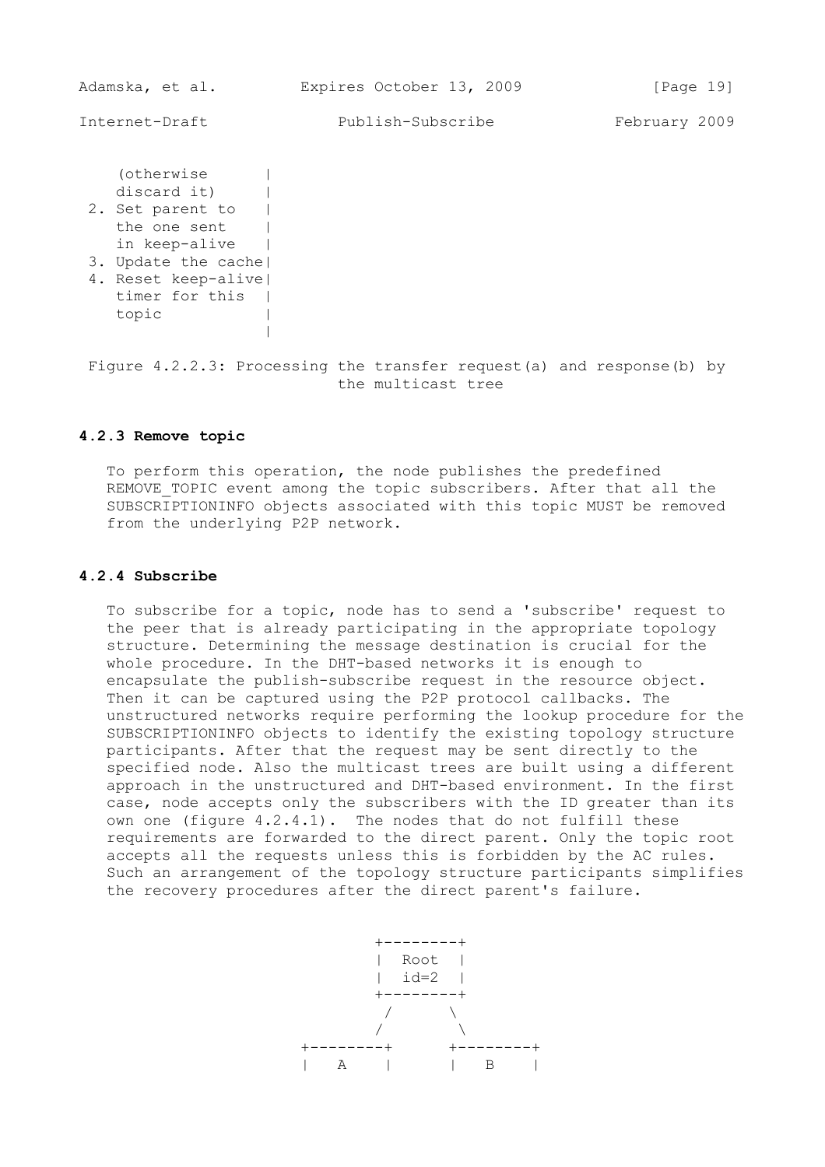(otherwise | discard it) | 2. Set parent to | the one sent | in keep-alive | 3. Update the cache| 4. Reset keep-alive|

 timer for this | topic | |

 Figure 4.2.2.3: Processing the transfer request(a) and response(b) by the multicast tree

## **4.2.3 Remove topic**

 To perform this operation, the node publishes the predefined REMOVE TOPIC event among the topic subscribers. After that all the SUBSCRIPTIONINFO objects associated with this topic MUST be removed from the underlying P2P network.

#### **4.2.4 Subscribe**

 To subscribe for a topic, node has to send a 'subscribe' request to the peer that is already participating in the appropriate topology structure. Determining the message destination is crucial for the whole procedure. In the DHT-based networks it is enough to encapsulate the publish-subscribe request in the resource object. Then it can be captured using the P2P protocol callbacks. The unstructured networks require performing the lookup procedure for the SUBSCRIPTIONINFO objects to identify the existing topology structure participants. After that the request may be sent directly to the specified node. Also the multicast trees are built using a different approach in the unstructured and DHT-based environment. In the first case, node accepts only the subscribers with the ID greater than its own one (figure  $4.2.4.1$ ). The nodes that do not fulfill these requirements are forwarded to the direct parent. Only the topic root accepts all the requests unless this is forbidden by the AC rules. Such an arrangement of the topology structure participants simplifies the recovery procedures after the direct parent's failure.

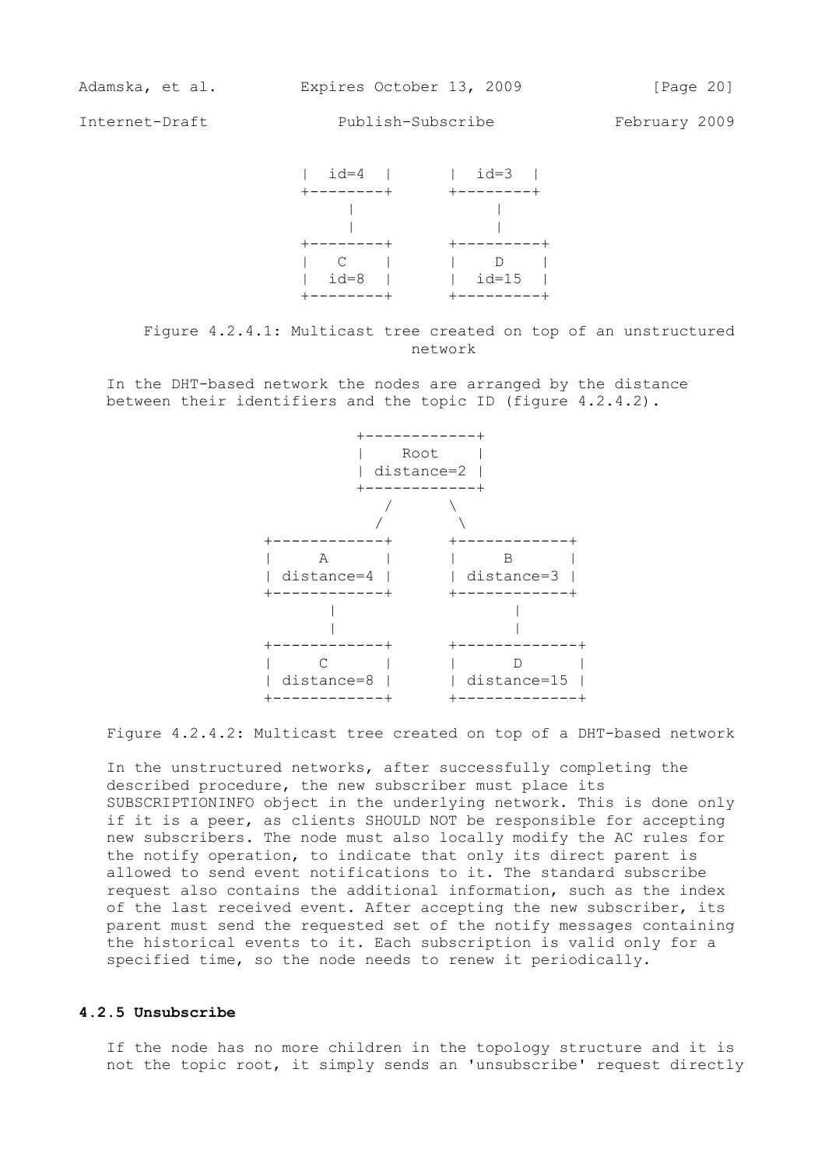

 Figure 4.2.4.1: Multicast tree created on top of an unstructured network

 In the DHT-based network the nodes are arranged by the distance between their identifiers and the topic ID (figure 4.2.4.2).



Figure 4.2.4.2: Multicast tree created on top of a DHT-based network

 In the unstructured networks, after successfully completing the described procedure, the new subscriber must place its SUBSCRIPTIONINFO object in the underlying network. This is done only if it is a peer, as clients SHOULD NOT be responsible for accepting new subscribers. The node must also locally modify the AC rules for the notify operation, to indicate that only its direct parent is allowed to send event notifications to it. The standard subscribe request also contains the additional information, such as the index of the last received event. After accepting the new subscriber, its parent must send the requested set of the notify messages containing the historical events to it. Each subscription is valid only for a specified time, so the node needs to renew it periodically.

#### **4.2.5 Unsubscribe**

 If the node has no more children in the topology structure and it is not the topic root, it simply sends an 'unsubscribe' request directly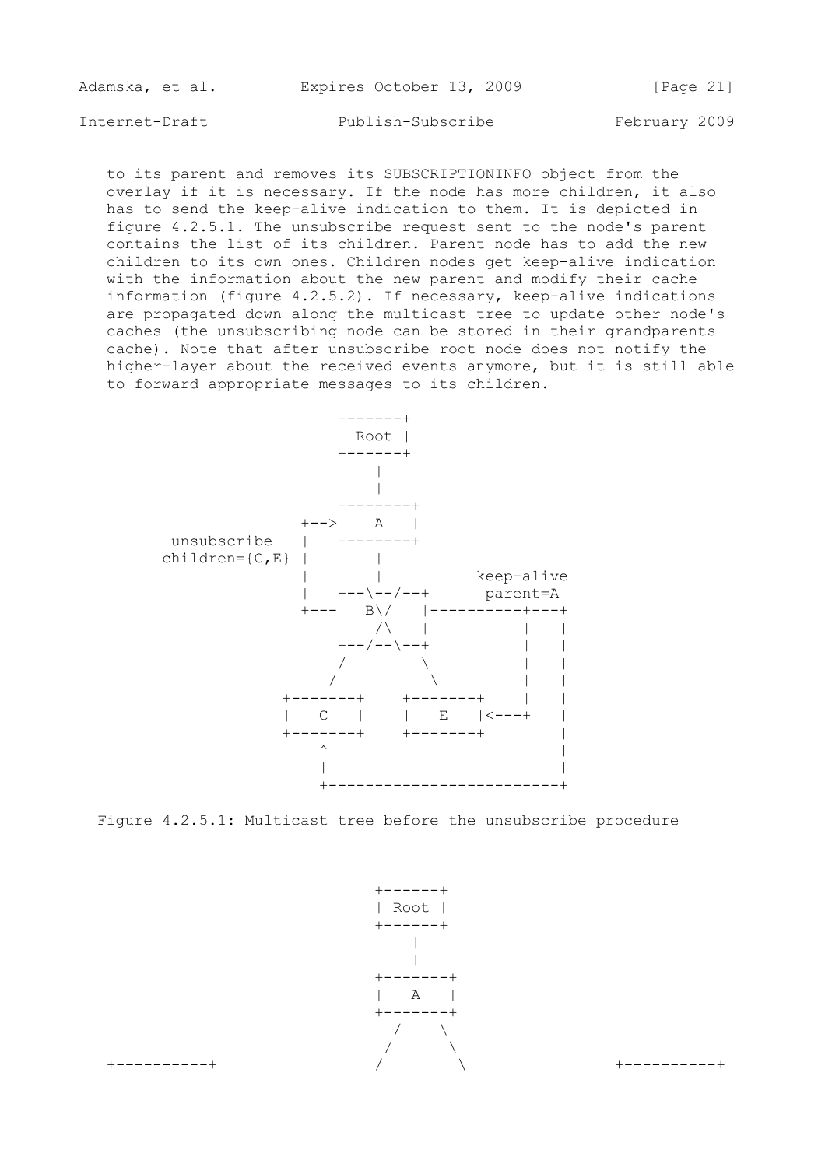| Adamska, et al. |  | Expires October 13, 2009 |  | [Page 21] |  |
|-----------------|--|--------------------------|--|-----------|--|
|                 |  |                          |  |           |  |

 to its parent and removes its SUBSCRIPTIONINFO object from the overlay if it is necessary. If the node has more children, it also has to send the keep-alive indication to them. It is depicted in figure 4.2.5.1. The unsubscribe request sent to the node's parent contains the list of its children. Parent node has to add the new children to its own ones. Children nodes get keep-alive indication with the information about the new parent and modify their cache information (figure 4.2.5.2). If necessary, keep-alive indications are propagated down along the multicast tree to update other node's caches (the unsubscribing node can be stored in their grandparents cache). Note that after unsubscribe root node does not notify the higher-layer about the received events anymore, but it is still able to forward appropriate messages to its children.



Figure 4.2.5.1: Multicast tree before the unsubscribe procedure



+----------+ / \ +----------+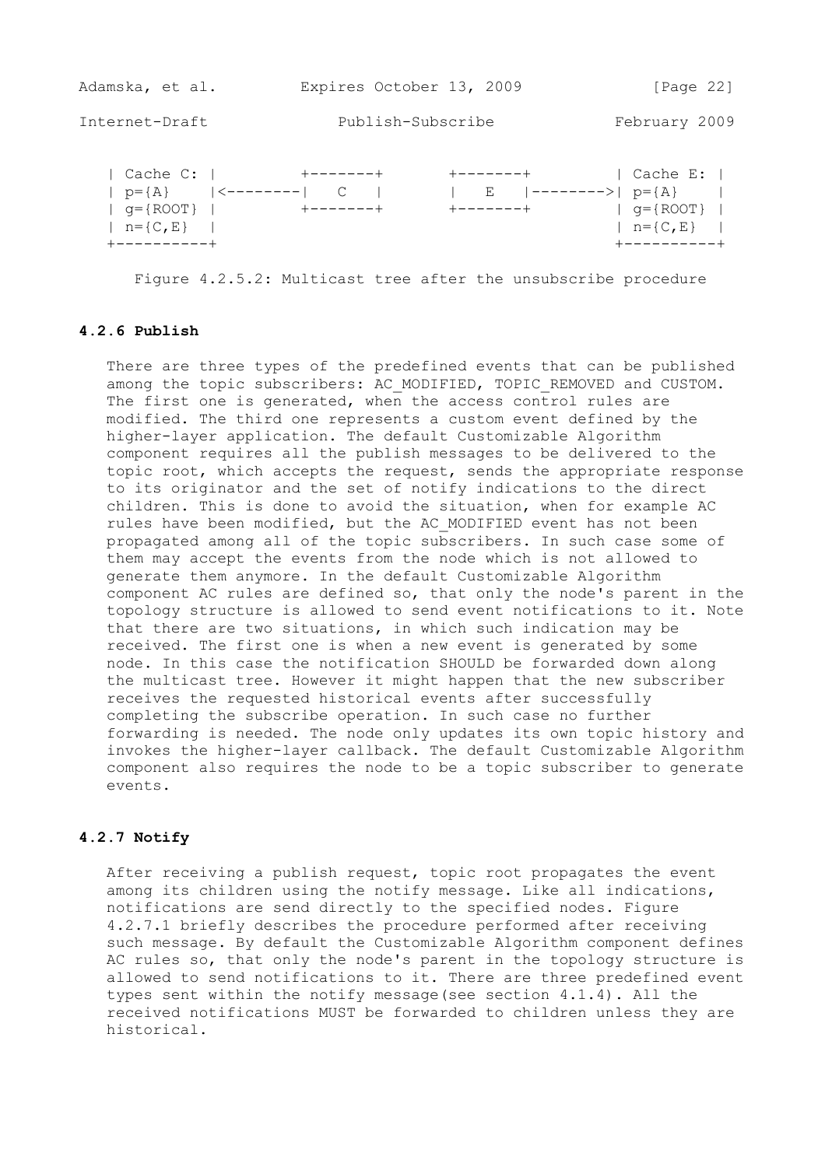| Adamska, et al.                                                                                | Expires October 13, 2009       |                                                                     | [Page $22$ ]                                                      |
|------------------------------------------------------------------------------------------------|--------------------------------|---------------------------------------------------------------------|-------------------------------------------------------------------|
| Internet-Draft                                                                                 | Publish-Subscribe              |                                                                     | February 2009                                                     |
| Cache C:<br>$p = \{A\}$<br>  <-------- <br>$q = \{$ ROOT $\}$<br>$n = \{C, E\}$<br>----------+ | +-------+<br>$+ - - - - - - +$ | $+ - - - - - - +$<br>$ ------->  p = {A}$<br>Е<br>$+ - - - - - - +$ | Cache E:  <br>$q = \{$ ROOT $\}$<br>$n = \{C, E\}$<br>----------+ |

Figure 4.2.5.2: Multicast tree after the unsubscribe procedure

## **4.2.6 Publish**

 There are three types of the predefined events that can be published among the topic subscribers: AC MODIFIED, TOPIC REMOVED and CUSTOM. The first one is generated, when the access control rules are modified. The third one represents a custom event defined by the higher-layer application. The default Customizable Algorithm component requires all the publish messages to be delivered to the topic root, which accepts the request, sends the appropriate response to its originator and the set of notify indications to the direct children. This is done to avoid the situation, when for example AC rules have been modified, but the AC MODIFIED event has not been propagated among all of the topic subscribers. In such case some of them may accept the events from the node which is not allowed to generate them anymore. In the default Customizable Algorithm component AC rules are defined so, that only the node's parent in the topology structure is allowed to send event notifications to it. Note that there are two situations, in which such indication may be received. The first one is when a new event is generated by some node. In this case the notification SHOULD be forwarded down along the multicast tree. However it might happen that the new subscriber receives the requested historical events after successfully completing the subscribe operation. In such case no further forwarding is needed. The node only updates its own topic history and invokes the higher-layer callback. The default Customizable Algorithm component also requires the node to be a topic subscriber to generate events.

## **4.2.7 Notify**

 After receiving a publish request, topic root propagates the event among its children using the notify message. Like all indications, notifications are send directly to the specified nodes. Figure 4.2.7.1 briefly describes the procedure performed after receiving such message. By default the Customizable Algorithm component defines AC rules so, that only the node's parent in the topology structure is allowed to send notifications to it. There are three predefined event types sent within the notify message(see section 4.1.4). All the received notifications MUST be forwarded to children unless they are historical.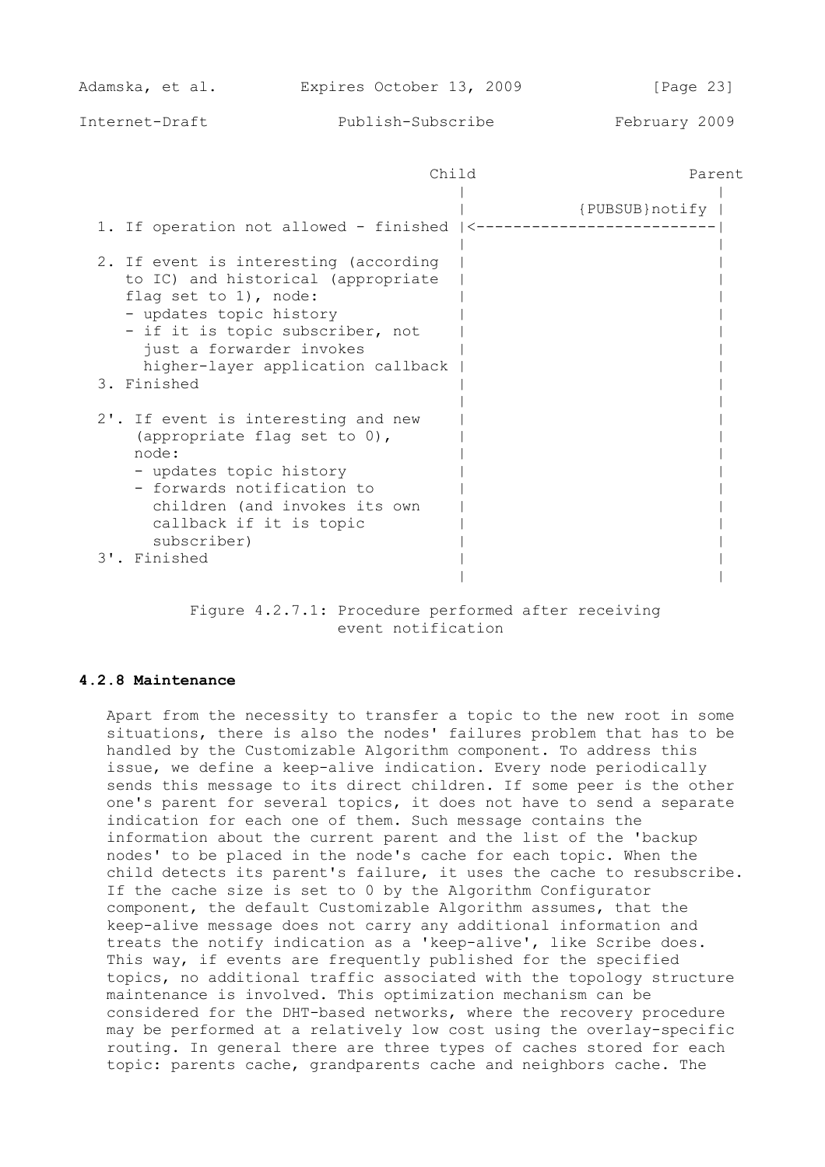| $\neg$ $\lambda$ $\vdots$<br>.<br>⊣∼<br>UIIIU | Parent |
|-----------------------------------------------|--------|
|                                               |        |

| 1. If operation not allowed - finished $ $ <----                                                                                                                                                                                                       | {PUBSUB}notify} |
|--------------------------------------------------------------------------------------------------------------------------------------------------------------------------------------------------------------------------------------------------------|-----------------|
| 2. If event is interesting (according<br>to IC) and historical (appropriate<br>flag set to $1)$ , node:<br>- updates topic history<br>- if it is topic subscriber, not<br>just a forwarder invokes<br>higher-layer application callback<br>3. Finished |                 |
| 2'. If event is interesting and new<br>(appropriate flag set to 0),<br>node:<br>- updates topic history<br>- forwards notification to<br>children (and invokes its own<br>callback if it is topic<br>subscriber)<br>3'. Finished                       |                 |

 Figure 4.2.7.1: Procedure performed after receiving event notification

## **4.2.8 Maintenance**

 Apart from the necessity to transfer a topic to the new root in some situations, there is also the nodes' failures problem that has to be handled by the Customizable Algorithm component. To address this issue, we define a keep-alive indication. Every node periodically sends this message to its direct children. If some peer is the other one's parent for several topics, it does not have to send a separate indication for each one of them. Such message contains the information about the current parent and the list of the 'backup nodes' to be placed in the node's cache for each topic. When the child detects its parent's failure, it uses the cache to resubscribe. If the cache size is set to 0 by the Algorithm Configurator component, the default Customizable Algorithm assumes, that the keep-alive message does not carry any additional information and treats the notify indication as a 'keep-alive', like Scribe does. This way, if events are frequently published for the specified topics, no additional traffic associated with the topology structure maintenance is involved. This optimization mechanism can be considered for the DHT-based networks, where the recovery procedure may be performed at a relatively low cost using the overlay-specific routing. In general there are three types of caches stored for each topic: parents cache, grandparents cache and neighbors cache. The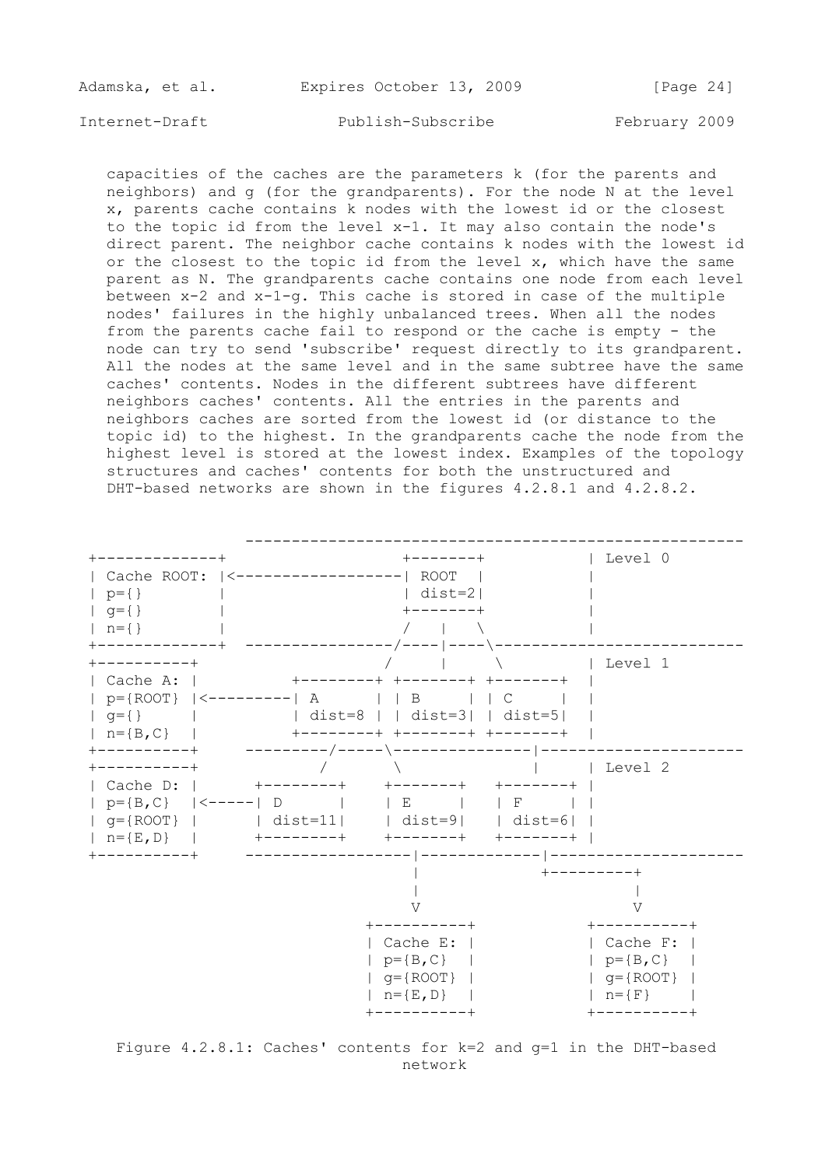| Adamska, et al. |  | Expires October 13, 2009 |  | [Page 24] |  |
|-----------------|--|--------------------------|--|-----------|--|
|                 |  |                          |  |           |  |

 capacities of the caches are the parameters k (for the parents and neighbors) and g (for the grandparents). For the node N at the level x, parents cache contains k nodes with the lowest id or the closest to the topic id from the level x-1. It may also contain the node's direct parent. The neighbor cache contains k nodes with the lowest id or the closest to the topic id from the level  $x$ , which have the same parent as N. The grandparents cache contains one node from each level between  $x-2$  and  $x-1-q$ . This cache is stored in case of the multiple nodes' failures in the highly unbalanced trees. When all the nodes from the parents cache fail to respond or the cache is empty - the node can try to send 'subscribe' request directly to its grandparent. All the nodes at the same level and in the same subtree have the same caches' contents. Nodes in the different subtrees have different neighbors caches' contents. All the entries in the parents and neighbors caches are sorted from the lowest id (or distance to the topic id) to the highest. In the grandparents cache the node from the highest level is stored at the lowest index. Examples of the topology structures and caches' contents for both the unstructured and DHT-based networks are shown in the figures 4.2.8.1 and 4.2.8.2.



 Figure 4.2.8.1: Caches' contents for k=2 and g=1 in the DHT-based network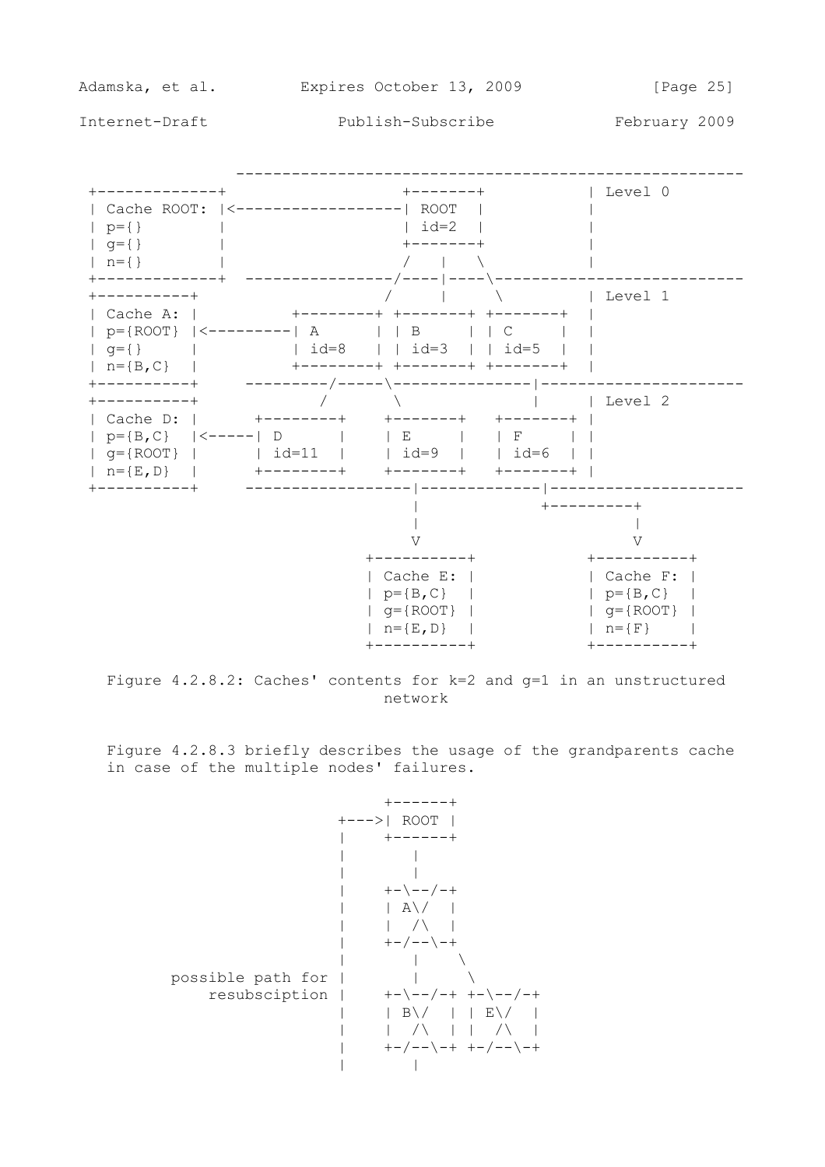

Figure  $4.2.8.2$ : Caches' contents for  $k=2$  and  $q=1$  in an unstructured network

 Figure 4.2.8.3 briefly describes the usage of the grandparents cache in case of the multiple nodes' failures.

 +------+ +--->| ROOT | | +------+ | | | | | +-\--/-+ | | A\/ | | | /\ | | +-/--\-+ | | \ possible path for | | \ resubsciption | +-\--/-+ +-\--/-+ | | B\/ | | E\/ | | | /\ | | /\ | | +-/--\-+ +-/--\-+ | |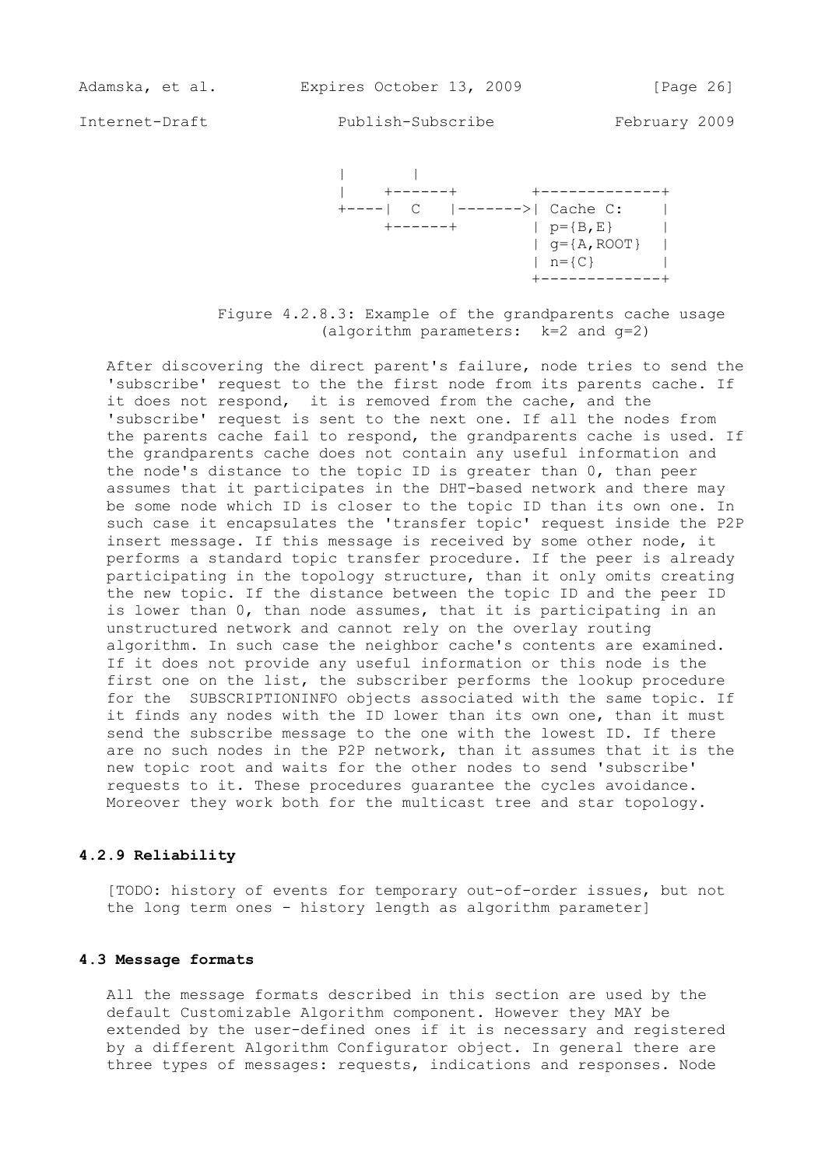

 Figure 4.2.8.3: Example of the grandparents cache usage (algorithm parameters: k=2 and g=2)

 After discovering the direct parent's failure, node tries to send the 'subscribe' request to the the first node from its parents cache. If it does not respond, it is removed from the cache, and the 'subscribe' request is sent to the next one. If all the nodes from the parents cache fail to respond, the grandparents cache is used. If the grandparents cache does not contain any useful information and the node's distance to the topic ID is greater than 0, than peer assumes that it participates in the DHT-based network and there may be some node which ID is closer to the topic ID than its own one. In such case it encapsulates the 'transfer topic' request inside the P2P insert message. If this message is received by some other node, it performs a standard topic transfer procedure. If the peer is already participating in the topology structure, than it only omits creating the new topic. If the distance between the topic ID and the peer ID is lower than 0, than node assumes, that it is participating in an unstructured network and cannot rely on the overlay routing algorithm. In such case the neighbor cache's contents are examined. If it does not provide any useful information or this node is the first one on the list, the subscriber performs the lookup procedure for the SUBSCRIPTIONINFO objects associated with the same topic. If it finds any nodes with the ID lower than its own one, than it must send the subscribe message to the one with the lowest ID. If there are no such nodes in the P2P network, than it assumes that it is the new topic root and waits for the other nodes to send 'subscribe' requests to it. These procedures guarantee the cycles avoidance. Moreover they work both for the multicast tree and star topology.

### **4.2.9 Reliability**

 [TODO: history of events for temporary out-of-order issues, but not the long term ones - history length as algorithm parameter]

#### **4.3 Message formats**

 All the message formats described in this section are used by the default Customizable Algorithm component. However they MAY be extended by the user-defined ones if it is necessary and registered by a different Algorithm Configurator object. In general there are three types of messages: requests, indications and responses. Node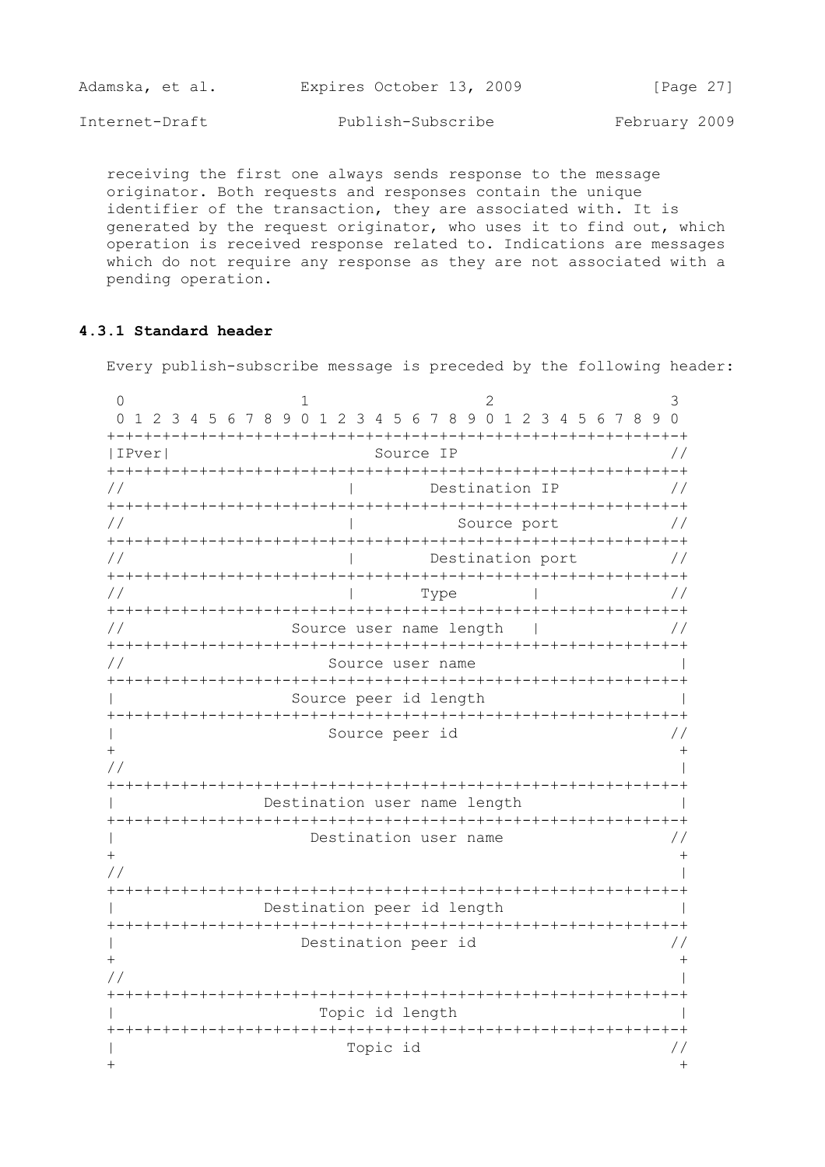| Adamska, et al. | Expires October 13, 2009 | [Page 27]     |
|-----------------|--------------------------|---------------|
| Internet-Draft  | Publish-Subscribe        | February 2009 |

 receiving the first one always sends response to the message originator. Both requests and responses contain the unique identifier of the transaction, they are associated with. It is generated by the request originator, who uses it to find out, which operation is received response related to. Indications are messages which do not require any response as they are not associated with a pending operation.

## **4.3.1 Standard header**

Every publish-subscribe message is preceded by the following header:

| IPver         | Source IP                                                                          |               |
|---------------|------------------------------------------------------------------------------------|---------------|
| $\frac{1}{2}$ | Destination IP                                                                     | $\frac{1}{2}$ |
| $\frac{1}{2}$ | Source port                                                                        | $\frac{1}{2}$ |
| $\frac{1}{2}$ | Destination port                                                                   | $\frac{1}{2}$ |
| $\frac{1}{2}$ | Type                                                                               | $\frac{1}{2}$ |
| $\frac{1}{2}$ | Source user name length                                                            | $\frac{1}{2}$ |
| $\frac{1}{2}$ | Source user name                                                                   |               |
|               | Source peer id length                                                              |               |
| $^{+}$        | Source peer id                                                                     |               |
|               |                                                                                    |               |
|               | Destination user name length                                                       |               |
| $^{+}$        | Destination user name                                                              |               |
|               |                                                                                    |               |
|               | Destination peer id length                                                         |               |
|               | Destination peer id                                                                |               |
| $^{+}$        |                                                                                    |               |
|               | -+-+-+-+-+-+-+-+-+-+-+-+-+-+-+-+-+-<br><b>-</b> +-+-+-+-+-+-+-+<br>Topic id length |               |
|               | Topic id                                                                           |               |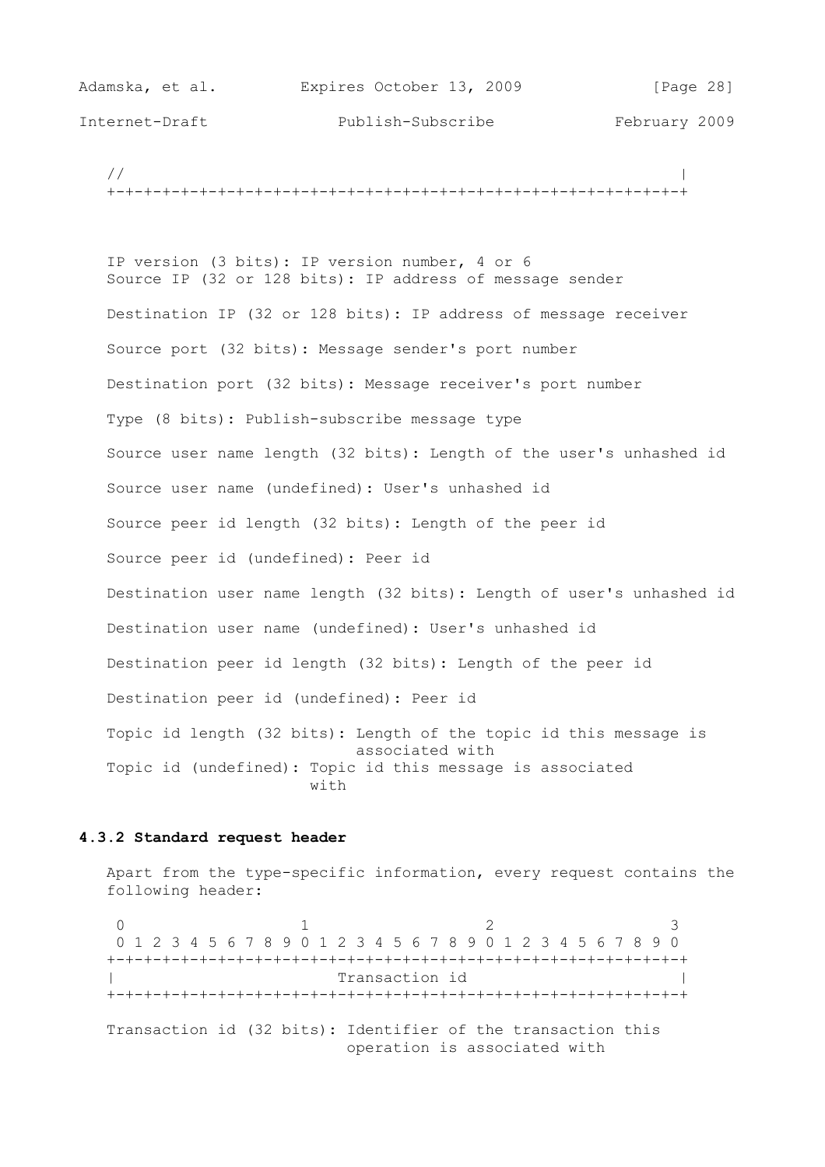| Adamska, et al. | Expires October 13, 2009 | [Page 28]     |
|-----------------|--------------------------|---------------|
| Internet-Draft  | Publish-Subscribe        | February 2009 |

 // | +-+-+-+-+-+-+-+-+-+-+-+-+-+-+-+-+-+-+-+-+-+-+-+-+-+-+-+-+-+-+-+

 IP version (3 bits): IP version number, 4 or 6 Source IP (32 or 128 bits): IP address of message sender Destination IP (32 or 128 bits): IP address of message receiver Source port (32 bits): Message sender's port number Destination port (32 bits): Message receiver's port number Type (8 bits): Publish-subscribe message type Source user name length (32 bits): Length of the user's unhashed id Source user name (undefined): User's unhashed id Source peer id length (32 bits): Length of the peer id Source peer id (undefined): Peer id Destination user name length (32 bits): Length of user's unhashed id Destination user name (undefined): User's unhashed id Destination peer id length (32 bits): Length of the peer id Destination peer id (undefined): Peer id Topic id length (32 bits): Length of the topic id this message is associated with Topic id (undefined): Topic id this message is associated with

## **4.3.2 Standard request header**

 Apart from the type-specific information, every request contains the following header:

 $0$  1 2 3 0 1 2 3 4 5 6 7 8 9 0 1 2 3 4 5 6 7 8 9 0 1 2 3 4 5 6 7 8 9 0 +-+-+-+-+-+-+-+-+-+-+-+-+-+-+-+-+-+-+-+-+-+-+-+-+-+-+-+-+-+-+-+ Transaction id +-+-+-+-+-+-+-+-+-+-+-+-+-+-+-+-+-+-+-+-+-+-+-+-+-+-+-+-+-+-+-+ Transaction id (32 bits): Identifier of the transaction this operation is associated with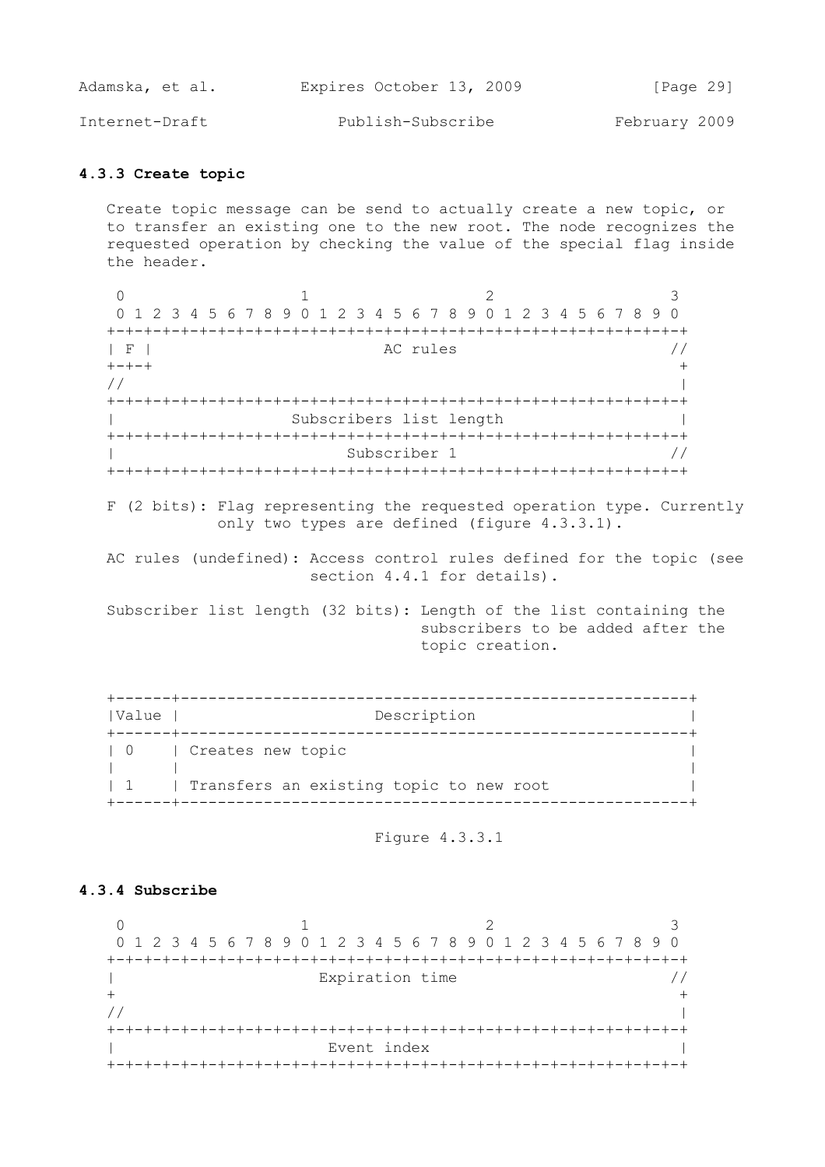| Adamska, et al. | Expires October 13, 2009 | [Page 29]     |
|-----------------|--------------------------|---------------|
| Internet-Draft  | Publish-Subscribe        | February 2009 |

### **4.3.3 Create topic**

 Create topic message can be send to actually create a new topic, or to transfer an existing one to the new root. The node recognizes the requested operation by checking the value of the special flag inside the header.

 $0$  1 2 3 0 1 2 3 4 5 6 7 8 9 0 1 2 3 4 5 6 7 8 9 0 1 2 3 4 5 6 7 8 9 0 +-+-+-+-+-+-+-+-+-+-+-+-+-+-+-+-+-+-+-+-+-+-+-+-+-+-+-+-+-+-+-+  $AC$  rules  $//$  +-+-+ + // | +-+-+-+-+-+-+-+-+-+-+-+-+-+-+-+-+-+-+-+-+-+-+-+-+-+-+-+-+-+-+-+ | Subscribers list length | +-+-+-+-+-+-+-+-+-+-+-+-+-+-+-+-+-+-+-+-+-+-+-+-+-+-+-+-+-+-+-+ | Subscriber 1 // +-+-+-+-+-+-+-+-+-+-+-+-+-+-+-+-+-+-+-+-+-+-+-+-+-+-+-+-+-+-+-+

 F (2 bits): Flag representing the requested operation type. Currently only two types are defined (figure 4.3.3.1).

 AC rules (undefined): Access control rules defined for the topic (see section 4.4.1 for details).

 Subscriber list length (32 bits): Length of the list containing the subscribers to be added after the topic creation.

| Value       | Description                             |
|-------------|-----------------------------------------|
| $1 \quad 0$ | Creates new topic                       |
| $\sim$ 1    | Transfers an existing topic to new root |

Figure 4.3.3.1

### **4.3.4 Subscribe**

 $0$  1 2 3 0 1 2 3 4 5 6 7 8 9 0 1 2 3 4 5 6 7 8 9 0 1 2 3 4 5 6 7 8 9 0 +-+-+-+-+-+-+-+-+-+-+-+-+-+-+-+-+-+-+-+-+-+-+-+-+-+-+-+-+-+-+-+ | Expiration time //  $+$  // | +-+-+-+-+-+-+-+-+-+-+-+-+-+-+-+-+-+-+-+-+-+-+-+-+-+-+-+-+-+-+-+ | Event index | Event index | I +-+-+-+-+-+-+-+-+-+-+-+-+-+-+-+-+-+-+-+-+-+-+-+-+-+-+-+-+-+-+-+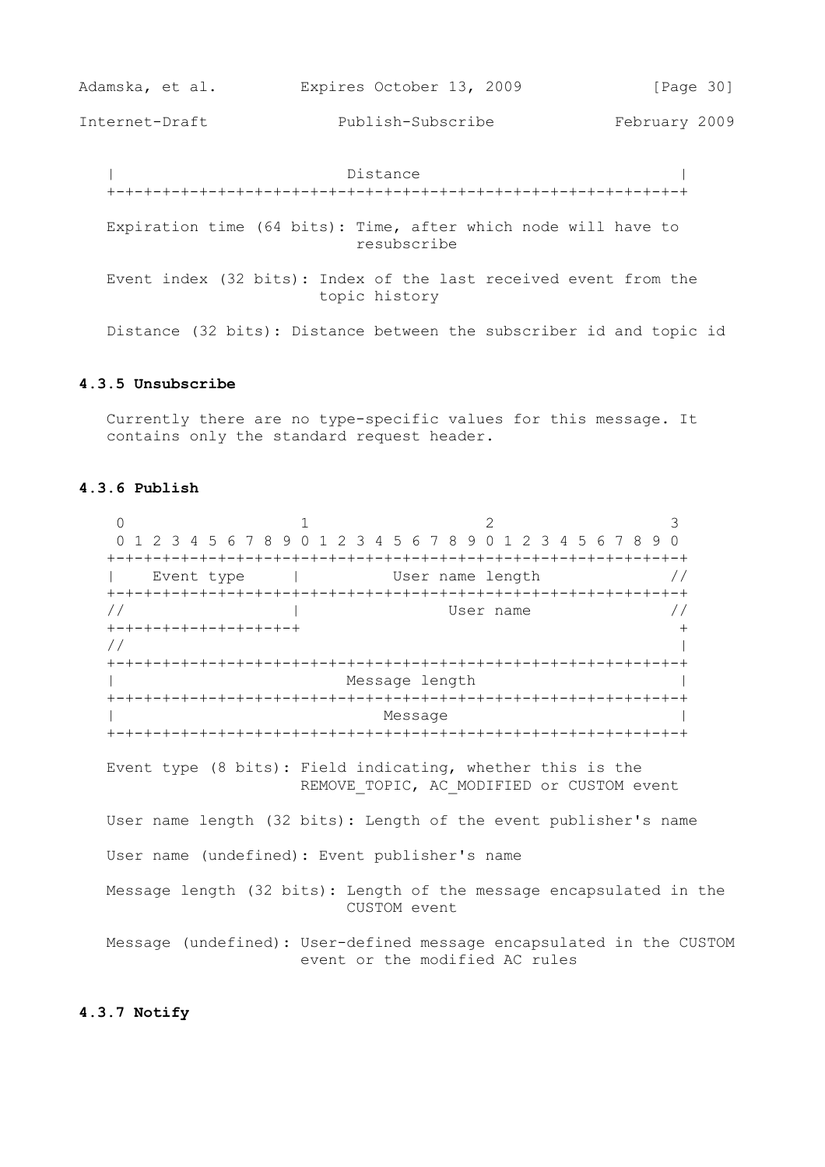| Adamska, et al. | Expires October 13, 2009 | [Page 30]     |
|-----------------|--------------------------|---------------|
| Internet-Draft  | Publish-Subscribe        | February 2009 |

 | Distance | +-+-+-+-+-+-+-+-+-+-+-+-+-+-+-+-+-+-+-+-+-+-+-+-+-+-+-+-+-+-+-+ Expiration time (64 bits): Time, after which node will have to resubscribe Event index (32 bits): Index of the last received event from the topic history Distance (32 bits): Distance between the subscriber id and topic id

#### **4.3.5 Unsubscribe**

 Currently there are no type-specific values for this message. It contains only the standard request header.

## **4.3.6 Publish**

 $0$  1 2 3 0 1 2 3 4 5 6 7 8 9 0 1 2 3 4 5 6 7 8 9 0 1 2 3 4 5 6 7 8 9 0 +-+-+-+-+-+-+-+-+-+-+-+-+-+-+-+-+-+-+-+-+-+-+-+-+-+-+-+-+-+-+-+ | Event type | User name length // +-+-+-+-+-+-+-+-+-+-+-+-+-+-+-+-+-+-+-+-+-+-+-+-+-+-+-+-+-+-+-+  $\frac{1}{2}$   $\frac{1}{2}$   $\frac{1}{2}$  User name  $\frac{1}{2}$  +-+-+-+-+-+-+-+-+-+-+ + // | +-+-+-+-+-+-+-+-+-+-+-+-+-+-+-+-+-+-+-+-+-+-+-+-+-+-+-+-+-+-+-+ Message length  $\vert$  +-+-+-+-+-+-+-+-+-+-+-+-+-+-+-+-+-+-+-+-+-+-+-+-+-+-+-+-+-+-+-+ | Message | Message | Message | Message | Message | Message | Message | Message | Message | Manufacture | Manufacture | Manufacture | Manufacture | Manufacture | Manufacture | Manufacture | Manufacture | Manufacture | Manu +-+-+-+-+-+-+-+-+-+-+-+-+-+-+-+-+-+-+-+-+-+-+-+-+-+-+-+-+-+-+-+ Event type (8 bits): Field indicating, whether this is the REMOVE TOPIC, AC MODIFIED or CUSTOM event User name length (32 bits): Length of the event publisher's name User name (undefined): Event publisher's name Message length (32 bits): Length of the message encapsulated in the CUSTOM event Message (undefined): User-defined message encapsulated in the CUSTOM event or the modified AC rules

## **4.3.7 Notify**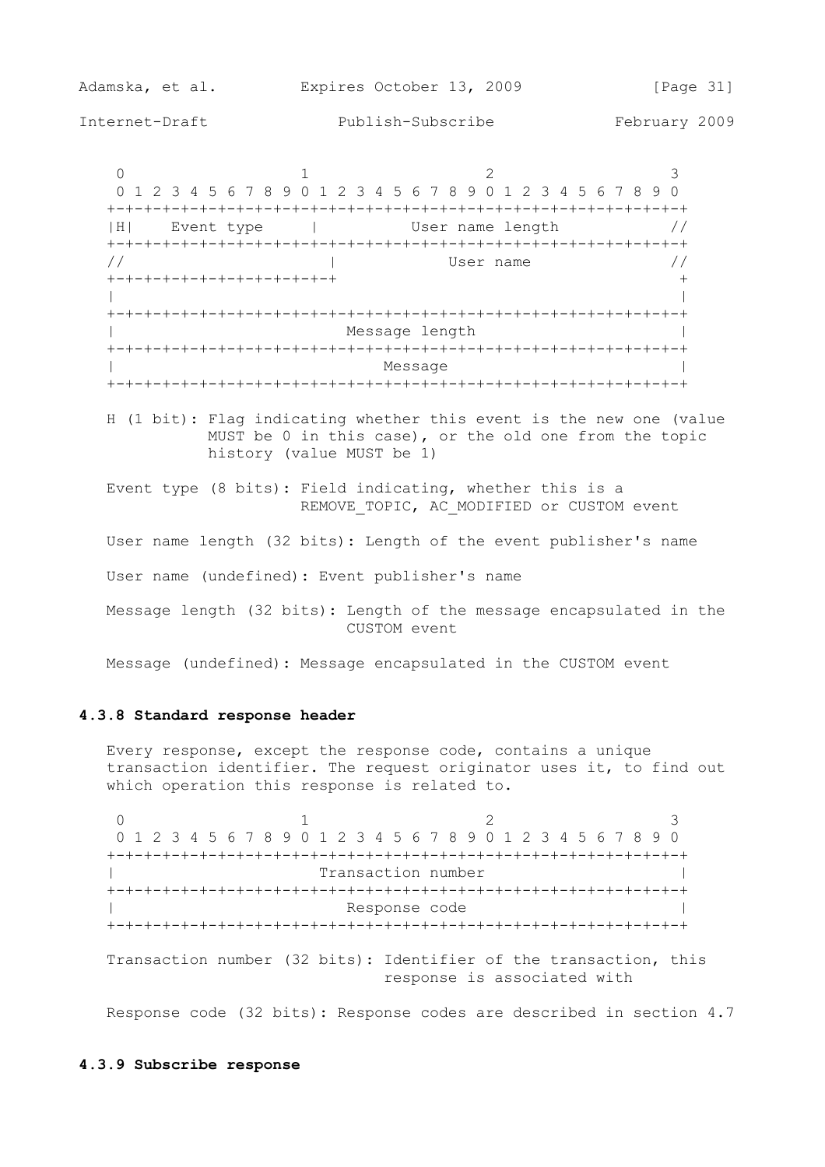Adamska, et al. Expires October 13, 2009 [Page 31] Internet-Draft Publish-Subscribe February 2009

 $0$  1 2 3 0 1 2 3 4 5 6 7 8 9 0 1 2 3 4 5 6 7 8 9 0 1 2 3 4 5 6 7 8 9 0 +-+-+-+-+-+-+-+-+-+-+-+-+-+-+-+-+-+-+-+-+-+-+-+-+-+-+-+-+-+-+-+ |H| Event type | User name length // +-+-+-+-+-+-+-+-+-+-+-+-+-+-+-+-+-+-+-+-+-+-+-+-+-+-+-+-+-+-+-+  $\frac{1}{2}$   $\frac{1}{2}$   $\frac{1}{2}$  User name  $\frac{1}{2}$   $\frac{1}{2}$  +-+-+-+-+-+-+-+-+-+-+-+-+ + | | +-+-+-+-+-+-+-+-+-+-+-+-+-+-+-+-+-+-+-+-+-+-+-+-+-+-+-+-+-+-+-+ | Message length | +-+-+-+-+-+-+-+-+-+-+-+-+-+-+-+-+-+-+-+-+-+-+-+-+-+-+-+-+-+-+-+ | Message | Message | Message | Message | Message | Message | Message | Message | Message | Manufacture | Manufacture | Manufacture | Manufacture | Manufacture | Manufacture | Manufacture | Manufacture | Manufacture | Manu +-+-+-+-+-+-+-+-+-+-+-+-+-+-+-+-+-+-+-+-+-+-+-+-+-+-+-+-+-+-+-+

 H (1 bit): Flag indicating whether this event is the new one (value MUST be 0 in this case), or the old one from the topic history (value MUST be 1)

 Event type (8 bits): Field indicating, whether this is a REMOVE TOPIC, AC MODIFIED or CUSTOM event

User name length (32 bits): Length of the event publisher's name

User name (undefined): Event publisher's name

 Message length (32 bits): Length of the message encapsulated in the CUSTOM event

Message (undefined): Message encapsulated in the CUSTOM event

#### **4.3.8 Standard response header**

 Every response, except the response code, contains a unique transaction identifier. The request originator uses it, to find out which operation this response is related to.

 $0$  1 2 3 0 1 2 3 4 5 6 7 8 9 0 1 2 3 4 5 6 7 8 9 0 1 2 3 4 5 6 7 8 9 0 +-+-+-+-+-+-+-+-+-+-+-+-+-+-+-+-+-+-+-+-+-+-+-+-+-+-+-+-+-+-+-+ Transaction number +-+-+-+-+-+-+-+-+-+-+-+-+-+-+-+-+-+-+-+-+-+-+-+-+-+-+-+-+-+-+-+ Response code +-+-+-+-+-+-+-+-+-+-+-+-+-+-+-+-+-+-+-+-+-+-+-+-+-+-+-+-+-+-+-+ Transaction number (32 bits): Identifier of the transaction, this response is associated with

Response code (32 bits): Response codes are described in section 4.7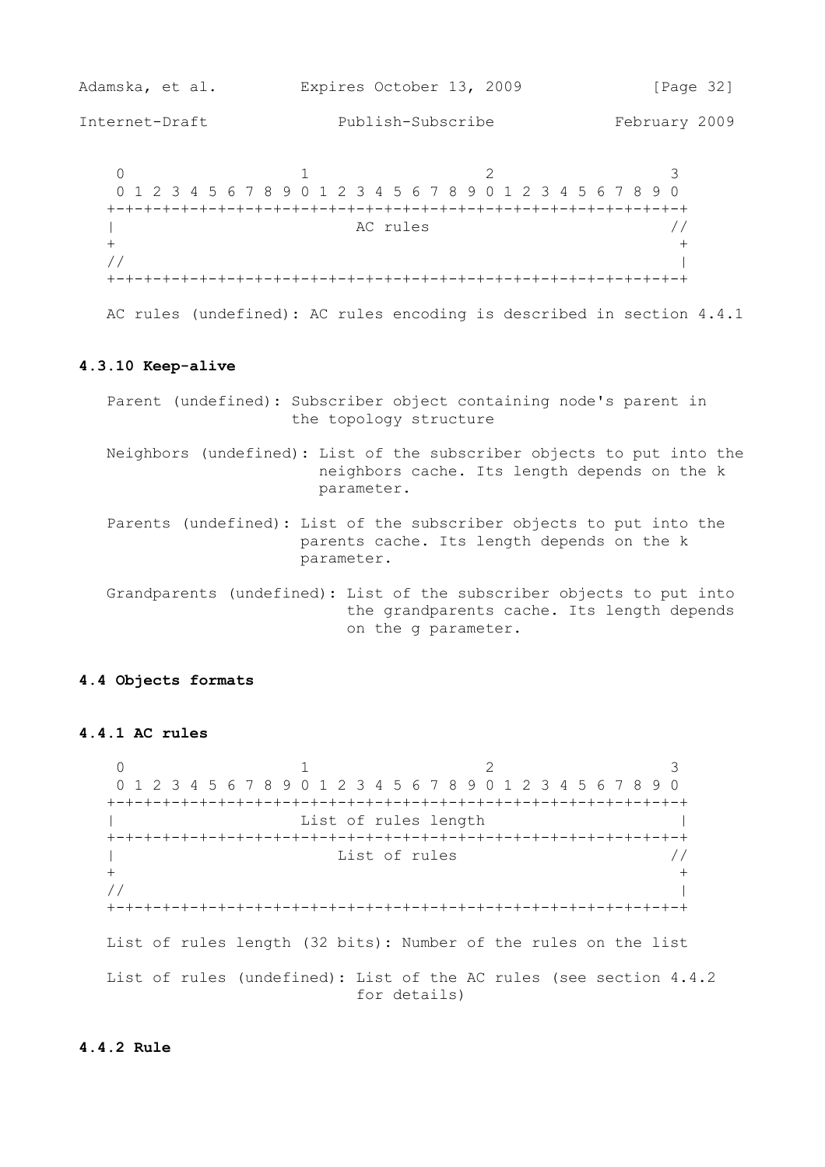| Adamska, et al. | Expires October 13, 2009                                      | [Page 32]     |
|-----------------|---------------------------------------------------------------|---------------|
| Internet-Draft  | Publish-Subscribe                                             | February 2009 |
|                 | 0 1 2 3 4 5 6 7 8 9 0 1 2 3 4 5 6 7 8 9 0 1 2 3 4 5 6 7 8 9 0 |               |
|                 | AC rules                                                      |               |
|                 |                                                               |               |

AC rules (undefined): AC rules encoding is described in section 4.4.1

#### **4.3.10 Keep-alive**

- Parent (undefined): Subscriber object containing node's parent in the topology structure
- Neighbors (undefined): List of the subscriber objects to put into the neighbors cache. Its length depends on the k parameter.
- Parents (undefined): List of the subscriber objects to put into the parents cache. Its length depends on the k parameter.
- Grandparents (undefined): List of the subscriber objects to put into the grandparents cache. Its length depends on the g parameter.

## **4.4 Objects formats**

## **4.4.1 AC rules**

 $0$  1 2 3 0 1 2 3 4 5 6 7 8 9 0 1 2 3 4 5 6 7 8 9 0 1 2 3 4 5 6 7 8 9 0 +-+-+-+-+-+-+-+-+-+-+-+-+-+-+-+-+-+-+-+-+-+-+-+-+-+-+-+-+-+-+-+ | List of rules length | +-+-+-+-+-+-+-+-+-+-+-+-+-+-+-+-+-+-+-+-+-+-+-+-+-+-+-+-+-+-+-+ | List of rules //  $+$  // | +-+-+-+-+-+-+-+-+-+-+-+-+-+-+-+-+-+-+-+-+-+-+-+-+-+-+-+-+-+-+-+ List of rules length (32 bits): Number of the rules on the list List of rules (undefined): List of the AC rules (see section 4.4.2 for details)

## **4.4.2 Rule**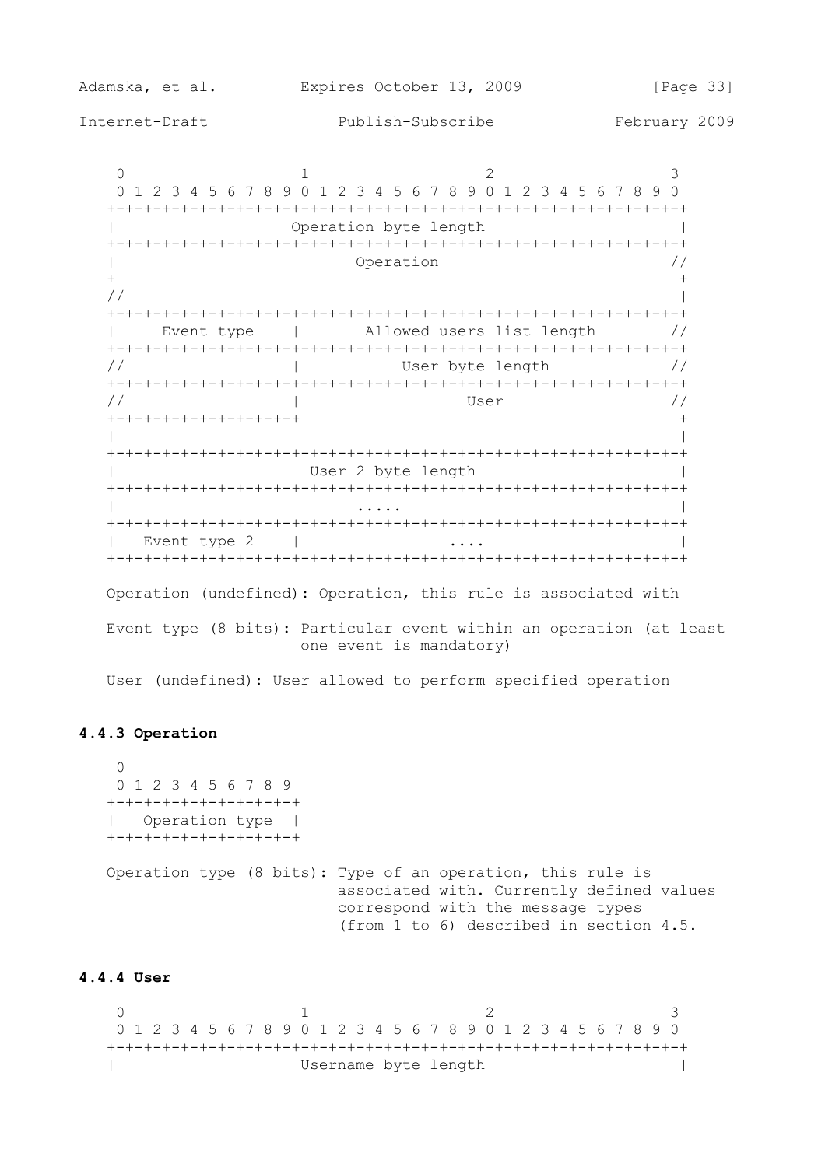$0$  1 2 3 0 1 2 3 4 5 6 7 8 9 0 1 2 3 4 5 6 7 8 9 0 1 2 3 4 5 6 7 8 9 0 +-+-+-+-+-+-+-+-+-+-+-+-+-+-+-+-+-+-+-+-+-+-+-+-+-+-+-+-+-+-+-+ | Operation byte length | +-+-+-+-+-+-+-+-+-+-+-+-+-+-+-+-+-+-+-+-+-+-+-+-+-+-+-+-+-+-+-+ | Operation //  $+$  // | +-+-+-+-+-+-+-+-+-+-+-+-+-+-+-+-+-+-+-+-+-+-+-+-+-+-+-+-+-+-+-+ | Event type | Allowed users list length // +-+-+-+-+-+-+-+-+-+-+-+-+-+-+-+-+-+-+-+-+-+-+-+-+-+-+-+-+-+-+-+ // | User byte length // +-+-+-+-+-+-+-+-+-+-+-+-+-+-+-+-+-+-+-+-+-+-+-+-+-+-+-+-+-+-+-+ // | User // +-+-+-+-+-+-+-+-+-+-+ + | | +-+-+-+-+-+-+-+-+-+-+-+-+-+-+-+-+-+-+-+-+-+-+-+-+-+-+-+-+-+-+-+ | User 2 byte length | +-+-+-+-+-+-+-+-+-+-+-+-+-+-+-+-+-+-+-+-+-+-+-+-+-+-+-+-+-+-+-+ | .... | .... | .... | .... | .... | .... | .... | .... | .... | .... | .... | .... | .... | .... | .... | ... +-+-+-+-+-+-+-+-+-+-+-+-+-+-+-+-+-+-+-+-+-+-+-+-+-+-+-+-+-+-+-+ | Event type 2 | .... | .... | | +-+-+-+-+-+-+-+-+-+-+-+-+-+-+-+-+-+-+-+-+-+-+-+-+-+-+-+-+-+-+-+ Operation (undefined): Operation, this rule is associated with Event type (8 bits): Particular event within an operation (at least one event is mandatory)

User (undefined): User allowed to perform specified operation

## **4.4.3 Operation**

 $\cap$  0 1 2 3 4 5 6 7 8 9 +-+-+-+-+-+-+-+-+-+-+ | Operation type | +-+-+-+-+-+-+-+-+-+-+ Operation type (8 bits): Type of an operation, this rule is associated with. Currently defined values correspond with the message types (from 1 to 6) described in section 4.5.

## **4.4.4 User**

 $0$  1 2 3 0 1 2 3 4 5 6 7 8 9 0 1 2 3 4 5 6 7 8 9 0 1 2 3 4 5 6 7 8 9 0 +-+-+-+-+-+-+-+-+-+-+-+-+-+-+-+-+-+-+-+-+-+-+-+-+-+-+-+-+-+-+-+ | Username byte length |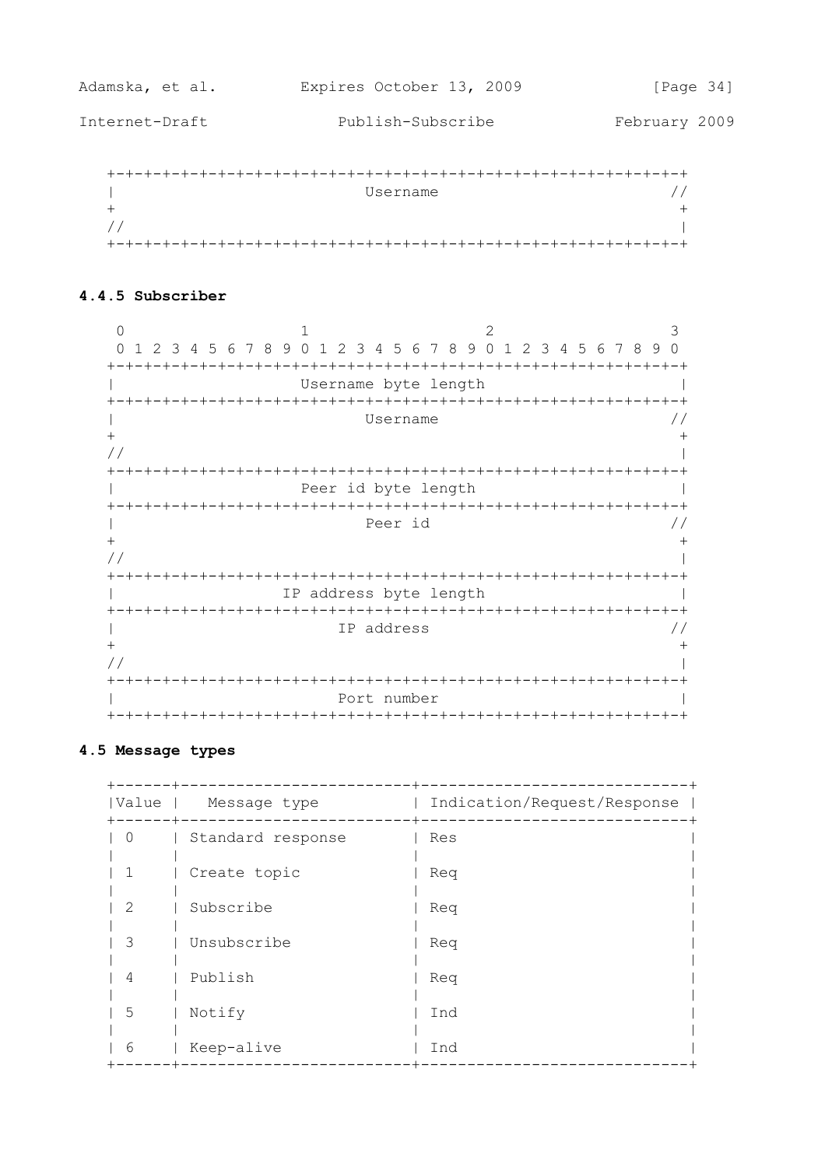Internet-Draft

February 2009

| Username |  |
|----------|--|
|          |  |
|          |  |
|          |  |

## 4.4.5 Subscriber

 $\bigcap$  $\mathbf{1}$  $\mathcal{L}$ 3 0 1 2 3 4 5 6 7 8 9 0 1 2 3 4 5 6 7 8 9 0 1 2 3 4 5 6 7 8 9 0  $\mathbb{R}^n$ Username byte length  $\Box$ Username  $\frac{1}{2}$  $\overline{1}$  $+$  $+$  $\frac{1}{2}$  $\overline{\phantom{a}}$ Peer id byte length  $\mathbb{R}$  $\overline{\phantom{a}}$  $\mathbf{L}$ Peer id  $\frac{1}{2}$  $\ddot{}$  $+$  $1/$  $\overline{\phantom{a}}$  $\mathbb{R}^n$  and  $\mathbb{R}^n$ IP address byte length  $\Box$ IP address  $\overline{1}$  $\frac{1}{2}$  $+$  $+$  $\frac{1}{2}$  $\overline{1}$ Port number  $\mathbb{R}$  $\overline{\phantom{a}}$ 

## 4.5 Message types

| Value                       | Message type      | Indication/Request/Response |
|-----------------------------|-------------------|-----------------------------|
| 0                           | Standard response | Res                         |
|                             | Create topic      | Reg                         |
| $\mathcal{D}_{\mathcal{L}}$ | Subscribe         | Req                         |
| 3                           | Unsubscribe       | Req                         |
| 4                           | Publish           | Req                         |
| 5                           | Notify            | Ind                         |
| 6                           | Keep-alive        | Ind                         |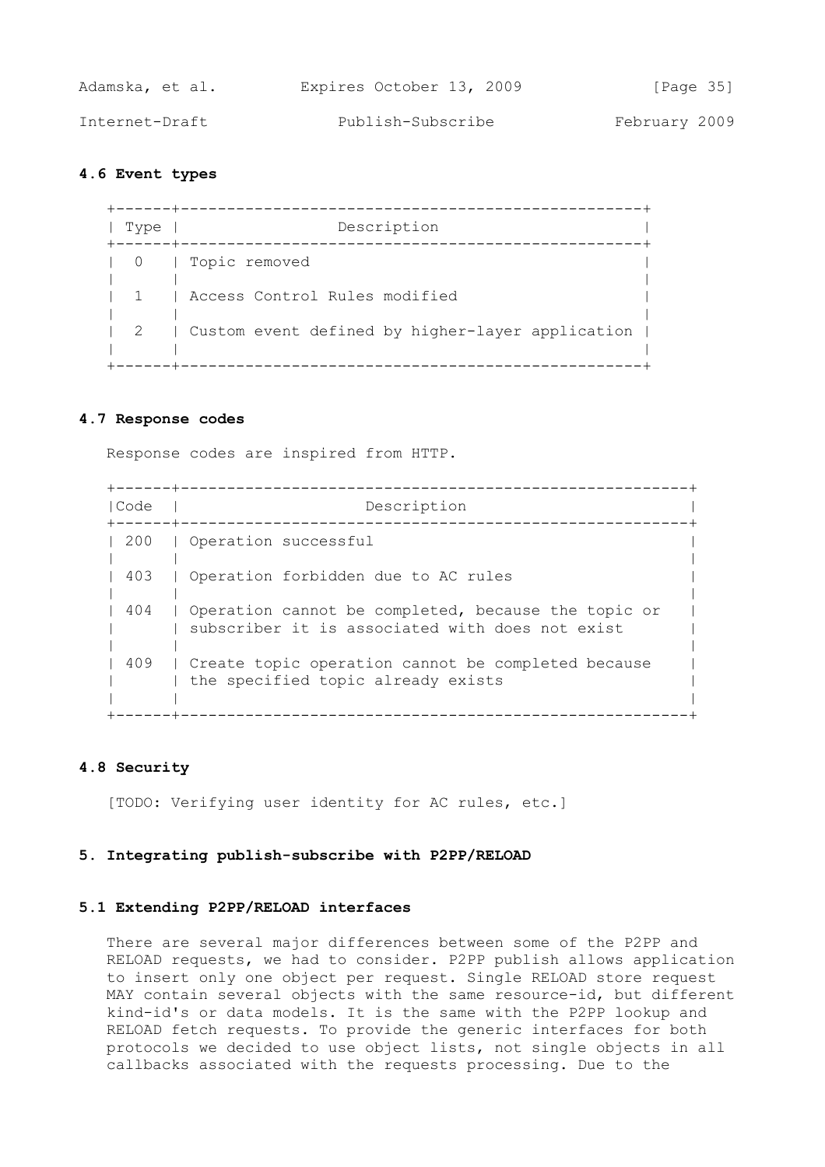| Adamska, et al. | Expires October 13, 2009 | [Page 35]     |
|-----------------|--------------------------|---------------|
| Internet-Draft  | Publish-Subscribe        | February 2009 |

## **4.6 Event types**

 +------+--------------------------------------------------+ | Type | Description +------+--------------------------------------------------+ | 0 | Topic removed | | | | | 1 | Access Control Rules modified | | | | 2 | Custom event defined by higher-layer application | | | | +------+--------------------------------------------------+

### **4.7 Response codes**

Response codes are inspired from HTTP.

 +------+-------------------------------------------------------+ | Code | Description +------+-------------------------------------------------------+ | 200 | Operation successful | | | | 403 | Operation forbidden due to AC rules | | | | 404 | Operation cannot be completed, because the topic or | | subscriber it is associated with does not exist | | | | 409 | Create topic operation cannot be completed because | the specified topic already exists | | | +------+-------------------------------------------------------+

## **4.8 Security**

[TODO: Verifying user identity for AC rules, etc.]

### **5. Integrating publish-subscribe with P2PP/RELOAD**

### **5.1 Extending P2PP/RELOAD interfaces**

 There are several major differences between some of the P2PP and RELOAD requests, we had to consider. P2PP publish allows application to insert only one object per request. Single RELOAD store request MAY contain several objects with the same resource-id, but different kind-id's or data models. It is the same with the P2PP lookup and RELOAD fetch requests. To provide the generic interfaces for both protocols we decided to use object lists, not single objects in all callbacks associated with the requests processing. Due to the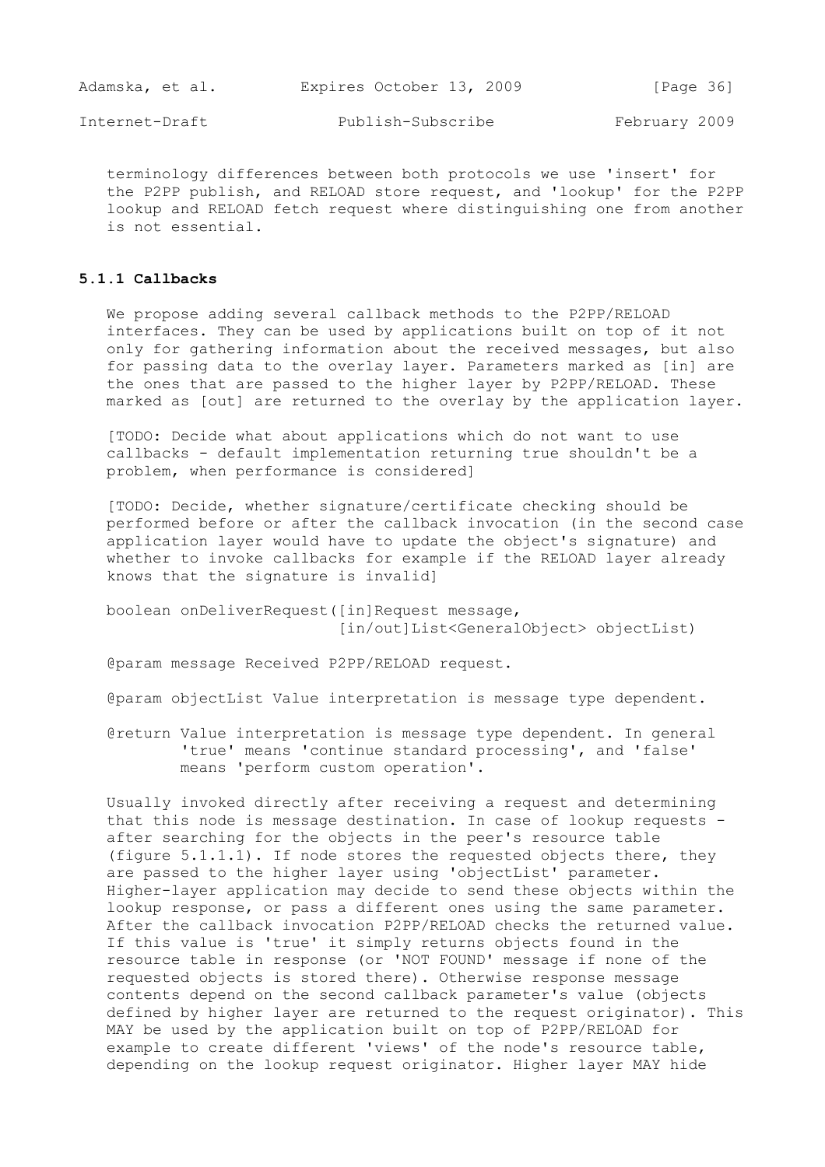| Adamska, et al. | Expires October 13, 2009 | [Page 36]     |
|-----------------|--------------------------|---------------|
| Internet-Draft  | Publish-Subscribe        | February 2009 |

 terminology differences between both protocols we use 'insert' for the P2PP publish, and RELOAD store request, and 'lookup' for the P2PP lookup and RELOAD fetch request where distinguishing one from another is not essential.

## **5.1.1 Callbacks**

 We propose adding several callback methods to the P2PP/RELOAD interfaces. They can be used by applications built on top of it not only for gathering information about the received messages, but also for passing data to the overlay layer. Parameters marked as [in] are the ones that are passed to the higher layer by P2PP/RELOAD. These marked as [out] are returned to the overlay by the application layer.

 [TODO: Decide what about applications which do not want to use callbacks - default implementation returning true shouldn't be a problem, when performance is considered]

 [TODO: Decide, whether signature/certificate checking should be performed before or after the callback invocation (in the second case application layer would have to update the object's signature) and whether to invoke callbacks for example if the RELOAD layer already knows that the signature is invalid]

 boolean onDeliverRequest([in]Request message, [in/out]List<GeneralObject> objectList)

@param message Received P2PP/RELOAD request.

@param objectList Value interpretation is message type dependent.

 @return Value interpretation is message type dependent. In general 'true' means 'continue standard processing', and 'false' means 'perform custom operation'.

 Usually invoked directly after receiving a request and determining that this node is message destination. In case of lookup requests after searching for the objects in the peer's resource table (figure 5.1.1.1). If node stores the requested objects there, they are passed to the higher layer using 'objectList' parameter. Higher-layer application may decide to send these objects within the lookup response, or pass a different ones using the same parameter. After the callback invocation P2PP/RELOAD checks the returned value. If this value is 'true' it simply returns objects found in the resource table in response (or 'NOT FOUND' message if none of the requested objects is stored there). Otherwise response message contents depend on the second callback parameter's value (objects defined by higher layer are returned to the request originator). This MAY be used by the application built on top of P2PP/RELOAD for example to create different 'views' of the node's resource table, depending on the lookup request originator. Higher layer MAY hide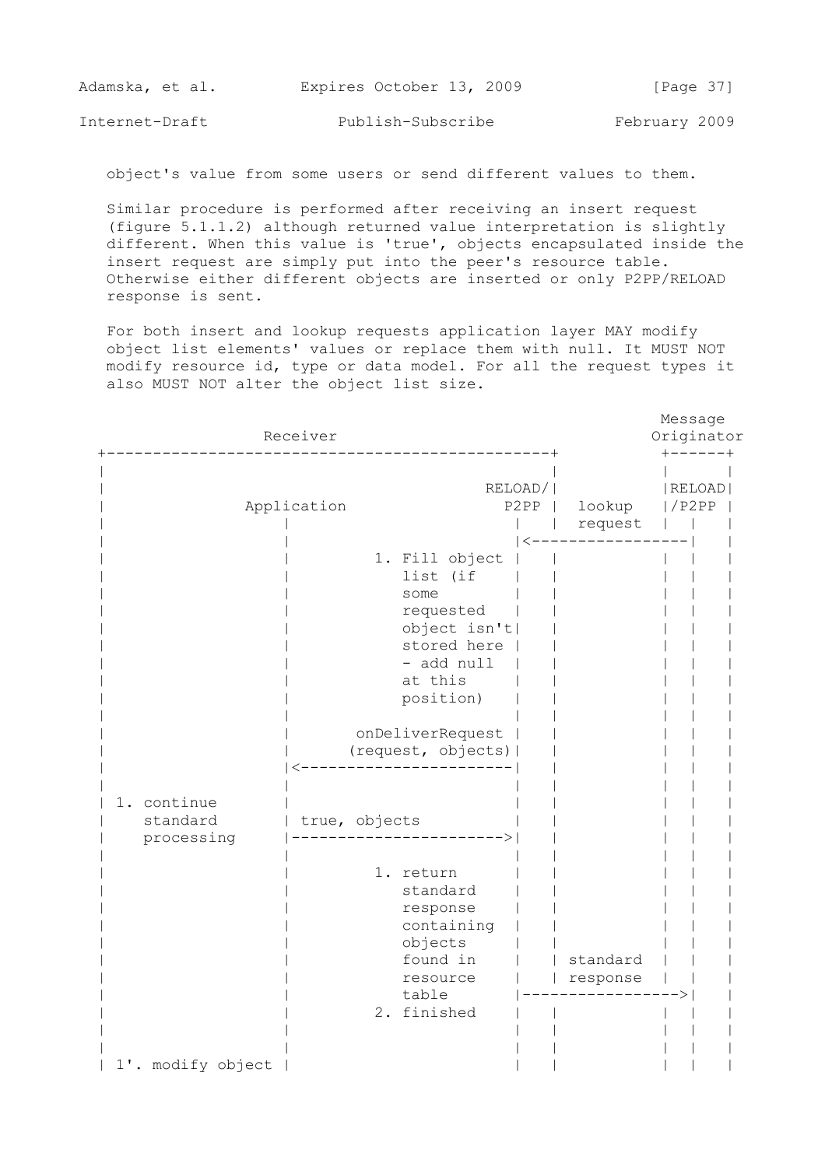| Adamska, et al. | Expires October 13, 2009 | [Page 37]     |
|-----------------|--------------------------|---------------|
| Internet-Draft  | Publish-Subscribe        | February 2009 |

object's value from some users or send different values to them.

 Similar procedure is performed after receiving an insert request (figure 5.1.1.2) although returned value interpretation is slightly different. When this value is 'true', objects encapsulated inside the insert request are simply put into the peer's resource table. Otherwise either different objects are inserted or only P2PP/RELOAD response is sent.

 For both insert and lookup requests application layer MAY modify object list elements' values or replace them with null. It MUST NOT modify resource id, type or data model. For all the request types it also MUST NOT alter the object list size.

|                                       | Receiver      |                                                                                                                                                                                                                                                                                                                       |                  |                      | Message         | Originator       |  |
|---------------------------------------|---------------|-----------------------------------------------------------------------------------------------------------------------------------------------------------------------------------------------------------------------------------------------------------------------------------------------------------------------|------------------|----------------------|-----------------|------------------|--|
|                                       | Application   |                                                                                                                                                                                                                                                                                                                       | RELOAD/ <br>P2PP | lookup<br>request    | -----<br>1/P2PP | $-+$<br>  RELOAD |  |
| 1. continue<br>standard<br>processing | true, objects | 1. Fill object<br>list (if<br>some<br>requested<br>object isn't <br>stored here<br>- add null<br>at this<br>position)<br>onDeliverRequest<br>(request, objects)  <br>------------------<br>-----------><br>1. return<br>standard<br>response<br>containing<br>objects<br>found in<br>resource<br>table<br>2. finished |                  | standard<br>response |                 |                  |  |
| 1'. modify object                     |               |                                                                                                                                                                                                                                                                                                                       |                  |                      |                 |                  |  |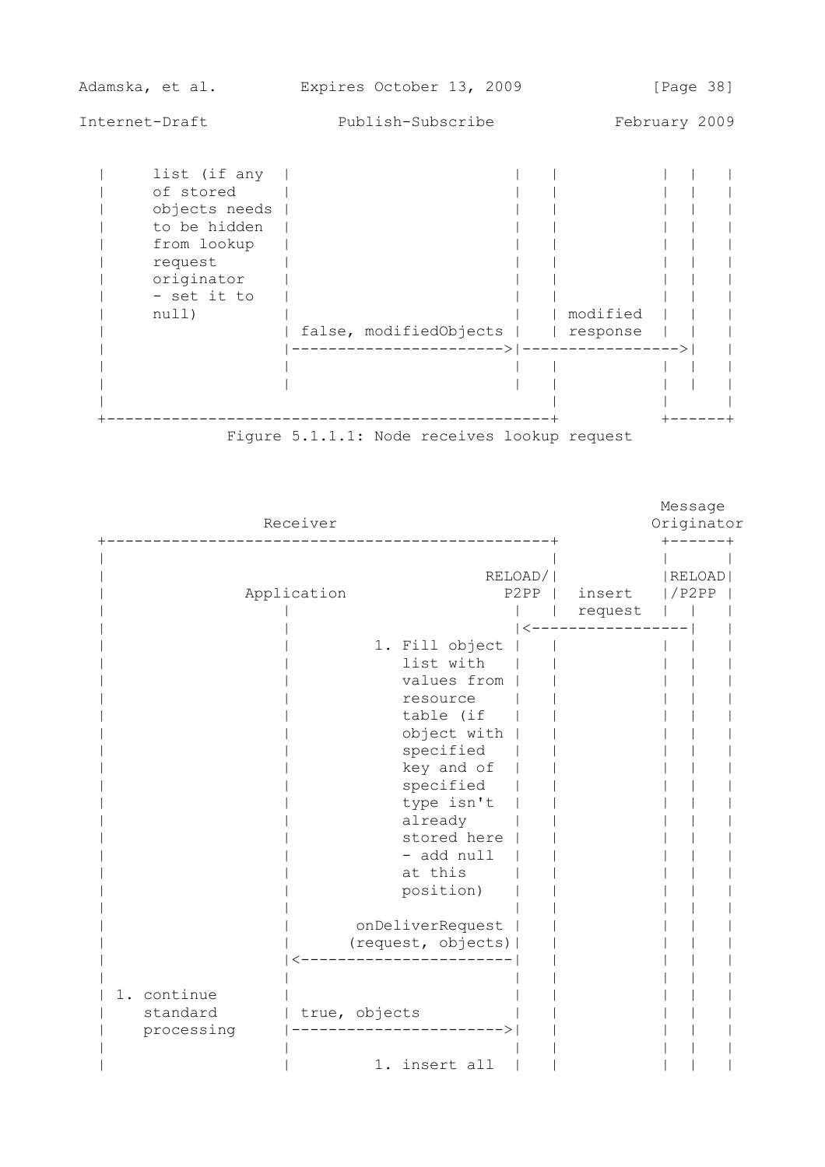| Adamska, et al.                                                                                                            | Expires October 13, 2009 | [Page 38]                                                 |
|----------------------------------------------------------------------------------------------------------------------------|--------------------------|-----------------------------------------------------------|
| Internet-Draft                                                                                                             | Publish-Subscribe        | February 2009                                             |
| list (if any<br>of stored<br>objects needs<br>to be hidden<br>from lookup<br>request<br>originator<br>- set it to<br>null) | false, modifiedObjects   | modified<br>  response<br>----------> ------------------> |



|                                       | Receiver      |                                                                                                                                                                                                                                                    |                  |                   | Message<br>Originator<br>------+ |
|---------------------------------------|---------------|----------------------------------------------------------------------------------------------------------------------------------------------------------------------------------------------------------------------------------------------------|------------------|-------------------|----------------------------------|
|                                       | Application   |                                                                                                                                                                                                                                                    | RELOAD/ <br>P2PP | insert<br>request | RELOAD<br>$/$ P $2$ P $P$        |
|                                       |               | 1. Fill object<br>list with<br>values from<br>resource<br>table (if<br>object with<br>specified<br>key and of<br>specified<br>type isn't<br>already<br>stored here<br>- add null<br>at this<br>position)<br>onDeliverRequest<br>(request, objects) |                  |                   |                                  |
| 1. continue<br>standard<br>processing | true, objects | 1. insert all                                                                                                                                                                                                                                      |                  |                   |                                  |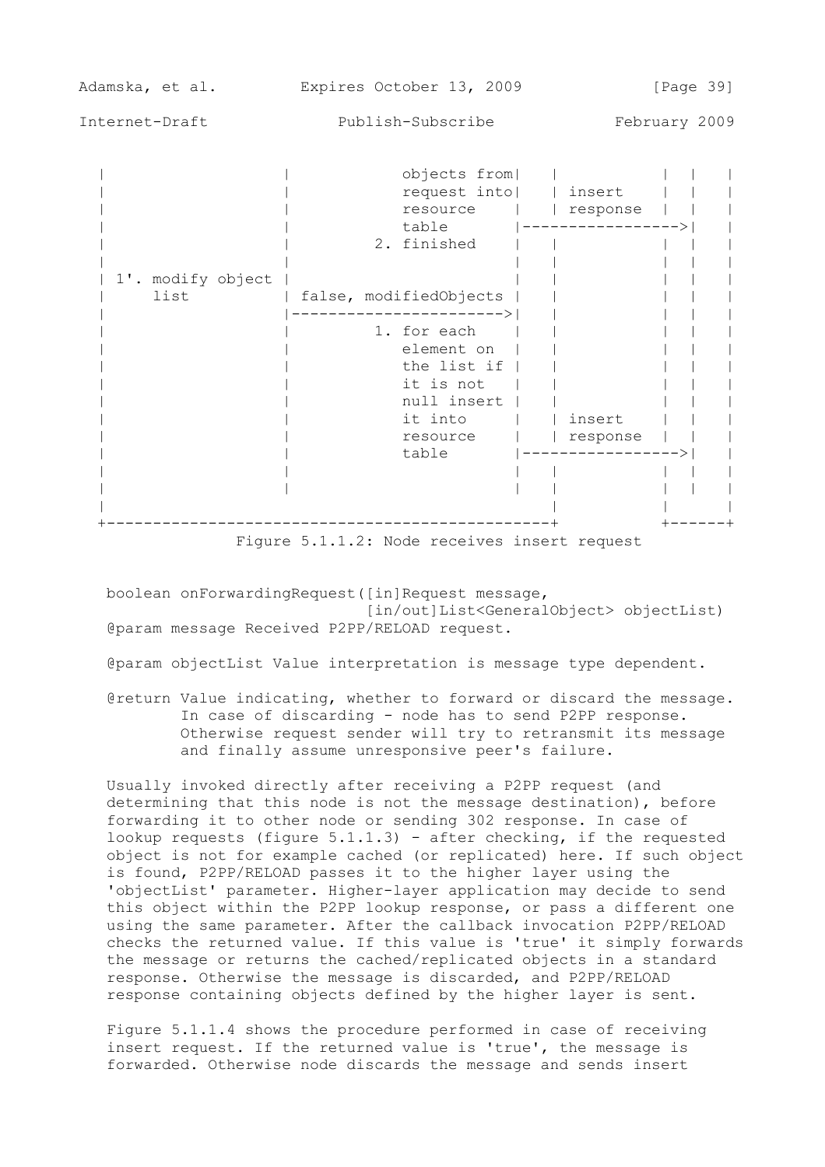Adamska, et al. Expires October 13, 2009 [Page 39]

Internet-Draft Publish-Subscribe February 2009

|                           | objects from <br>request into<br>resource<br>table<br>2. finished                                    | insert<br>response |
|---------------------------|------------------------------------------------------------------------------------------------------|--------------------|
| 1'. modify object<br>list | false, modifiedObjects                                                                               |                    |
|                           | 1. for each<br>element on<br>the list if<br>it is not<br>null insert<br>it into<br>resource<br>table | insert<br>response |
|                           |                                                                                                      |                    |

Figure 5.1.1.2: Node receives insert request

 boolean onForwardingRequest([in]Request message, [in/out]List<GeneralObject> objectList) @param message Received P2PP/RELOAD request.

@param objectList Value interpretation is message type dependent.

 @return Value indicating, whether to forward or discard the message. In case of discarding - node has to send P2PP response. Otherwise request sender will try to retransmit its message and finally assume unresponsive peer's failure.

 Usually invoked directly after receiving a P2PP request (and determining that this node is not the message destination), before forwarding it to other node or sending 302 response. In case of lookup requests (figure 5.1.1.3) - after checking, if the requested object is not for example cached (or replicated) here. If such object is found, P2PP/RELOAD passes it to the higher layer using the 'objectList' parameter. Higher-layer application may decide to send this object within the P2PP lookup response, or pass a different one using the same parameter. After the callback invocation P2PP/RELOAD checks the returned value. If this value is 'true' it simply forwards the message or returns the cached/replicated objects in a standard response. Otherwise the message is discarded, and P2PP/RELOAD response containing objects defined by the higher layer is sent.

 Figure 5.1.1.4 shows the procedure performed in case of receiving insert request. If the returned value is 'true', the message is forwarded. Otherwise node discards the message and sends insert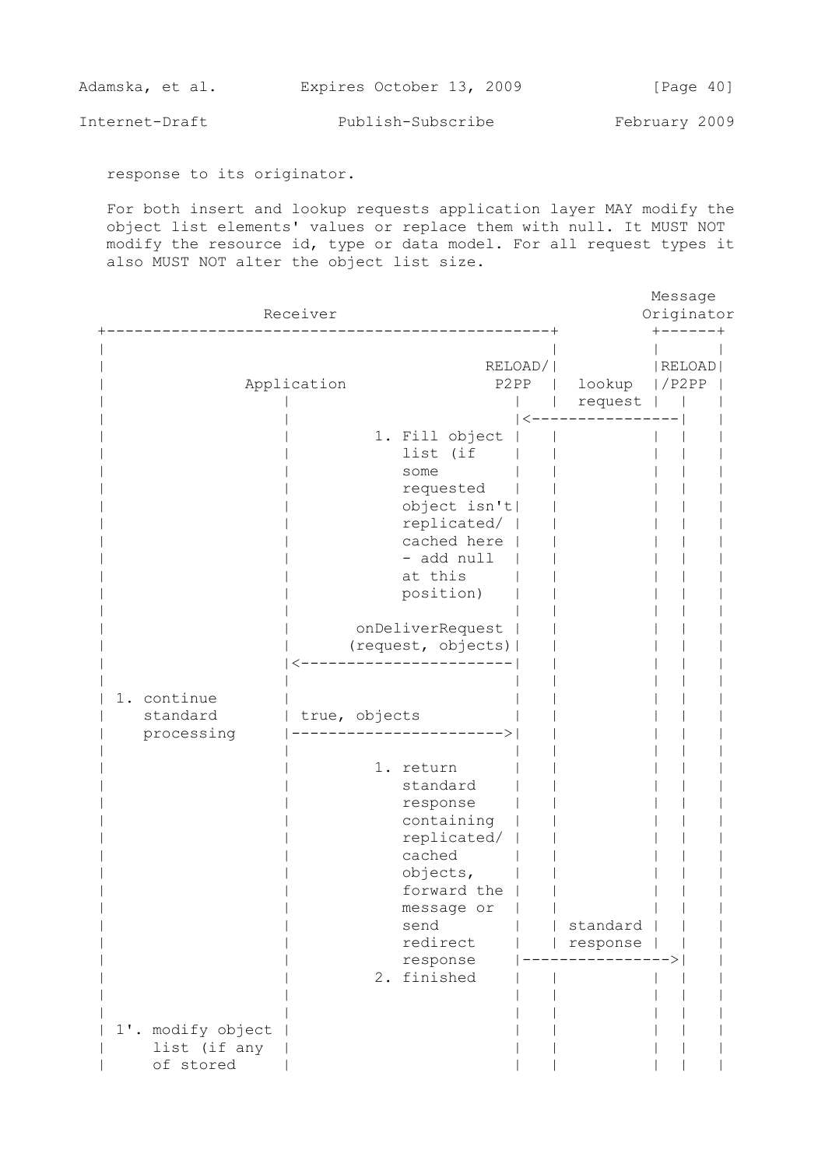| Adamska, et al. |  | Expires October 13, 2009 |  | [Page 40] |  |
|-----------------|--|--------------------------|--|-----------|--|
|                 |  |                          |  |           |  |

response to its originator.

 For both insert and lookup requests application layer MAY modify the object list elements' values or replace them with null. It MUST NOT modify the resource id, type or data model. For all request types it also MUST NOT alter the object list size.

|                                                | Receiver                                                                                                                                                                                                                                                                                                                                                              |         |                      | Message<br>Originator |  |
|------------------------------------------------|-----------------------------------------------------------------------------------------------------------------------------------------------------------------------------------------------------------------------------------------------------------------------------------------------------------------------------------------------------------------------|---------|----------------------|-----------------------|--|
|                                                | Application<br>P2PP                                                                                                                                                                                                                                                                                                                                                   | RELOAD/ | lookup<br>request    | RELOAD<br> /P2PP      |  |
| 1. continue<br>standard<br>processing          | 1. Fill object<br>list (if<br>some<br>requested<br>object isn't <br>replicated/<br>cached here<br>- add null<br>at this<br>position)<br>onDeliverRequest<br>(request, objects)  <br>true, objects<br>1. return<br>standard<br>response<br>containing<br>replicated/<br>cached<br>objects,<br>forward the<br>message or<br>send<br>redirect<br>response<br>2. finished |         | standard<br>response |                       |  |
| 1'. modify object<br>list (if any<br>of stored |                                                                                                                                                                                                                                                                                                                                                                       |         |                      |                       |  |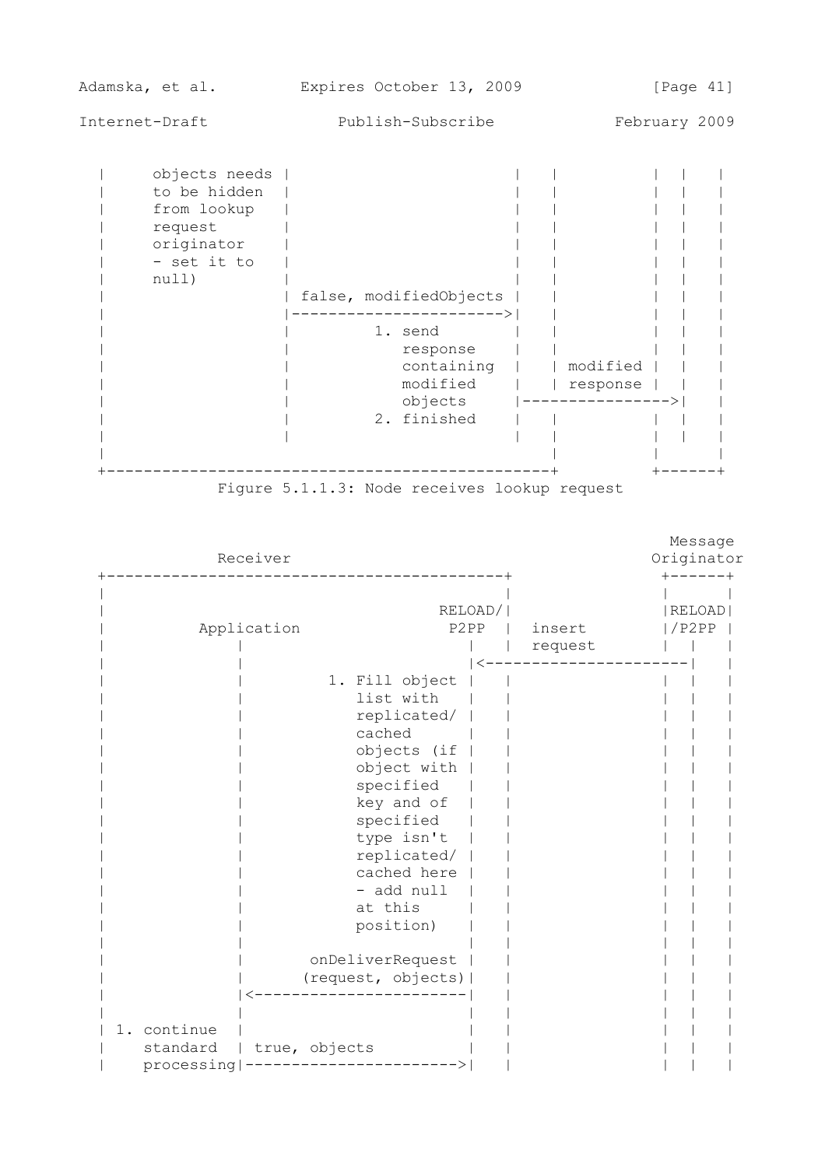| Adamska, et al. | Expires October 13, 2009 |  | [Page 41] |  |
|-----------------|--------------------------|--|-----------|--|
|                 |                          |  |           |  |

| objects needs<br>to be hidden<br>from lookup<br>request<br>originator<br>- set it to<br>null) |  | false, modifiedObjects<br>———————><br>1. send<br>response<br>containing | modified         |  |  |
|-----------------------------------------------------------------------------------------------|--|-------------------------------------------------------------------------|------------------|--|--|
|                                                                                               |  | modified                                                                | response         |  |  |
|                                                                                               |  | objects<br>2. finished                                                  | ---------------> |  |  |
|                                                                                               |  |                                                                         |                  |  |  |

Figure 5.1.1.3: Node receives lookup request

|             |               |                                                                                                                                                                                                                                                        |         |         | Message       |         |
|-------------|---------------|--------------------------------------------------------------------------------------------------------------------------------------------------------------------------------------------------------------------------------------------------------|---------|---------|---------------|---------|
|             | Receiver      |                                                                                                                                                                                                                                                        |         |         | Originator    |         |
|             |               |                                                                                                                                                                                                                                                        | RELOAD/ |         | <b>RELOAD</b> | ------+ |
|             | Application   | P2PP                                                                                                                                                                                                                                                   |         | insert  | /P2PP         |         |
|             |               |                                                                                                                                                                                                                                                        |         | request |               |         |
|             |               | 1. Fill object<br>list with<br>replicated/<br>cached<br>objects (if<br>object with<br>specified<br>key and of<br>specified<br>type isn't<br>replicated/<br>cached here<br>- add null<br>at this<br>position)<br>onDeliverRequest<br>(request, objects) |         |         |               |         |
|             |               |                                                                                                                                                                                                                                                        |         |         |               |         |
| 1. continue |               |                                                                                                                                                                                                                                                        |         |         |               |         |
| standard    | true, objects |                                                                                                                                                                                                                                                        |         |         |               |         |
| processing  |               |                                                                                                                                                                                                                                                        |         |         |               |         |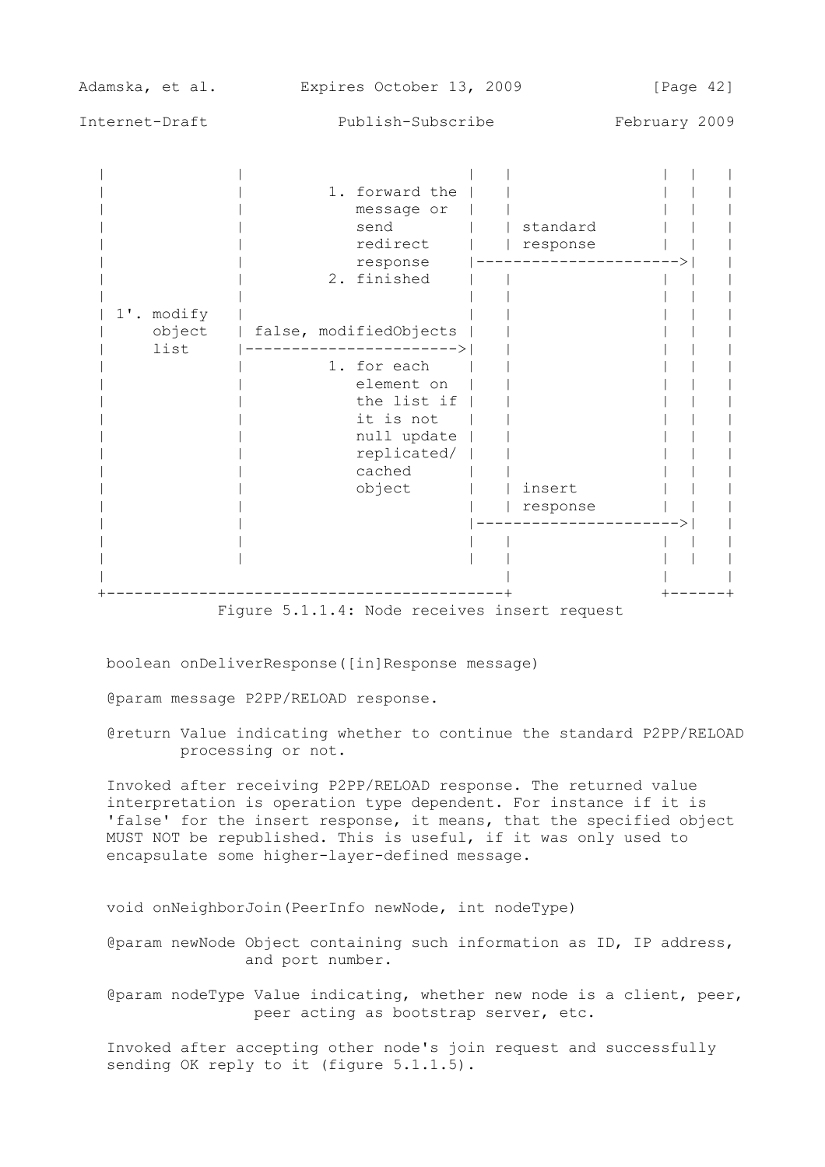| Adamska, et al.              | Expires October 13, 2009                                                                                                                                  | [Page $42$ ]         |               |
|------------------------------|-----------------------------------------------------------------------------------------------------------------------------------------------------------|----------------------|---------------|
| Internet-Draft               | Publish-Subscribe                                                                                                                                         |                      | February 2009 |
|                              | 1. forward the<br>message or<br>send<br>redirect<br>response<br>2. finished                                                                               | standard<br>response |               |
| 1'. modify<br>object<br>list | false, modifiedObjects<br>-------------------><br>1. for each<br>element on<br>the list if<br>it is not<br>null update<br>replicated/<br>cached<br>object | insert<br>response   |               |

Figure 5.1.1.4: Node receives insert request

boolean onDeliverResponse([in]Response message)

@param message P2PP/RELOAD response.

 @return Value indicating whether to continue the standard P2PP/RELOAD processing or not.

 Invoked after receiving P2PP/RELOAD response. The returned value interpretation is operation type dependent. For instance if it is 'false' for the insert response, it means, that the specified object MUST NOT be republished. This is useful, if it was only used to encapsulate some higher-layer-defined message.

void onNeighborJoin(PeerInfo newNode, int nodeType)

 @param newNode Object containing such information as ID, IP address, and port number.

 @param nodeType Value indicating, whether new node is a client, peer, peer acting as bootstrap server, etc.

 Invoked after accepting other node's join request and successfully sending OK reply to it (figure 5.1.1.5).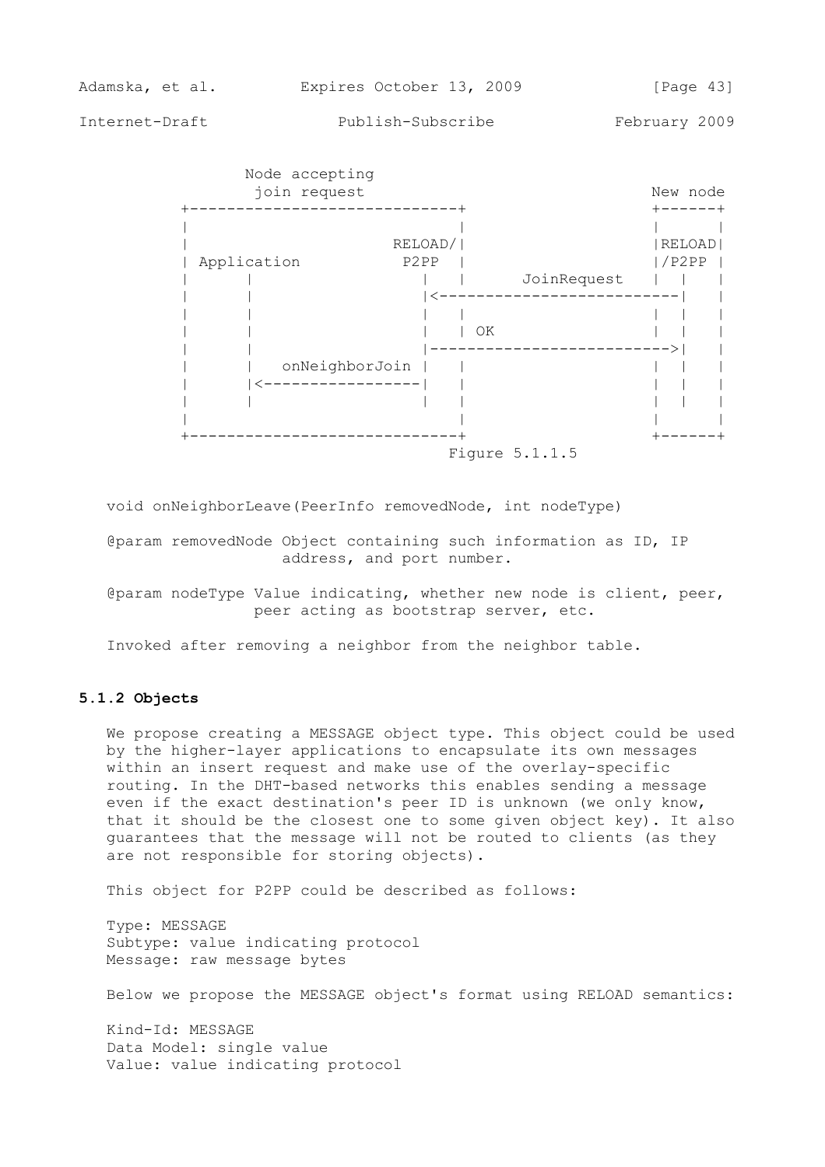

void onNeighborLeave(PeerInfo removedNode, int nodeType)

 @param removedNode Object containing such information as ID, IP address, and port number.

 @param nodeType Value indicating, whether new node is client, peer, peer acting as bootstrap server, etc.

Invoked after removing a neighbor from the neighbor table.

## **5.1.2 Objects**

 We propose creating a MESSAGE object type. This object could be used by the higher-layer applications to encapsulate its own messages within an insert request and make use of the overlay-specific routing. In the DHT-based networks this enables sending a message even if the exact destination's peer ID is unknown (we only know, that it should be the closest one to some given object key). It also guarantees that the message will not be routed to clients (as they are not responsible for storing objects).

This object for P2PP could be described as follows:

 Type: MESSAGE Subtype: value indicating protocol Message: raw message bytes

Below we propose the MESSAGE object's format using RELOAD semantics:

 Kind-Id: MESSAGE Data Model: single value Value: value indicating protocol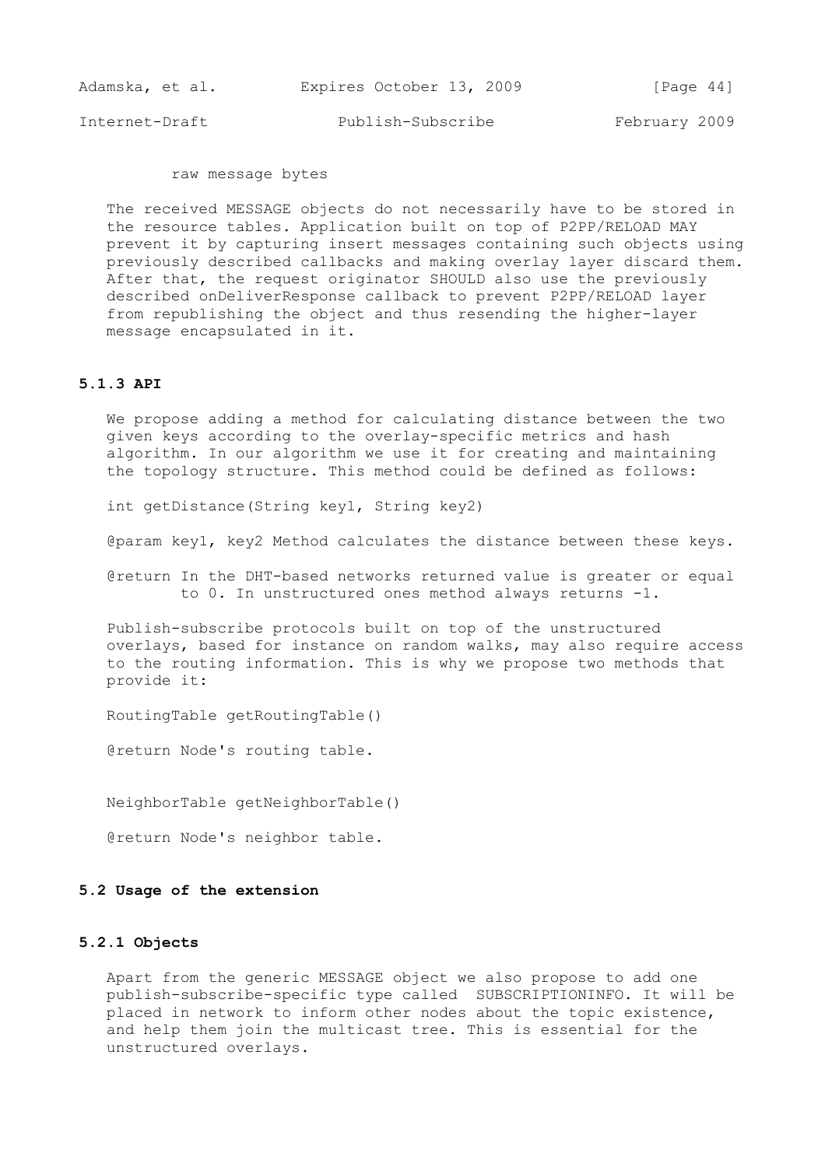| Adamska, et al. | Expires October 13, 2009 | [Page 44]     |
|-----------------|--------------------------|---------------|
| Internet-Draft  | Publish-Subscribe        | February 2009 |

raw message bytes

 The received MESSAGE objects do not necessarily have to be stored in the resource tables. Application built on top of P2PP/RELOAD MAY prevent it by capturing insert messages containing such objects using previously described callbacks and making overlay layer discard them. After that, the request originator SHOULD also use the previously described onDeliverResponse callback to prevent P2PP/RELOAD layer from republishing the object and thus resending the higher-layer message encapsulated in it.

#### **5.1.3 API**

 We propose adding a method for calculating distance between the two given keys according to the overlay-specific metrics and hash algorithm. In our algorithm we use it for creating and maintaining the topology structure. This method could be defined as follows:

int getDistance(String key1, String key2)

@param key1, key2 Method calculates the distance between these keys.

 @return In the DHT-based networks returned value is greater or equal to 0. In unstructured ones method always returns -1.

 Publish-subscribe protocols built on top of the unstructured overlays, based for instance on random walks, may also require access to the routing information. This is why we propose two methods that provide it:

RoutingTable getRoutingTable()

@return Node's routing table.

NeighborTable getNeighborTable()

@return Node's neighbor table.

## **5.2 Usage of the extension**

## **5.2.1 Objects**

 Apart from the generic MESSAGE object we also propose to add one publish-subscribe-specific type called SUBSCRIPTIONINFO. It will be placed in network to inform other nodes about the topic existence, and help them join the multicast tree. This is essential for the unstructured overlays.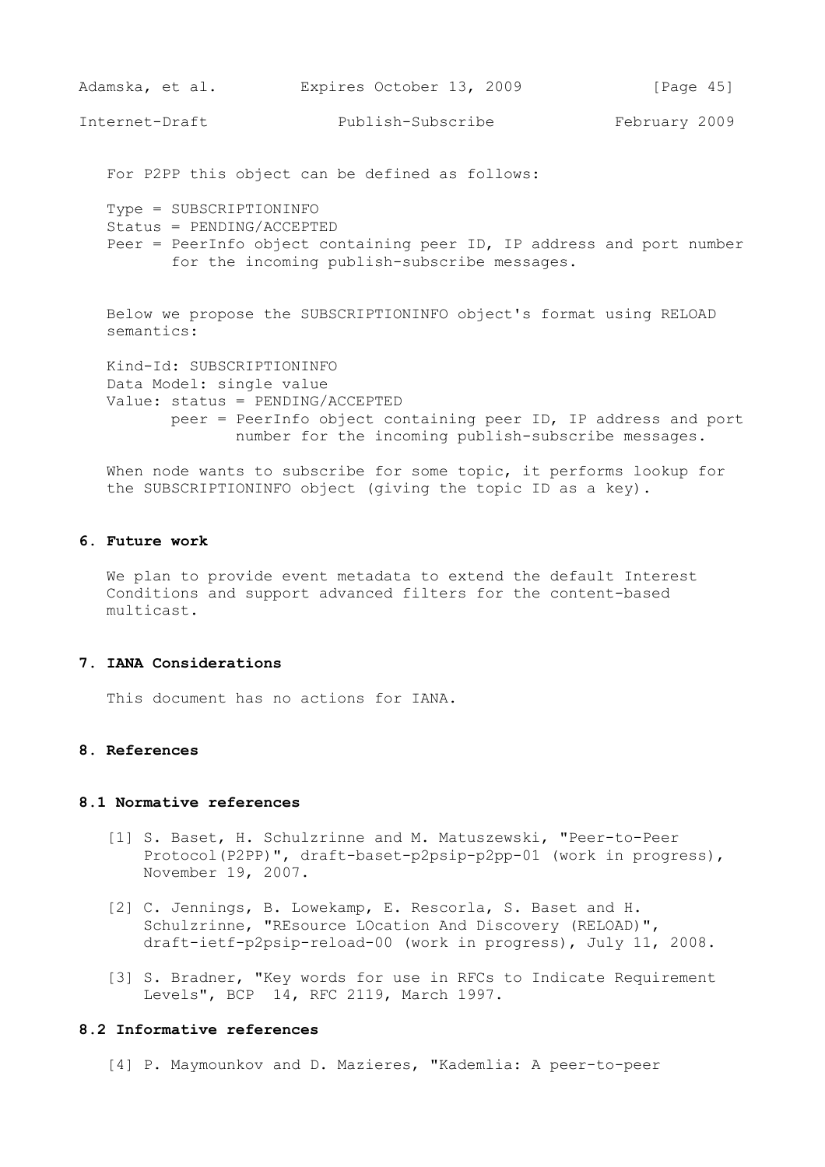```
Adamska, et al. Expires October 13, 2009 [Page 45]
```
For P2PP this object can be defined as follows:

 Type = SUBSCRIPTIONINFO Status = PENDING/ACCEPTED Peer = PeerInfo object containing peer ID, IP address and port number for the incoming publish-subscribe messages.

 Below we propose the SUBSCRIPTIONINFO object's format using RELOAD semantics:

 Kind-Id: SUBSCRIPTIONINFO Data Model: single value Value: status = PENDING/ACCEPTED peer = PeerInfo object containing peer ID, IP address and port number for the incoming publish-subscribe messages.

 When node wants to subscribe for some topic, it performs lookup for the SUBSCRIPTIONINFO object (giving the topic ID as a key).

## **6. Future work**

 We plan to provide event metadata to extend the default Interest Conditions and support advanced filters for the content-based multicast.

### **7. IANA Considerations**

This document has no actions for IANA.

## **8. References**

#### **8.1 Normative references**

- [1] S. Baset, H. Schulzrinne and M. Matuszewski, "Peer-to-Peer Protocol(P2PP)", draft-baset-p2psip-p2pp-01 (work in progress), November 19, 2007.
- [2] C. Jennings, B. Lowekamp, E. Rescorla, S. Baset and H. Schulzrinne, "REsource LOcation And Discovery (RELOAD)", draft-ietf-p2psip-reload-00 (work in progress), July 11, 2008.
- [3] S. Bradner, "Key words for use in RFCs to Indicate Requirement Levels", BCP 14, RFC 2119, March 1997.

## **8.2 Informative references**

[4] P. Maymounkov and D. Mazieres, "Kademlia: A peer-to-peer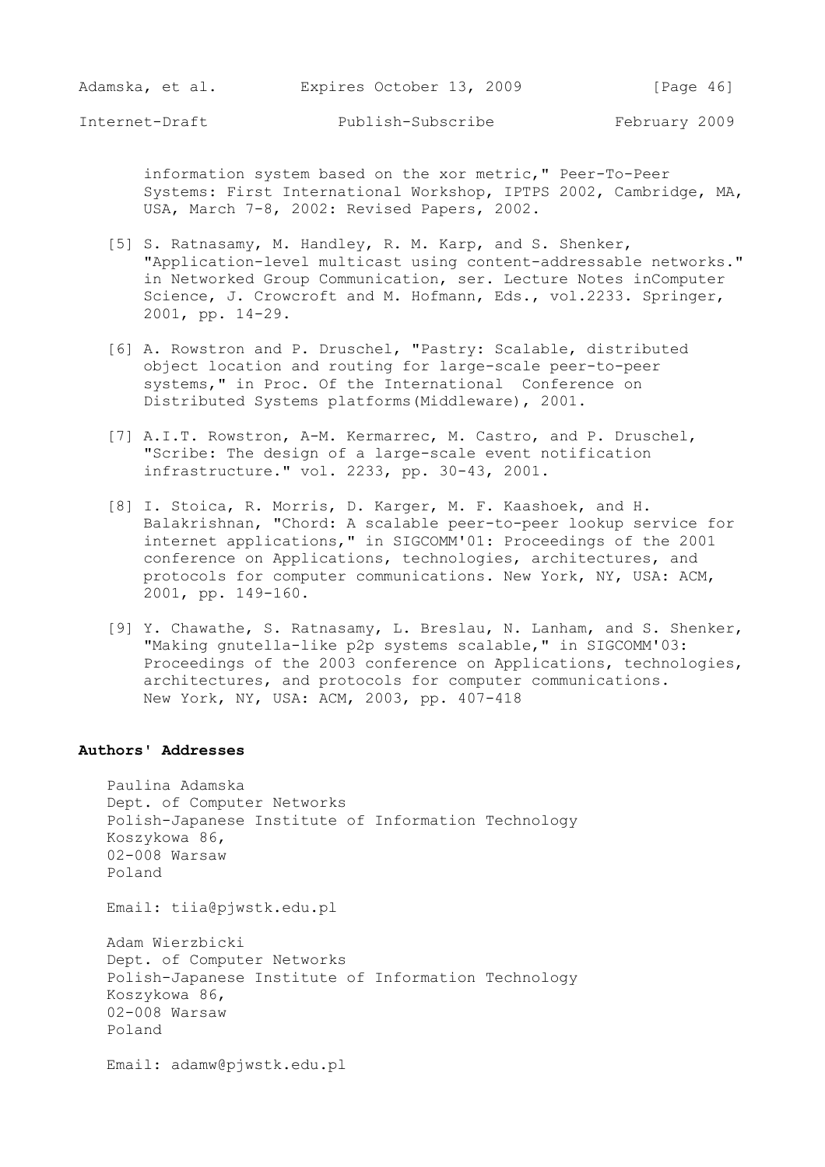information system based on the xor metric," Peer-To-Peer Systems: First International Workshop, IPTPS 2002, Cambridge, MA, USA, March 7-8, 2002: Revised Papers, 2002.

- [5] S. Ratnasamy, M. Handley, R. M. Karp, and S. Shenker, "Application-level multicast using content-addressable networks." in Networked Group Communication, ser. Lecture Notes inComputer Science, J. Crowcroft and M. Hofmann, Eds., vol.2233. Springer, 2001, pp. 14-29.
- [6] A. Rowstron and P. Druschel, "Pastry: Scalable, distributed object location and routing for large-scale peer-to-peer systems," in Proc. Of the International Conference on Distributed Systems platforms(Middleware), 2001.
- [7] A.I.T. Rowstron, A-M. Kermarrec, M. Castro, and P. Druschel, "Scribe: The design of a large-scale event notification infrastructure." vol. 2233, pp. 30-43, 2001.
- [8] I. Stoica, R. Morris, D. Karger, M. F. Kaashoek, and H. Balakrishnan, "Chord: A scalable peer-to-peer lookup service for internet applications," in SIGCOMM'01: Proceedings of the 2001 conference on Applications, technologies, architectures, and protocols for computer communications. New York, NY, USA: ACM, 2001, pp. 149-160.
- [9] Y. Chawathe, S. Ratnasamy, L. Breslau, N. Lanham, and S. Shenker, "Making gnutella-like p2p systems scalable," in SIGCOMM'03: Proceedings of the 2003 conference on Applications, technologies, architectures, and protocols for computer communications. New York, NY, USA: ACM, 2003, pp. 407-418

## **Authors' Addresses**

 Paulina Adamska Dept. of Computer Networks Polish-Japanese Institute of Information Technology Koszykowa 86, 02-008 Warsaw Poland

Email: tiia@pjwstk.edu.pl

 Adam Wierzbicki Dept. of Computer Networks Polish-Japanese Institute of Information Technology Koszykowa 86, 02-008 Warsaw Poland

Email: adamw@pjwstk.edu.pl